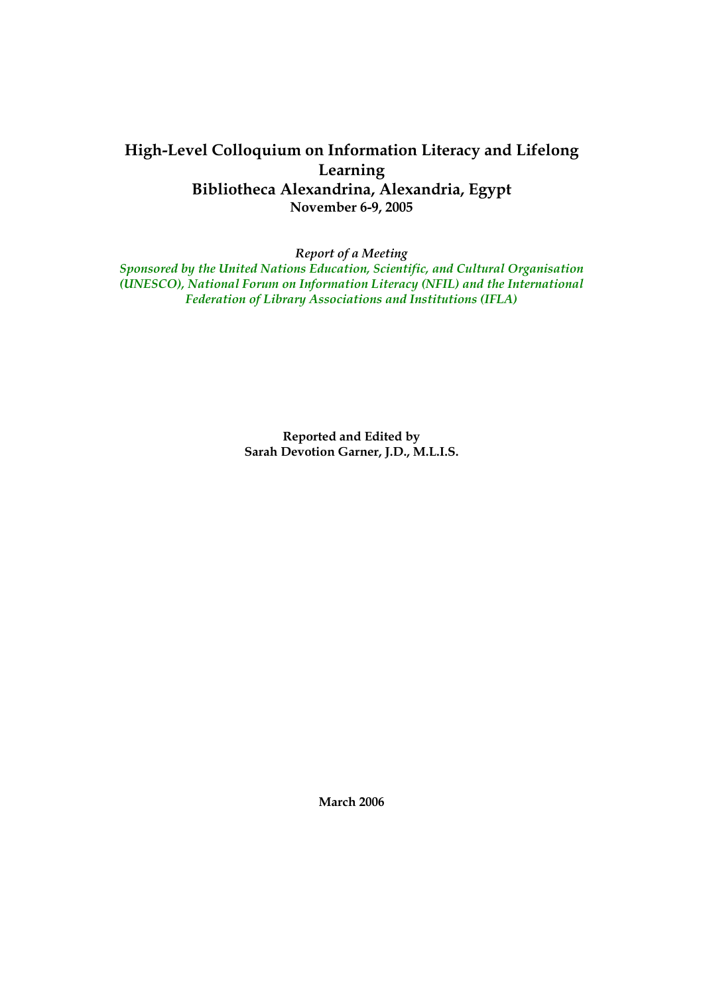# **High-Level Colloquium on Information Literacy and Lifelong Learning Bibliotheca Alexandrina, Alexandria, Egypt November 6-9, 2005**

*Report of a Meeting* 

*Sponsored by the United Nations Education, Scientific, and Cultural Organisation (UNESCO), National Forum on Information Literacy (NFIL) and the International Federation of Library Associations and Institutions (IFLA)* 

> **Reported and Edited by Sarah Devotion Garner, J.D., M.L.I.S.**

> > **March 2006**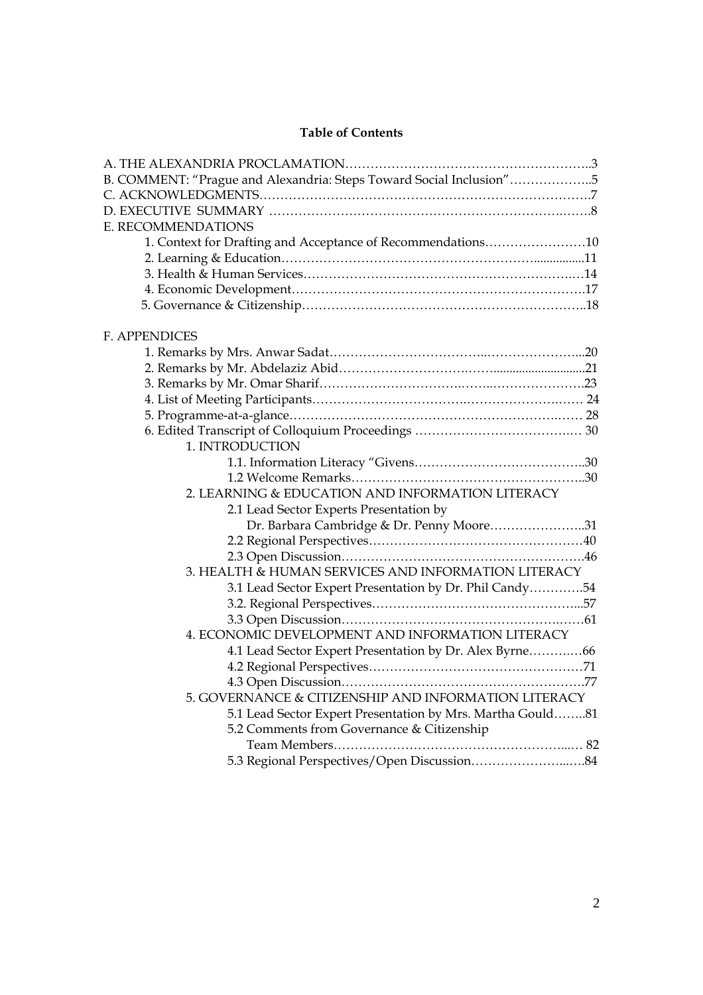# **Table of Contents**

| B. COMMENT: "Prague and Alexandria: Steps Toward Social Inclusion"5 |
|---------------------------------------------------------------------|
|                                                                     |
|                                                                     |
| E. RECOMMENDATIONS                                                  |
| 1. Context for Drafting and Acceptance of Recommendations10         |
|                                                                     |
|                                                                     |
|                                                                     |
|                                                                     |
| <b>F. APPENDICES</b>                                                |
|                                                                     |
|                                                                     |
|                                                                     |
|                                                                     |
|                                                                     |
|                                                                     |
| 1. INTRODUCTION                                                     |
|                                                                     |
|                                                                     |
| 2. LEARNING & EDUCATION AND INFORMATION LITERACY                    |
| 2.1 Lead Sector Experts Presentation by                             |
| Dr. Barbara Cambridge & Dr. Penny Moore31                           |
|                                                                     |
|                                                                     |
| 3. HEALTH & HUMAN SERVICES AND INFORMATION LITERACY                 |
| 3.1 Lead Sector Expert Presentation by Dr. Phil Candy54             |
|                                                                     |
| 4. ECONOMIC DEVELOPMENT AND INFORMATION LITERACY                    |
| 4.1 Lead Sector Expert Presentation by Dr. Alex Byrne66             |
|                                                                     |
|                                                                     |
| 5. GOVERNANCE & CITIZENSHIP AND INFORMATION LITERACY                |
| 5.1 Lead Sector Expert Presentation by Mrs. Martha Gould81          |
| 5.2 Comments from Governance & Citizenship                          |
|                                                                     |
|                                                                     |
|                                                                     |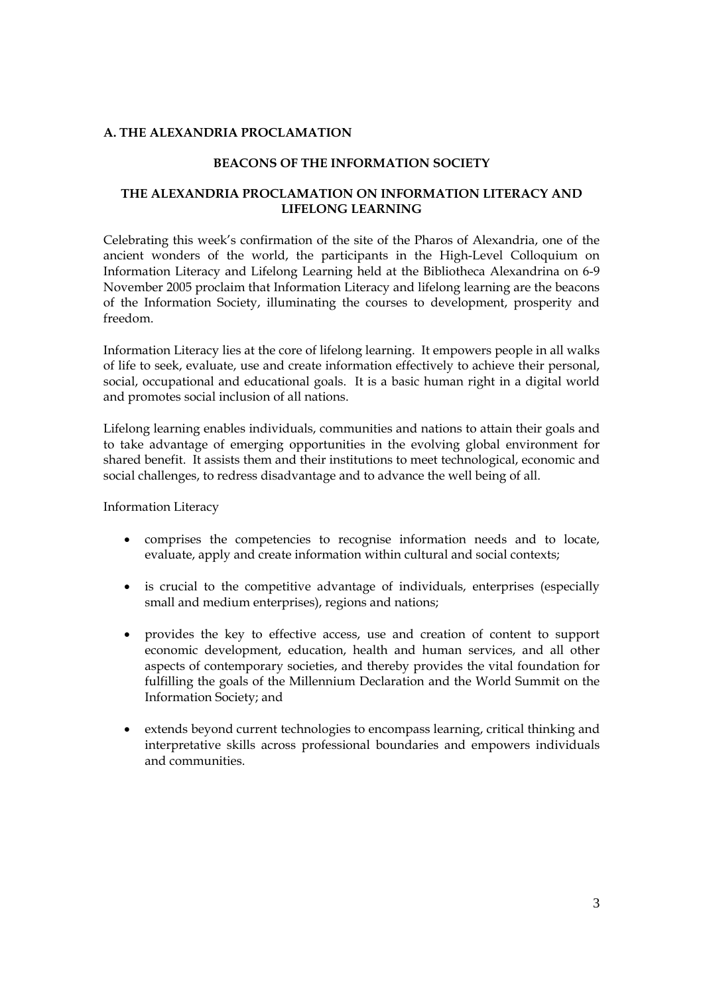### **A. THE ALEXANDRIA PROCLAMATION**

### **BEACONS OF THE INFORMATION SOCIETY**

# **THE ALEXANDRIA PROCLAMATION ON INFORMATION LITERACY AND LIFELONG LEARNING**

Celebrating this week's confirmation of the site of the Pharos of Alexandria, one of the ancient wonders of the world, the participants in the High-Level Colloquium on Information Literacy and Lifelong Learning held at the Bibliotheca Alexandrina on 6-9 November 2005 proclaim that Information Literacy and lifelong learning are the beacons of the Information Society, illuminating the courses to development, prosperity and freedom.

Information Literacy lies at the core of lifelong learning. It empowers people in all walks of life to seek, evaluate, use and create information effectively to achieve their personal, social, occupational and educational goals. It is a basic human right in a digital world and promotes social inclusion of all nations.

Lifelong learning enables individuals, communities and nations to attain their goals and to take advantage of emerging opportunities in the evolving global environment for shared benefit. It assists them and their institutions to meet technological, economic and social challenges, to redress disadvantage and to advance the well being of all.

Information Literacy

- comprises the competencies to recognise information needs and to locate, evaluate, apply and create information within cultural and social contexts;
- is crucial to the competitive advantage of individuals, enterprises (especially small and medium enterprises), regions and nations;
- provides the key to effective access, use and creation of content to support economic development, education, health and human services, and all other aspects of contemporary societies, and thereby provides the vital foundation for fulfilling the goals of the Millennium Declaration and the World Summit on the Information Society; and
- extends beyond current technologies to encompass learning, critical thinking and interpretative skills across professional boundaries and empowers individuals and communities.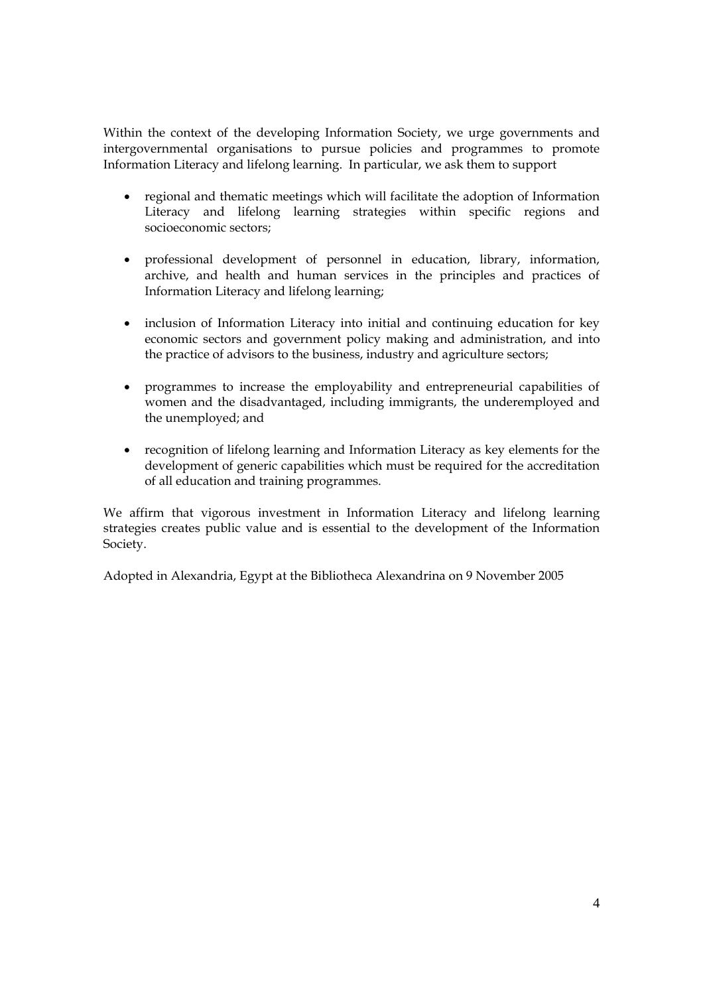Within the context of the developing Information Society, we urge governments and intergovernmental organisations to pursue policies and programmes to promote Information Literacy and lifelong learning. In particular, we ask them to support

- regional and thematic meetings which will facilitate the adoption of Information Literacy and lifelong learning strategies within specific regions and socioeconomic sectors;
- professional development of personnel in education, library, information, archive, and health and human services in the principles and practices of Information Literacy and lifelong learning;
- inclusion of Information Literacy into initial and continuing education for key economic sectors and government policy making and administration, and into the practice of advisors to the business, industry and agriculture sectors;
- programmes to increase the employability and entrepreneurial capabilities of women and the disadvantaged, including immigrants, the underemployed and the unemployed; and
- recognition of lifelong learning and Information Literacy as key elements for the development of generic capabilities which must be required for the accreditation of all education and training programmes.

We affirm that vigorous investment in Information Literacy and lifelong learning strategies creates public value and is essential to the development of the Information Society.

Adopted in Alexandria, Egypt at the Bibliotheca Alexandrina on 9 November 2005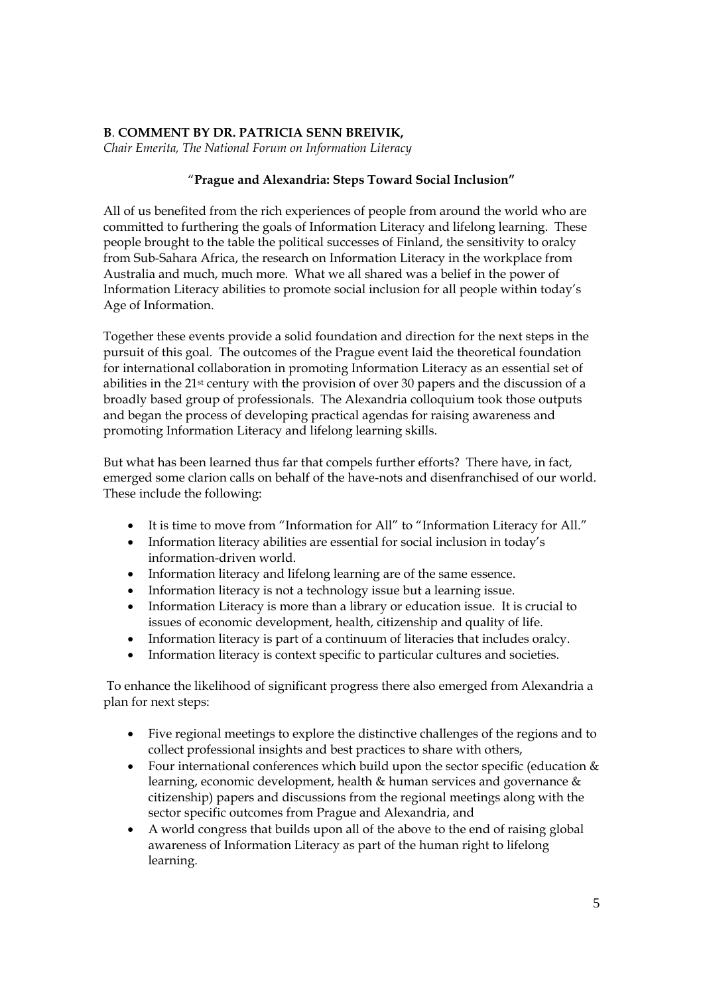# **B**. **COMMENT BY DR. PATRICIA SENN BREIVIK,**

*Chair Emerita, The National Forum on Information Literacy* 

# "**Prague and Alexandria: Steps Toward Social Inclusion"**

All of us benefited from the rich experiences of people from around the world who are committed to furthering the goals of Information Literacy and lifelong learning. These people brought to the table the political successes of Finland, the sensitivity to oralcy from Sub-Sahara Africa, the research on Information Literacy in the workplace from Australia and much, much more. What we all shared was a belief in the power of Information Literacy abilities to promote social inclusion for all people within today's Age of Information.

Together these events provide a solid foundation and direction for the next steps in the pursuit of this goal. The outcomes of the Prague event laid the theoretical foundation for international collaboration in promoting Information Literacy as an essential set of abilities in the 21st century with the provision of over 30 papers and the discussion of a broadly based group of professionals. The Alexandria colloquium took those outputs and began the process of developing practical agendas for raising awareness and promoting Information Literacy and lifelong learning skills.

But what has been learned thus far that compels further efforts? There have, in fact, emerged some clarion calls on behalf of the have-nots and disenfranchised of our world. These include the following:

- It is time to move from "Information for All" to "Information Literacy for All."
- Information literacy abilities are essential for social inclusion in today's information-driven world.
- Information literacy and lifelong learning are of the same essence.
- Information literacy is not a technology issue but a learning issue.
- Information Literacy is more than a library or education issue. It is crucial to issues of economic development, health, citizenship and quality of life.
- Information literacy is part of a continuum of literacies that includes oralcy.
- Information literacy is context specific to particular cultures and societies.

 To enhance the likelihood of significant progress there also emerged from Alexandria a plan for next steps:

- Five regional meetings to explore the distinctive challenges of the regions and to collect professional insights and best practices to share with others,
- Four international conferences which build upon the sector specific (education & learning, economic development, health & human services and governance & citizenship) papers and discussions from the regional meetings along with the sector specific outcomes from Prague and Alexandria, and
- A world congress that builds upon all of the above to the end of raising global awareness of Information Literacy as part of the human right to lifelong learning.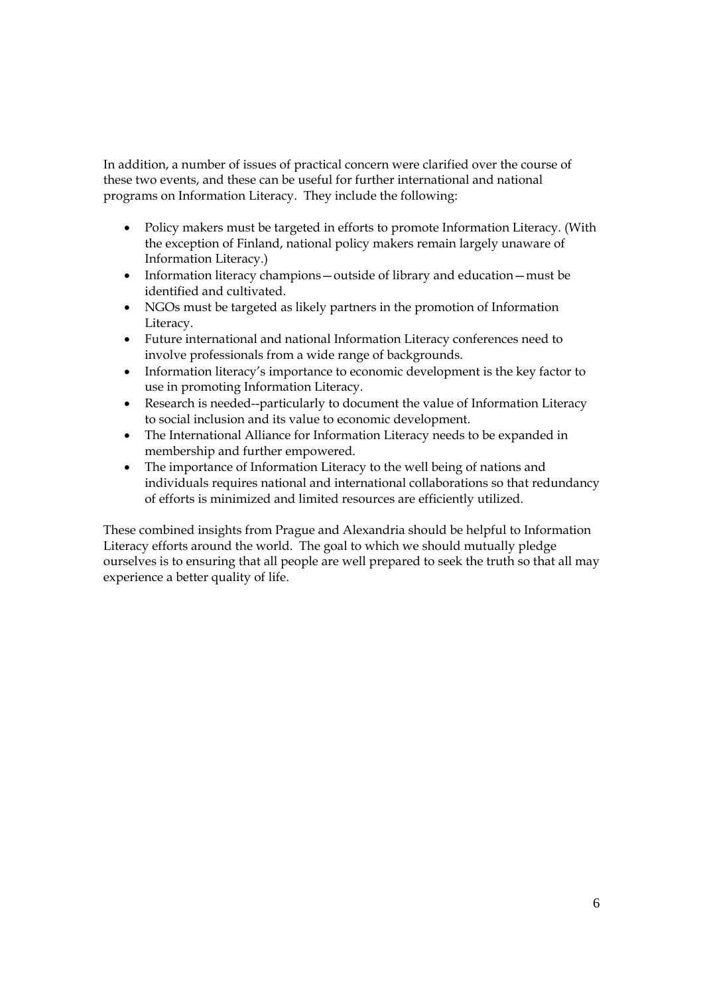In addition, a number of issues of practical concern were clarified over the course of these two events, and these can be useful for further international and national programs on Information Literacy. They include the following:

- Policy makers must be targeted in efforts to promote Information Literacy. (With the exception of Finland, national policy makers remain largely unaware of Information Literacy.)
- Information literacy champions—outside of library and education—must be identified and cultivated.
- NGOs must be targeted as likely partners in the promotion of Information Literacy.
- Future international and national Information Literacy conferences need to involve professionals from a wide range of backgrounds.
- Information literacy's importance to economic development is the key factor to use in promoting Information Literacy.
- Research is needed--particularly to document the value of Information Literacy to social inclusion and its value to economic development.
- The International Alliance for Information Literacy needs to be expanded in membership and further empowered.
- The importance of Information Literacy to the well being of nations and individuals requires national and international collaborations so that redundancy of efforts is minimized and limited resources are efficiently utilized.

These combined insights from Prague and Alexandria should be helpful to Information Literacy efforts around the world. The goal to which we should mutually pledge ourselves is to ensuring that all people are well prepared to seek the truth so that all may experience a better quality of life.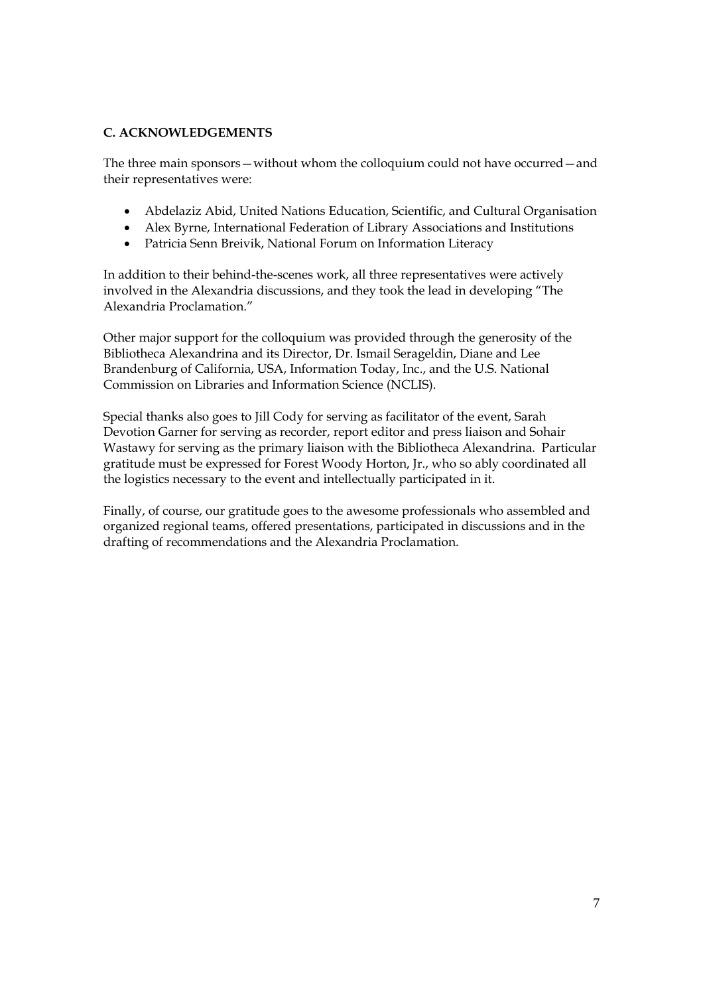# **C. ACKNOWLEDGEMENTS**

The three main sponsors—without whom the colloquium could not have occurred—and their representatives were:

- Abdelaziz Abid, United Nations Education, Scientific, and Cultural Organisation
- Alex Byrne, International Federation of Library Associations and Institutions
- Patricia Senn Breivik, National Forum on Information Literacy

In addition to their behind-the-scenes work, all three representatives were actively involved in the Alexandria discussions, and they took the lead in developing "The Alexandria Proclamation."

Other major support for the colloquium was provided through the generosity of the Bibliotheca Alexandrina and its Director, Dr. Ismail Serageldin, Diane and Lee Brandenburg of California, USA, Information Today, Inc., and the U.S. National Commission on Libraries and Information Science (NCLIS).

Special thanks also goes to Jill Cody for serving as facilitator of the event, Sarah Devotion Garner for serving as recorder, report editor and press liaison and Sohair Wastawy for serving as the primary liaison with the Bibliotheca Alexandrina. Particular gratitude must be expressed for Forest Woody Horton, Jr., who so ably coordinated all the logistics necessary to the event and intellectually participated in it.

Finally, of course, our gratitude goes to the awesome professionals who assembled and organized regional teams, offered presentations, participated in discussions and in the drafting of recommendations and the Alexandria Proclamation.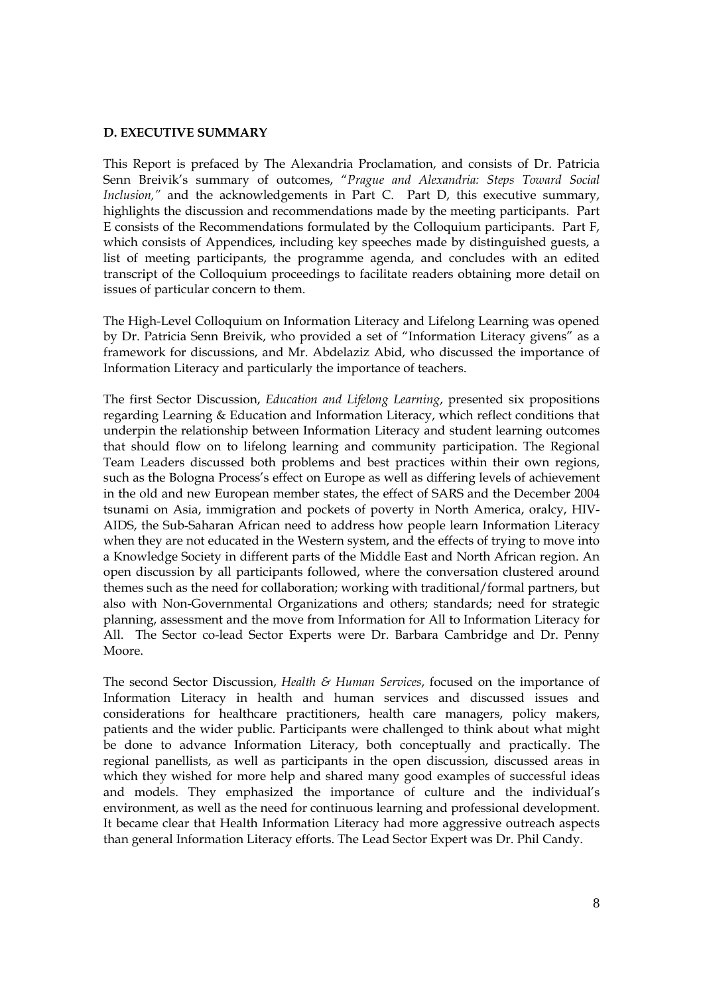### **D. EXECUTIVE SUMMARY**

This Report is prefaced by The Alexandria Proclamation, and consists of Dr. Patricia Senn Breivik's summary of outcomes, "*Prague and Alexandria: Steps Toward Social Inclusion,"* and the acknowledgements in Part C. Part D, this executive summary, highlights the discussion and recommendations made by the meeting participants. Part E consists of the Recommendations formulated by the Colloquium participants. Part F, which consists of Appendices, including key speeches made by distinguished guests, a list of meeting participants, the programme agenda, and concludes with an edited transcript of the Colloquium proceedings to facilitate readers obtaining more detail on issues of particular concern to them.

The High-Level Colloquium on Information Literacy and Lifelong Learning was opened by Dr. Patricia Senn Breivik, who provided a set of "Information Literacy givens" as a framework for discussions, and Mr. Abdelaziz Abid, who discussed the importance of Information Literacy and particularly the importance of teachers.

The first Sector Discussion, *Education and Lifelong Learning*, presented six propositions regarding Learning & Education and Information Literacy, which reflect conditions that underpin the relationship between Information Literacy and student learning outcomes that should flow on to lifelong learning and community participation. The Regional Team Leaders discussed both problems and best practices within their own regions, such as the Bologna Process's effect on Europe as well as differing levels of achievement in the old and new European member states, the effect of SARS and the December 2004 tsunami on Asia, immigration and pockets of poverty in North America, oralcy, HIV-AIDS, the Sub-Saharan African need to address how people learn Information Literacy when they are not educated in the Western system, and the effects of trying to move into a Knowledge Society in different parts of the Middle East and North African region. An open discussion by all participants followed, where the conversation clustered around themes such as the need for collaboration; working with traditional/formal partners, but also with Non-Governmental Organizations and others; standards; need for strategic planning, assessment and the move from Information for All to Information Literacy for All. The Sector co-lead Sector Experts were Dr. Barbara Cambridge and Dr. Penny Moore.

The second Sector Discussion, *Health & Human Services*, focused on the importance of Information Literacy in health and human services and discussed issues and considerations for healthcare practitioners, health care managers, policy makers, patients and the wider public. Participants were challenged to think about what might be done to advance Information Literacy, both conceptually and practically. The regional panellists, as well as participants in the open discussion, discussed areas in which they wished for more help and shared many good examples of successful ideas and models. They emphasized the importance of culture and the individual's environment, as well as the need for continuous learning and professional development. It became clear that Health Information Literacy had more aggressive outreach aspects than general Information Literacy efforts. The Lead Sector Expert was Dr. Phil Candy.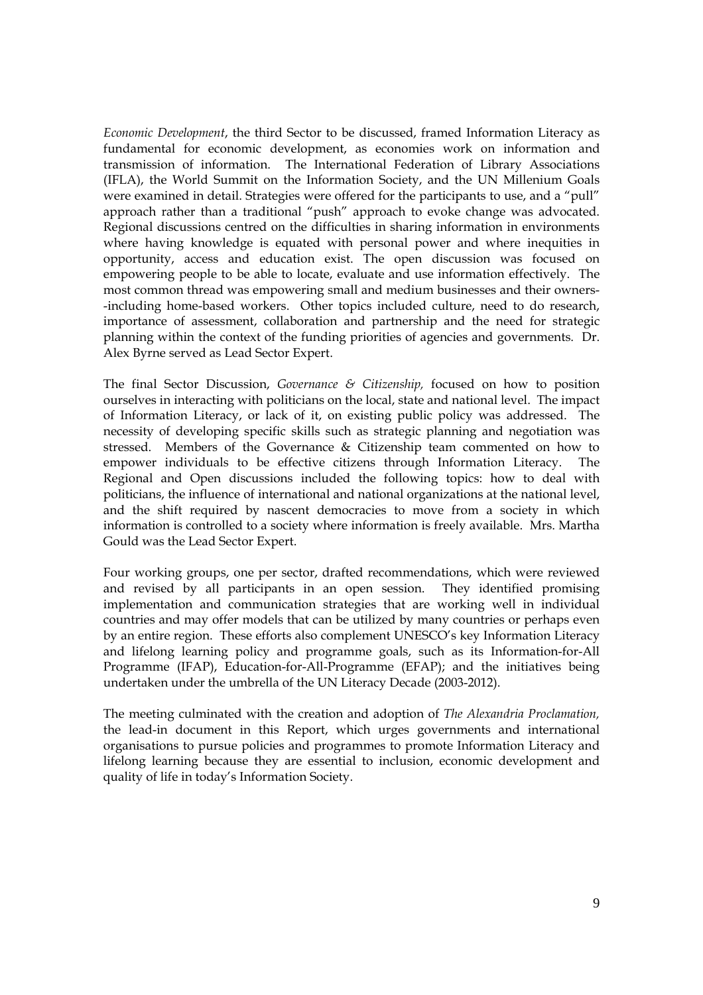*Economic Development*, the third Sector to be discussed, framed Information Literacy as fundamental for economic development, as economies work on information and transmission of information. The International Federation of Library Associations (IFLA), the World Summit on the Information Society, and the UN Millenium Goals were examined in detail. Strategies were offered for the participants to use, and a "pull" approach rather than a traditional "push" approach to evoke change was advocated. Regional discussions centred on the difficulties in sharing information in environments where having knowledge is equated with personal power and where inequities in opportunity, access and education exist. The open discussion was focused on empowering people to be able to locate, evaluate and use information effectively. The most common thread was empowering small and medium businesses and their owners- -including home-based workers. Other topics included culture, need to do research, importance of assessment, collaboration and partnership and the need for strategic planning within the context of the funding priorities of agencies and governments. Dr. Alex Byrne served as Lead Sector Expert.

The final Sector Discussion, *Governance & Citizenship,* focused on how to position ourselves in interacting with politicians on the local, state and national level. The impact of Information Literacy, or lack of it, on existing public policy was addressed. The necessity of developing specific skills such as strategic planning and negotiation was stressed. Members of the Governance & Citizenship team commented on how to empower individuals to be effective citizens through Information Literacy. The Regional and Open discussions included the following topics: how to deal with politicians, the influence of international and national organizations at the national level, and the shift required by nascent democracies to move from a society in which information is controlled to a society where information is freely available. Mrs. Martha Gould was the Lead Sector Expert.

Four working groups, one per sector, drafted recommendations, which were reviewed and revised by all participants in an open session. They identified promising implementation and communication strategies that are working well in individual countries and may offer models that can be utilized by many countries or perhaps even by an entire region. These efforts also complement UNESCO's key Information Literacy and lifelong learning policy and programme goals, such as its Information-for-All Programme (IFAP), Education-for-All-Programme (EFAP); and the initiatives being undertaken under the umbrella of the UN Literacy Decade (2003-2012).

The meeting culminated with the creation and adoption of *The Alexandria Proclamation,*  the lead-in document in this Report, which urges governments and international organisations to pursue policies and programmes to promote Information Literacy and lifelong learning because they are essential to inclusion, economic development and quality of life in today's Information Society.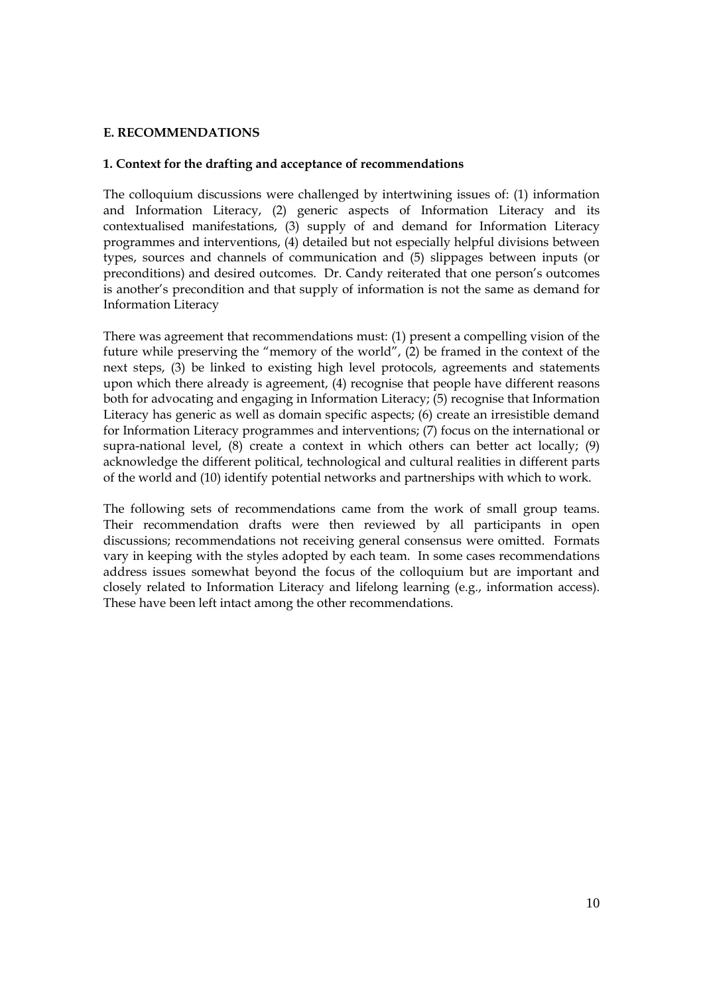# **E. RECOMMENDATIONS**

### **1. Context for the drafting and acceptance of recommendations**

The colloquium discussions were challenged by intertwining issues of: (1) information and Information Literacy, (2) generic aspects of Information Literacy and its contextualised manifestations, (3) supply of and demand for Information Literacy programmes and interventions, (4) detailed but not especially helpful divisions between types, sources and channels of communication and (5) slippages between inputs (or preconditions) and desired outcomes. Dr. Candy reiterated that one person's outcomes is another's precondition and that supply of information is not the same as demand for Information Literacy

There was agreement that recommendations must: (1) present a compelling vision of the future while preserving the "memory of the world", (2) be framed in the context of the next steps, (3) be linked to existing high level protocols, agreements and statements upon which there already is agreement, (4) recognise that people have different reasons both for advocating and engaging in Information Literacy; (5) recognise that Information Literacy has generic as well as domain specific aspects; (6) create an irresistible demand for Information Literacy programmes and interventions; (7) focus on the international or supra-national level,  $(8)$  create a context in which others can better act locally;  $(9)$ acknowledge the different political, technological and cultural realities in different parts of the world and (10) identify potential networks and partnerships with which to work.

The following sets of recommendations came from the work of small group teams. Their recommendation drafts were then reviewed by all participants in open discussions; recommendations not receiving general consensus were omitted. Formats vary in keeping with the styles adopted by each team. In some cases recommendations address issues somewhat beyond the focus of the colloquium but are important and closely related to Information Literacy and lifelong learning (e.g., information access). These have been left intact among the other recommendations.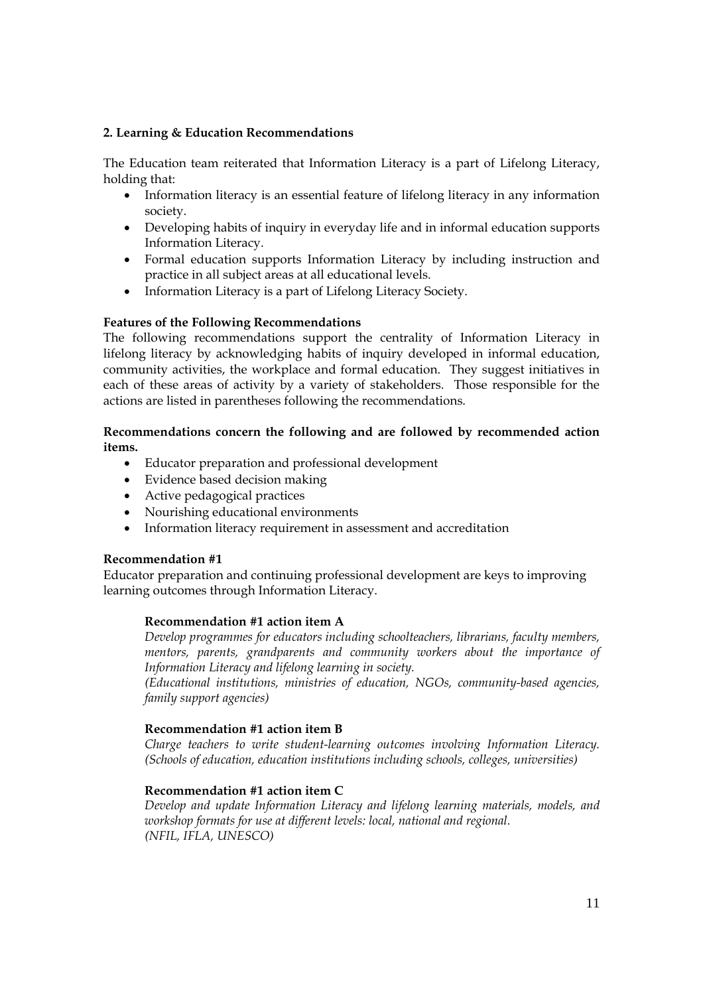# **2. Learning & Education Recommendations**

The Education team reiterated that Information Literacy is a part of Lifelong Literacy, holding that:

- Information literacy is an essential feature of lifelong literacy in any information society.
- Developing habits of inquiry in everyday life and in informal education supports Information Literacy.
- Formal education supports Information Literacy by including instruction and practice in all subject areas at all educational levels.
- Information Literacy is a part of Lifelong Literacy Society.

# **Features of the Following Recommendations**

The following recommendations support the centrality of Information Literacy in lifelong literacy by acknowledging habits of inquiry developed in informal education, community activities, the workplace and formal education. They suggest initiatives in each of these areas of activity by a variety of stakeholders. Those responsible for the actions are listed in parentheses following the recommendations.

# **Recommendations concern the following and are followed by recommended action items.**

- Educator preparation and professional development
- Evidence based decision making
- Active pedagogical practices
- Nourishing educational environments
- Information literacy requirement in assessment and accreditation

### **Recommendation #1**

Educator preparation and continuing professional development are keys to improving learning outcomes through Information Literacy.

### **Recommendation #1 action item A**

*Develop programmes for educators including schoolteachers, librarians, faculty members, mentors, parents, grandparents and community workers about the importance of Information Literacy and lifelong learning in society.*

*(Educational institutions, ministries of education, NGOs, community-based agencies, family support agencies)* 

### **Recommendation #1 action item B**

*Charge teachers to write student-learning outcomes involving Information Literacy. (Schools of education, education institutions including schools, colleges, universities)* 

### **Recommendation #1 action item C**

*Develop and update Information Literacy and lifelong learning materials, models, and workshop formats for use at different levels: local, national and regional. (NFIL, IFLA, UNESCO)*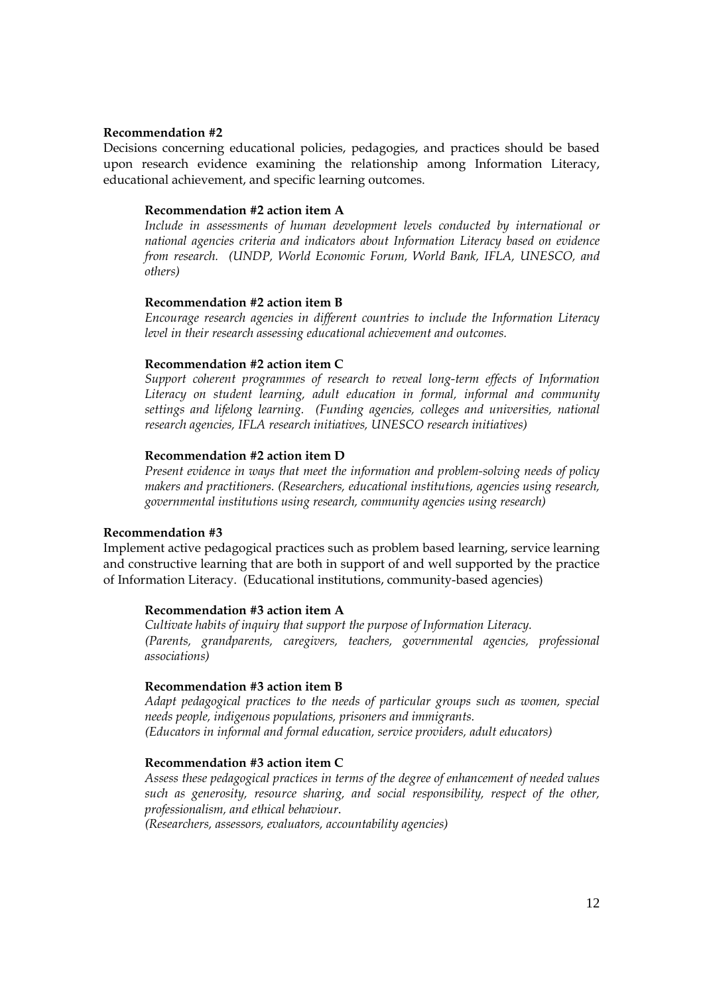#### **Recommendation #2**

Decisions concerning educational policies, pedagogies, and practices should be based upon research evidence examining the relationship among Information Literacy, educational achievement, and specific learning outcomes.

#### **Recommendation #2 action item A**

*Include in assessments of human development levels conducted by international or national agencies criteria and indicators about Information Literacy based on evidence from research. (UNDP, World Economic Forum, World Bank, IFLA, UNESCO, and others)* 

#### **Recommendation #2 action item B**

*Encourage research agencies in different countries to include the Information Literacy level in their research assessing educational achievement and outcomes.* 

#### **Recommendation #2 action item C**

*Support coherent programmes of research to reveal long-term effects of Information Literacy on student learning, adult education in formal, informal and community settings and lifelong learning. (Funding agencies, colleges and universities, national research agencies, IFLA research initiatives, UNESCO research initiatives)* 

#### **Recommendation #2 action item D**

*Present evidence in ways that meet the information and problem-solving needs of policy makers and practitioners. (Researchers, educational institutions, agencies using research, governmental institutions using research, community agencies using research)* 

#### **Recommendation #3**

Implement active pedagogical practices such as problem based learning, service learning and constructive learning that are both in support of and well supported by the practice of Information Literacy. (Educational institutions, community-based agencies)

#### **Recommendation #3 action item A**

*Cultivate habits of inquiry that support the purpose of Information Literacy. (Parents, grandparents, caregivers, teachers, governmental agencies, professional associations)* 

#### **Recommendation #3 action item B**

*Adapt pedagogical practices to the needs of particular groups such as women, special needs people, indigenous populations, prisoners and immigrants. (Educators in informal and formal education, service providers, adult educators)*

#### **Recommendation #3 action item C**

*Assess these pedagogical practices in terms of the degree of enhancement of needed values such as generosity, resource sharing, and social responsibility, respect of the other, professionalism, and ethical behaviour*.

*(Researchers, assessors, evaluators, accountability agencies)*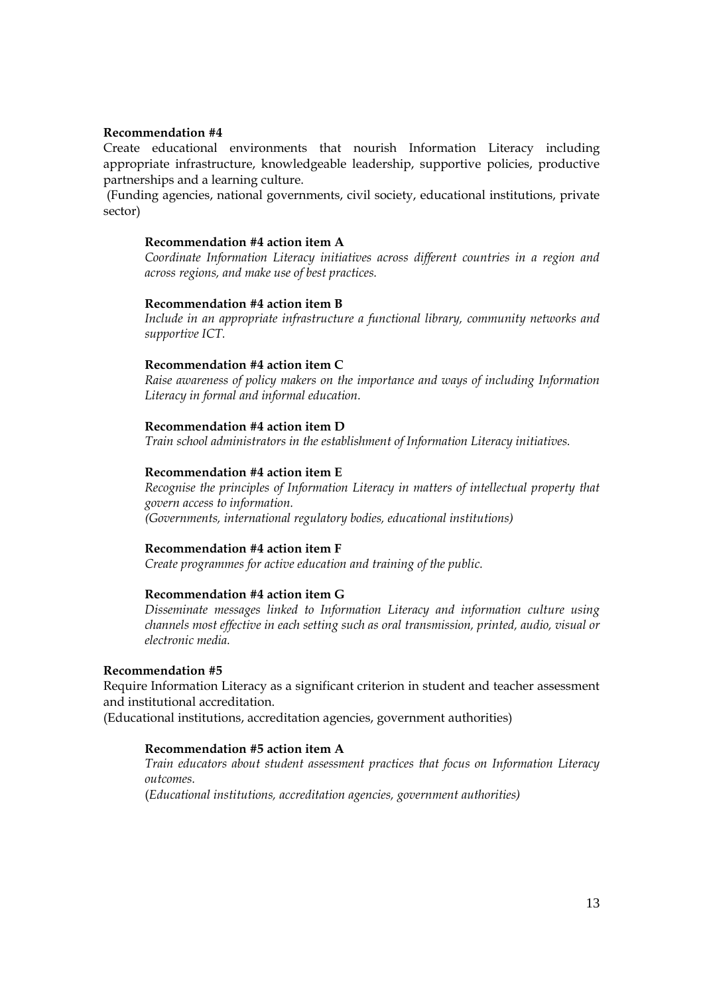#### **Recommendation #4**

Create educational environments that nourish Information Literacy including appropriate infrastructure, knowledgeable leadership, supportive policies, productive partnerships and a learning culture.

(Funding agencies, national governments, civil society, educational institutions, private sector)

#### **Recommendation #4 action item A**

*Coordinate Information Literacy initiatives across different countries in a region and across regions, and make use of best practices.* 

#### **Recommendation #4 action item B**

*Include in an appropriate infrastructure a functional library, community networks and supportive ICT.* 

#### **Recommendation #4 action item C**

*Raise awareness of policy makers on the importance and ways of including Information Literacy in formal and informal education.* 

#### **Recommendation #4 action item D**

*Train school administrators in the establishment of Information Literacy initiatives.* 

### **Recommendation #4 action item E**

*Recognise the principles of Information Literacy in matters of intellectual property that govern access to information. (Governments, international regulatory bodies, educational institutions)* 

# **Recommendation #4 action item F**

*Create programmes for active education and training of the public.* 

### **Recommendation #4 action item G**

*Disseminate messages linked to Information Literacy and information culture using channels most effective in each setting such as oral transmission, printed, audio, visual or electronic media.* 

### **Recommendation #5**

Require Information Literacy as a significant criterion in student and teacher assessment and institutional accreditation.

(Educational institutions, accreditation agencies, government authorities)

### **Recommendation #5 action item A**

*Train educators about student assessment practices that focus on Information Literacy outcomes.* 

(*Educational institutions, accreditation agencies, government authorities)*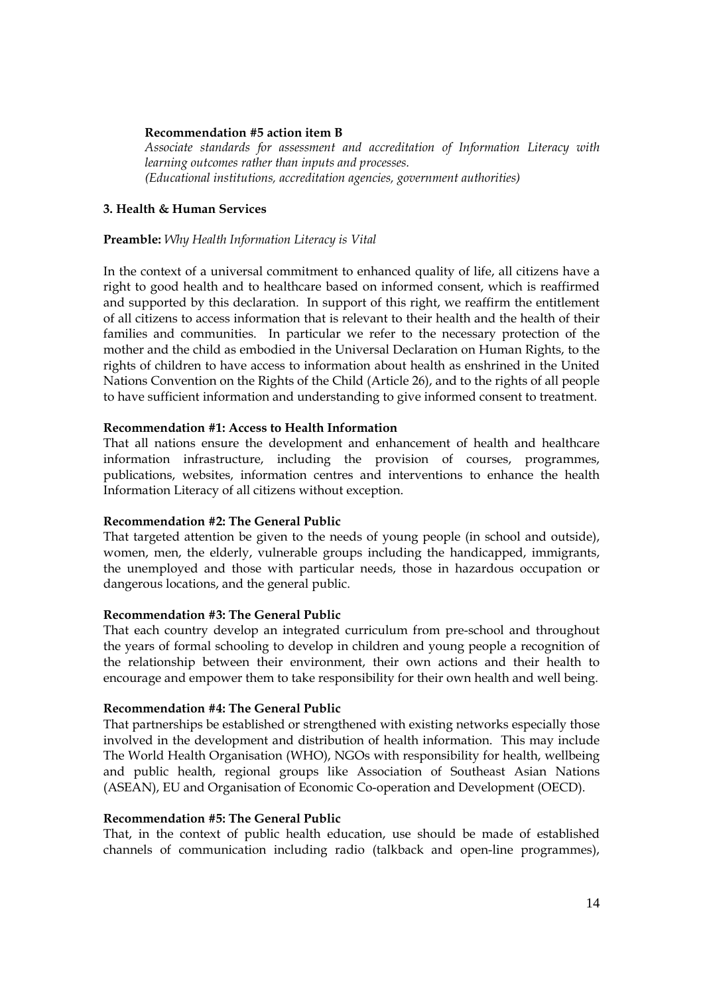### **Recommendation #5 action item B**

*Associate standards for assessment and accreditation of Information Literacy with learning outcomes rather than inputs and processes. (Educational institutions, accreditation agencies, government authorities)* 

### **3. Health & Human Services**

### **Preamble:** *Why Health Information Literacy is Vital*

In the context of a universal commitment to enhanced quality of life, all citizens have a right to good health and to healthcare based on informed consent, which is reaffirmed and supported by this declaration. In support of this right, we reaffirm the entitlement of all citizens to access information that is relevant to their health and the health of their families and communities. In particular we refer to the necessary protection of the mother and the child as embodied in the Universal Declaration on Human Rights, to the rights of children to have access to information about health as enshrined in the United Nations Convention on the Rights of the Child (Article 26), and to the rights of all people to have sufficient information and understanding to give informed consent to treatment.

### **Recommendation #1: Access to Health Information**

That all nations ensure the development and enhancement of health and healthcare information infrastructure, including the provision of courses, programmes, publications, websites, information centres and interventions to enhance the health Information Literacy of all citizens without exception.

### **Recommendation #2: The General Public**

That targeted attention be given to the needs of young people (in school and outside), women, men, the elderly, vulnerable groups including the handicapped, immigrants, the unemployed and those with particular needs, those in hazardous occupation or dangerous locations, and the general public.

#### **Recommendation #3: The General Public**

That each country develop an integrated curriculum from pre-school and throughout the years of formal schooling to develop in children and young people a recognition of the relationship between their environment, their own actions and their health to encourage and empower them to take responsibility for their own health and well being.

### **Recommendation #4: The General Public**

That partnerships be established or strengthened with existing networks especially those involved in the development and distribution of health information. This may include The World Health Organisation (WHO), NGOs with responsibility for health, wellbeing and public health, regional groups like Association of Southeast Asian Nations (ASEAN), EU and Organisation of Economic Co-operation and Development (OECD).

### **Recommendation #5: The General Public**

That, in the context of public health education, use should be made of established channels of communication including radio (talkback and open-line programmes),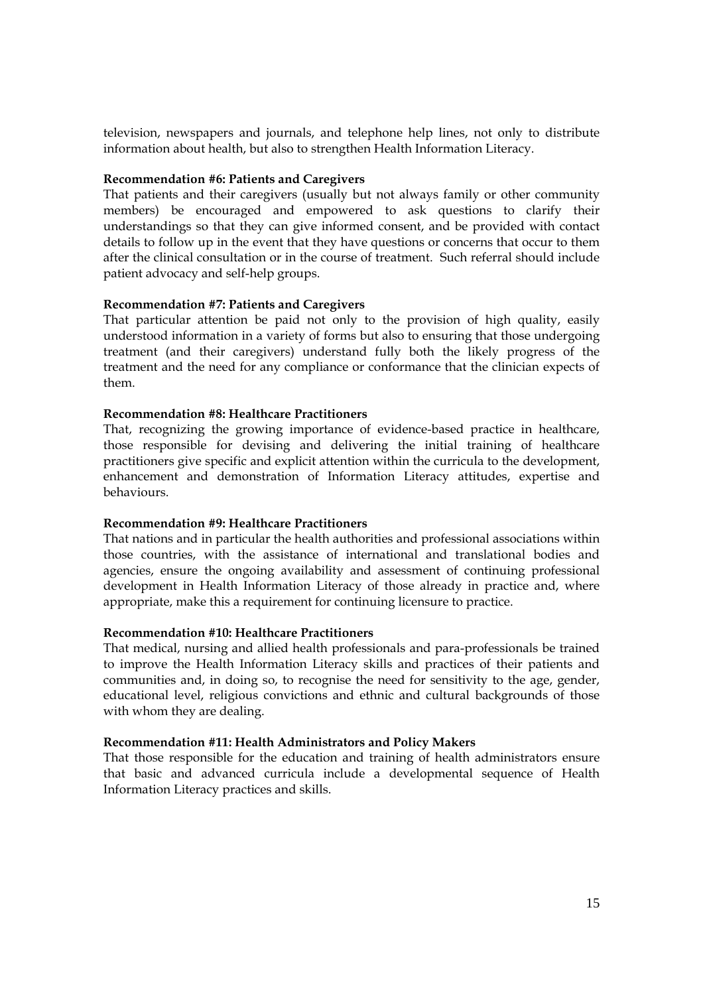television, newspapers and journals, and telephone help lines, not only to distribute information about health, but also to strengthen Health Information Literacy.

### **Recommendation #6: Patients and Caregivers**

That patients and their caregivers (usually but not always family or other community members) be encouraged and empowered to ask questions to clarify their understandings so that they can give informed consent, and be provided with contact details to follow up in the event that they have questions or concerns that occur to them after the clinical consultation or in the course of treatment. Such referral should include patient advocacy and self-help groups.

### **Recommendation #7: Patients and Caregivers**

That particular attention be paid not only to the provision of high quality, easily understood information in a variety of forms but also to ensuring that those undergoing treatment (and their caregivers) understand fully both the likely progress of the treatment and the need for any compliance or conformance that the clinician expects of them.

#### **Recommendation #8: Healthcare Practitioners**

That, recognizing the growing importance of evidence-based practice in healthcare, those responsible for devising and delivering the initial training of healthcare practitioners give specific and explicit attention within the curricula to the development, enhancement and demonstration of Information Literacy attitudes, expertise and behaviours.

#### **Recommendation #9: Healthcare Practitioners**

That nations and in particular the health authorities and professional associations within those countries, with the assistance of international and translational bodies and agencies, ensure the ongoing availability and assessment of continuing professional development in Health Information Literacy of those already in practice and, where appropriate, make this a requirement for continuing licensure to practice.

#### **Recommendation #10: Healthcare Practitioners**

That medical, nursing and allied health professionals and para-professionals be trained to improve the Health Information Literacy skills and practices of their patients and communities and, in doing so, to recognise the need for sensitivity to the age, gender, educational level, religious convictions and ethnic and cultural backgrounds of those with whom they are dealing.

### **Recommendation #11: Health Administrators and Policy Makers**

That those responsible for the education and training of health administrators ensure that basic and advanced curricula include a developmental sequence of Health Information Literacy practices and skills.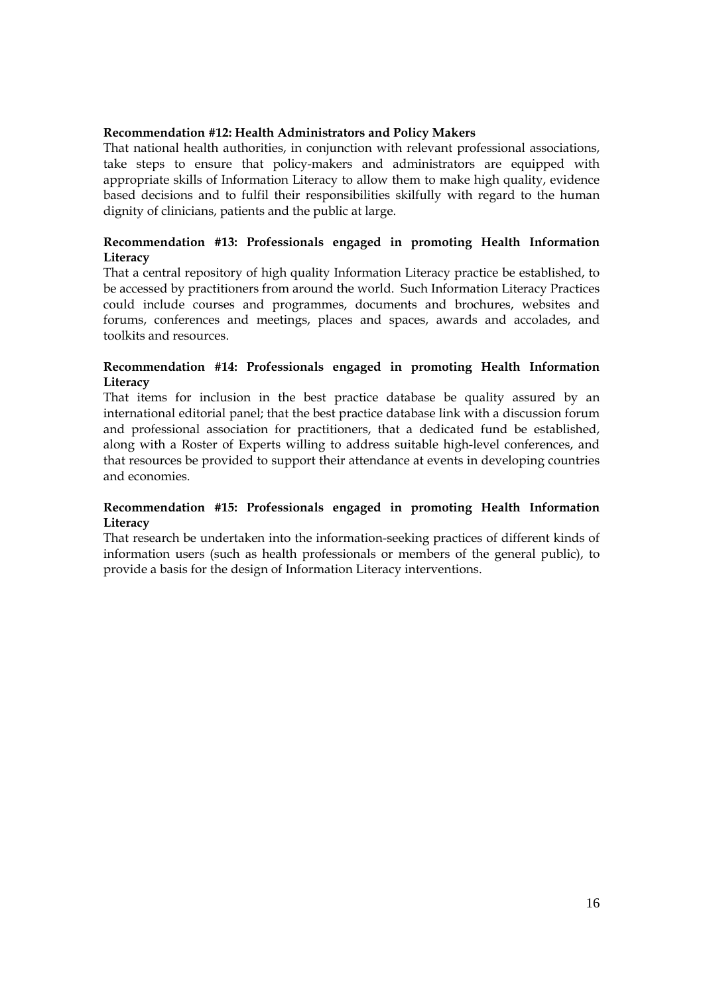### **Recommendation #12: Health Administrators and Policy Makers**

That national health authorities, in conjunction with relevant professional associations, take steps to ensure that policy-makers and administrators are equipped with appropriate skills of Information Literacy to allow them to make high quality, evidence based decisions and to fulfil their responsibilities skilfully with regard to the human dignity of clinicians, patients and the public at large.

# **Recommendation #13: Professionals engaged in promoting Health Information Literacy**

That a central repository of high quality Information Literacy practice be established, to be accessed by practitioners from around the world. Such Information Literacy Practices could include courses and programmes, documents and brochures, websites and forums, conferences and meetings, places and spaces, awards and accolades, and toolkits and resources.

# **Recommendation #14: Professionals engaged in promoting Health Information Literacy**

That items for inclusion in the best practice database be quality assured by an international editorial panel; that the best practice database link with a discussion forum and professional association for practitioners, that a dedicated fund be established, along with a Roster of Experts willing to address suitable high-level conferences, and that resources be provided to support their attendance at events in developing countries and economies.

# **Recommendation #15: Professionals engaged in promoting Health Information Literacy**

That research be undertaken into the information-seeking practices of different kinds of information users (such as health professionals or members of the general public), to provide a basis for the design of Information Literacy interventions.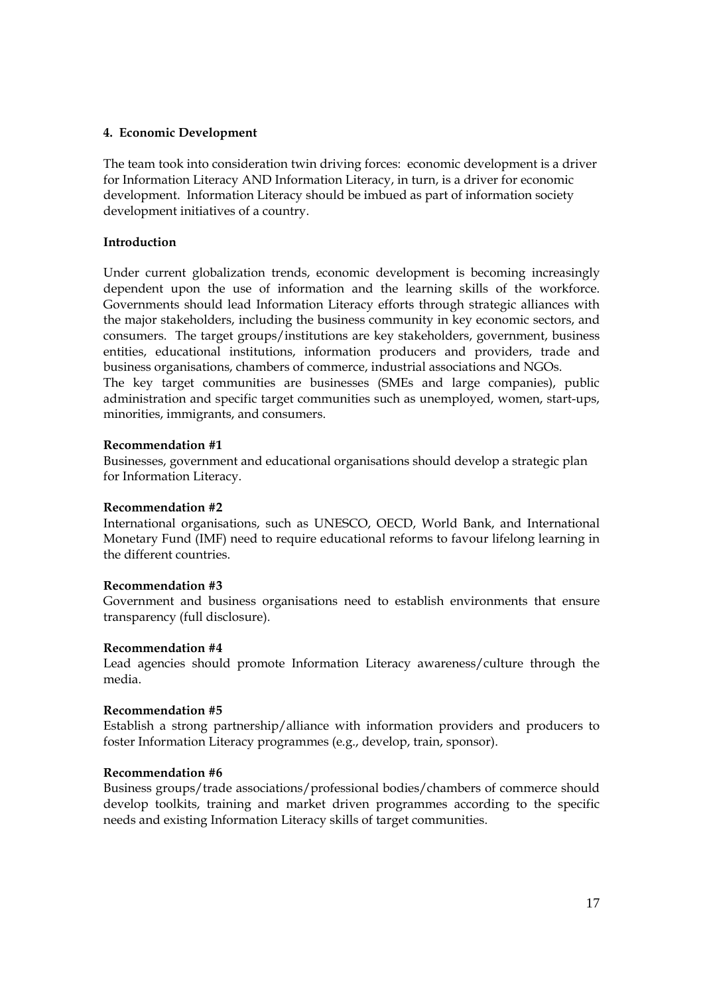### **4. Economic Development**

The team took into consideration twin driving forces: economic development is a driver for Information Literacy AND Information Literacy, in turn, is a driver for economic development. Information Literacy should be imbued as part of information society development initiatives of a country.

# **Introduction**

Under current globalization trends, economic development is becoming increasingly dependent upon the use of information and the learning skills of the workforce. Governments should lead Information Literacy efforts through strategic alliances with the major stakeholders, including the business community in key economic sectors, and consumers. The target groups/institutions are key stakeholders, government, business entities, educational institutions, information producers and providers, trade and business organisations, chambers of commerce, industrial associations and NGOs. The key target communities are businesses (SMEs and large companies), public

administration and specific target communities such as unemployed, women, start-ups, minorities, immigrants, and consumers.

### **Recommendation #1**

Businesses, government and educational organisations should develop a strategic plan for Information Literacy.

### **Recommendation #2**

International organisations, such as UNESCO, OECD, World Bank, and International Monetary Fund (IMF) need to require educational reforms to favour lifelong learning in the different countries.

#### **Recommendation #3**

Government and business organisations need to establish environments that ensure transparency (full disclosure).

#### **Recommendation #4**

Lead agencies should promote Information Literacy awareness/culture through the media.

### **Recommendation #5**

Establish a strong partnership/alliance with information providers and producers to foster Information Literacy programmes (e.g., develop, train, sponsor).

#### **Recommendation #6**

Business groups/trade associations/professional bodies/chambers of commerce should develop toolkits, training and market driven programmes according to the specific needs and existing Information Literacy skills of target communities.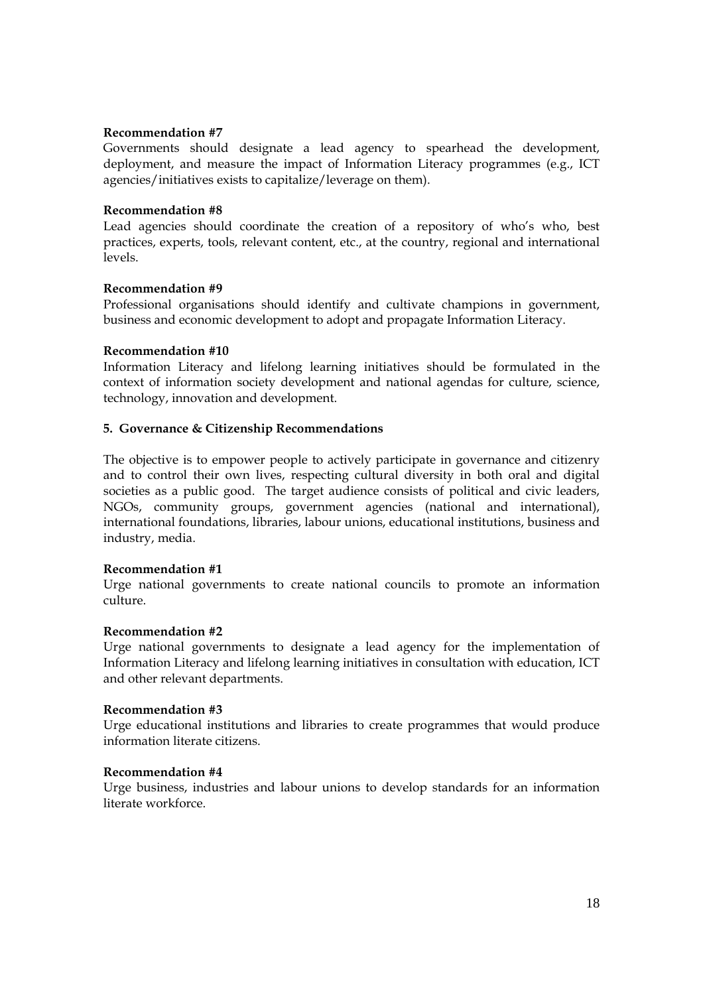### **Recommendation #7**

Governments should designate a lead agency to spearhead the development, deployment, and measure the impact of Information Literacy programmes (e.g., ICT agencies/initiatives exists to capitalize/leverage on them).

### **Recommendation #8**

Lead agencies should coordinate the creation of a repository of who's who, best practices, experts, tools, relevant content, etc., at the country, regional and international levels.

### **Recommendation #9**

Professional organisations should identify and cultivate champions in government, business and economic development to adopt and propagate Information Literacy.

### **Recommendation #10**

Information Literacy and lifelong learning initiatives should be formulated in the context of information society development and national agendas for culture, science, technology, innovation and development.

### **5. Governance & Citizenship Recommendations**

The objective is to empower people to actively participate in governance and citizenry and to control their own lives, respecting cultural diversity in both oral and digital societies as a public good. The target audience consists of political and civic leaders, NGOs, community groups, government agencies (national and international), international foundations, libraries, labour unions, educational institutions, business and industry, media.

### **Recommendation #1**

Urge national governments to create national councils to promote an information culture.

#### **Recommendation #2**

Urge national governments to designate a lead agency for the implementation of Information Literacy and lifelong learning initiatives in consultation with education, ICT and other relevant departments.

#### **Recommendation #3**

Urge educational institutions and libraries to create programmes that would produce information literate citizens.

#### **Recommendation #4**

Urge business, industries and labour unions to develop standards for an information literate workforce.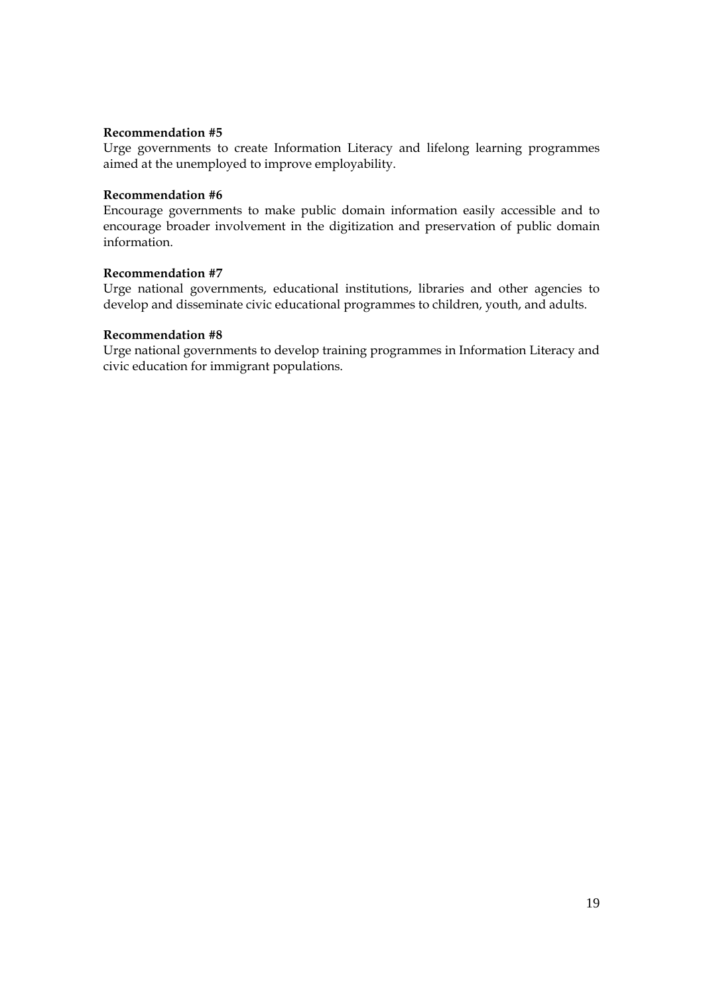### **Recommendation #5**

Urge governments to create Information Literacy and lifelong learning programmes aimed at the unemployed to improve employability.

### **Recommendation #6**

Encourage governments to make public domain information easily accessible and to encourage broader involvement in the digitization and preservation of public domain information.

# **Recommendation #7**

Urge national governments, educational institutions, libraries and other agencies to develop and disseminate civic educational programmes to children, youth, and adults.

# **Recommendation #8**

Urge national governments to develop training programmes in Information Literacy and civic education for immigrant populations.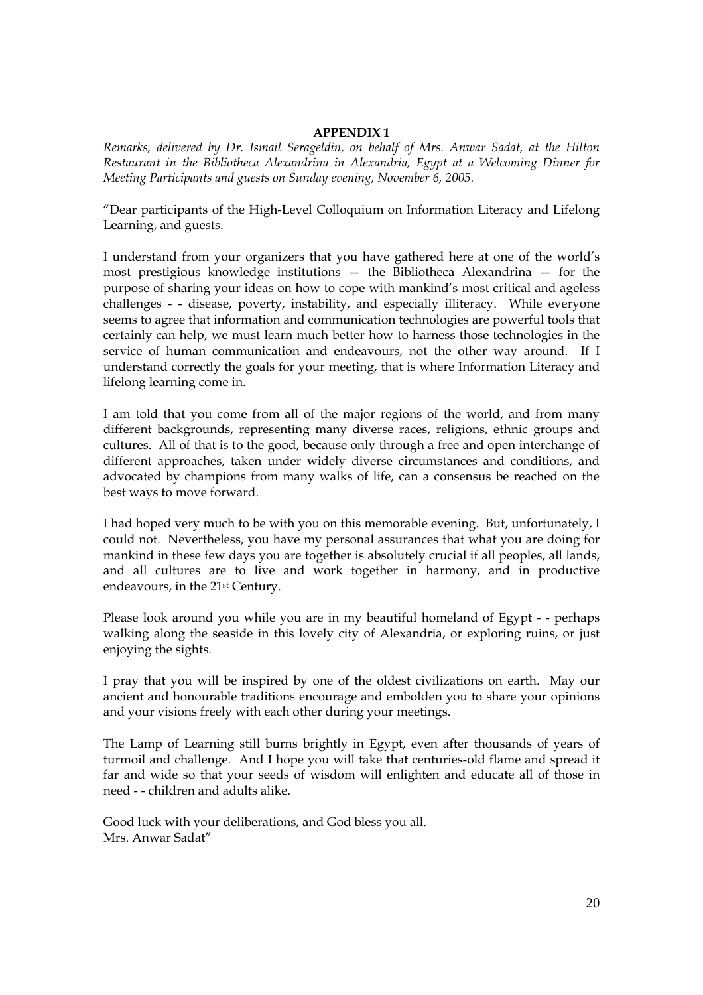### **APPENDIX 1**

*Remarks, delivered by Dr. Ismail Serageldin, on behalf of Mrs. Anwar Sadat, at the Hilton Restaurant in the Bibliotheca Alexandrina in Alexandria, Egypt at a Welcoming Dinner for Meeting Participants and guests on Sunday evening, November 6, 2005.* 

"Dear participants of the High-Level Colloquium on Information Literacy and Lifelong Learning, and guests.

I understand from your organizers that you have gathered here at one of the world's most prestigious knowledge institutions — the Bibliotheca Alexandrina — for the purpose of sharing your ideas on how to cope with mankind's most critical and ageless challenges - - disease, poverty, instability, and especially illiteracy. While everyone seems to agree that information and communication technologies are powerful tools that certainly can help, we must learn much better how to harness those technologies in the service of human communication and endeavours, not the other way around. If I understand correctly the goals for your meeting, that is where Information Literacy and lifelong learning come in.

I am told that you come from all of the major regions of the world, and from many different backgrounds, representing many diverse races, religions, ethnic groups and cultures. All of that is to the good, because only through a free and open interchange of different approaches, taken under widely diverse circumstances and conditions, and advocated by champions from many walks of life, can a consensus be reached on the best ways to move forward.

I had hoped very much to be with you on this memorable evening. But, unfortunately, I could not. Nevertheless, you have my personal assurances that what you are doing for mankind in these few days you are together is absolutely crucial if all peoples, all lands, and all cultures are to live and work together in harmony, and in productive endeavours, in the 21st Century.

Please look around you while you are in my beautiful homeland of Egypt - - perhaps walking along the seaside in this lovely city of Alexandria, or exploring ruins, or just enjoying the sights.

I pray that you will be inspired by one of the oldest civilizations on earth. May our ancient and honourable traditions encourage and embolden you to share your opinions and your visions freely with each other during your meetings.

The Lamp of Learning still burns brightly in Egypt, even after thousands of years of turmoil and challenge. And I hope you will take that centuries-old flame and spread it far and wide so that your seeds of wisdom will enlighten and educate all of those in need - - children and adults alike.

Good luck with your deliberations, and God bless you all. Mrs. Anwar Sadat"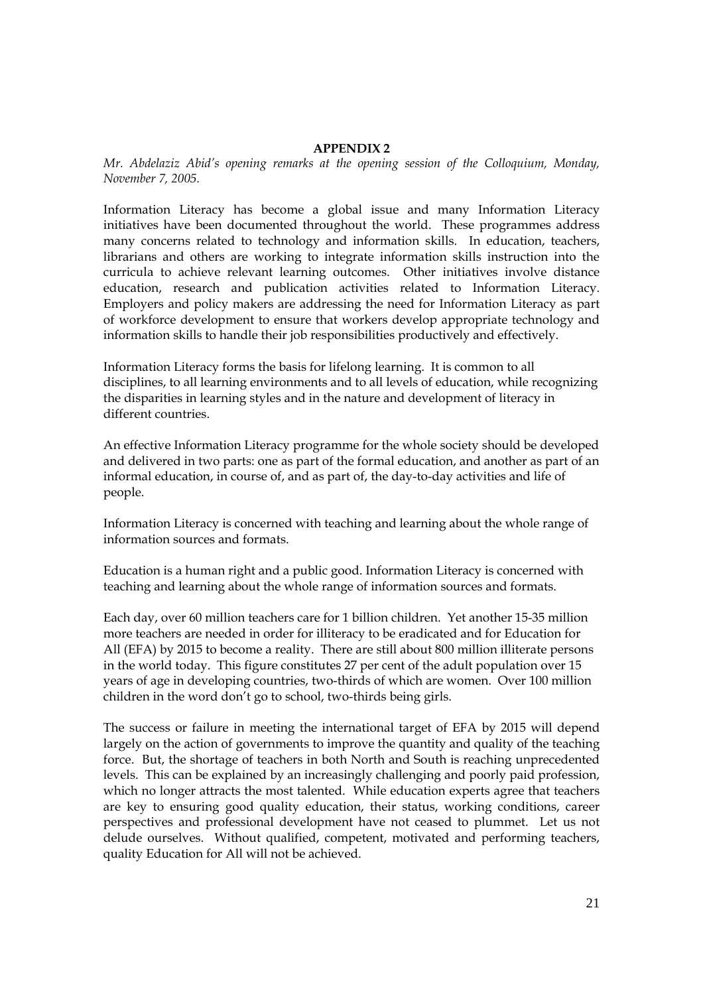### **APPENDIX 2**

*Mr. Abdelaziz Abid's opening remarks at the opening session of the Colloquium, Monday, November 7, 2005.* 

Information Literacy has become a global issue and many Information Literacy initiatives have been documented throughout the world. These programmes address many concerns related to technology and information skills. In education, teachers, librarians and others are working to integrate information skills instruction into the curricula to achieve relevant learning outcomes. Other initiatives involve distance education, research and publication activities related to Information Literacy. Employers and policy makers are addressing the need for Information Literacy as part of workforce development to ensure that workers develop appropriate technology and information skills to handle their job responsibilities productively and effectively.

Information Literacy forms the basis for lifelong learning. It is common to all disciplines, to all learning environments and to all levels of education, while recognizing the disparities in learning styles and in the nature and development of literacy in different countries.

An effective Information Literacy programme for the whole society should be developed and delivered in two parts: one as part of the formal education, and another as part of an informal education, in course of, and as part of, the day-to-day activities and life of people.

Information Literacy is concerned with teaching and learning about the whole range of information sources and formats.

Education is a human right and a public good. Information Literacy is concerned with teaching and learning about the whole range of information sources and formats.

Each day, over 60 million teachers care for 1 billion children. Yet another 15-35 million more teachers are needed in order for illiteracy to be eradicated and for Education for All (EFA) by 2015 to become a reality. There are still about 800 million illiterate persons in the world today. This figure constitutes 27 per cent of the adult population over 15 years of age in developing countries, two-thirds of which are women. Over 100 million children in the word don't go to school, two-thirds being girls.

The success or failure in meeting the international target of EFA by 2015 will depend largely on the action of governments to improve the quantity and quality of the teaching force. But, the shortage of teachers in both North and South is reaching unprecedented levels. This can be explained by an increasingly challenging and poorly paid profession, which no longer attracts the most talented. While education experts agree that teachers are key to ensuring good quality education, their status, working conditions, career perspectives and professional development have not ceased to plummet. Let us not delude ourselves. Without qualified, competent, motivated and performing teachers, quality Education for All will not be achieved.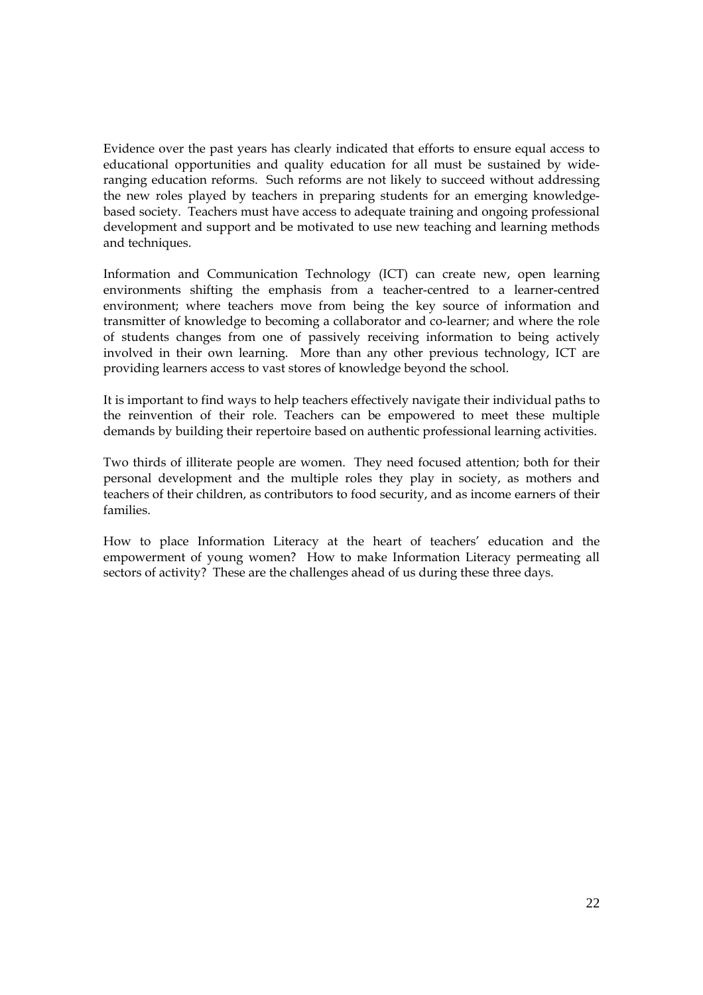Evidence over the past years has clearly indicated that efforts to ensure equal access to educational opportunities and quality education for all must be sustained by wideranging education reforms. Such reforms are not likely to succeed without addressing the new roles played by teachers in preparing students for an emerging knowledgebased society. Teachers must have access to adequate training and ongoing professional development and support and be motivated to use new teaching and learning methods and techniques.

Information and Communication Technology (ICT) can create new, open learning environments shifting the emphasis from a teacher-centred to a learner-centred environment; where teachers move from being the key source of information and transmitter of knowledge to becoming a collaborator and co-learner; and where the role of students changes from one of passively receiving information to being actively involved in their own learning. More than any other previous technology, ICT are providing learners access to vast stores of knowledge beyond the school.

It is important to find ways to help teachers effectively navigate their individual paths to the reinvention of their role. Teachers can be empowered to meet these multiple demands by building their repertoire based on authentic professional learning activities.

Two thirds of illiterate people are women. They need focused attention; both for their personal development and the multiple roles they play in society, as mothers and teachers of their children, as contributors to food security, and as income earners of their families.

How to place Information Literacy at the heart of teachers' education and the empowerment of young women? How to make Information Literacy permeating all sectors of activity? These are the challenges ahead of us during these three days.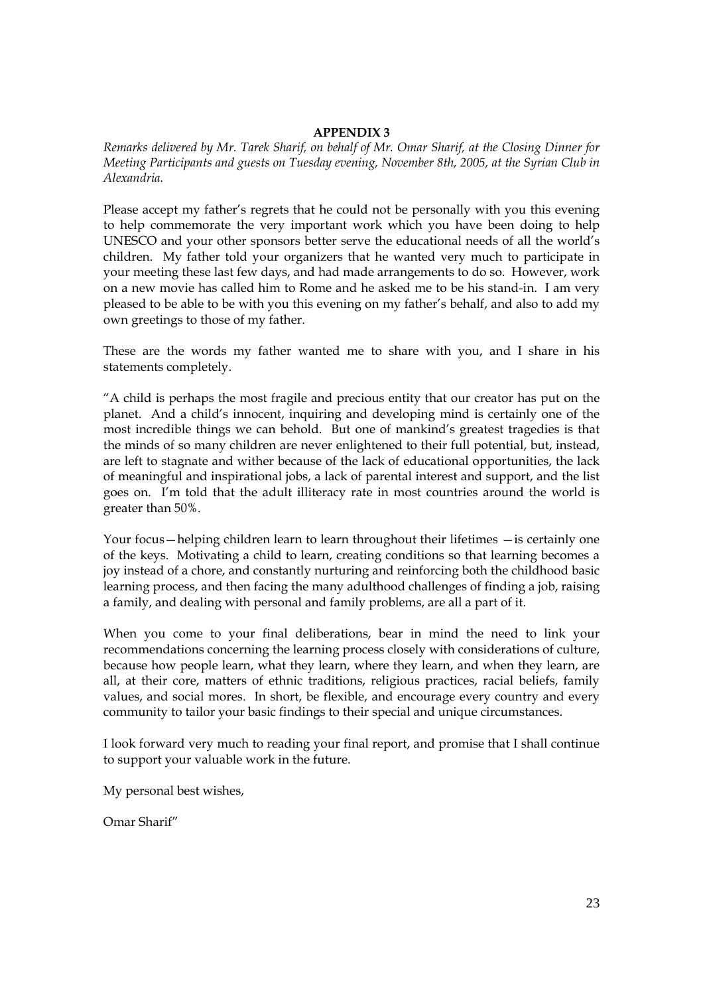### **APPENDIX 3**

*Remarks delivered by Mr. Tarek Sharif, on behalf of Mr. Omar Sharif, at the Closing Dinner for Meeting Participants and guests on Tuesday evening, November 8th, 2005, at the Syrian Club in Alexandria.* 

Please accept my father's regrets that he could not be personally with you this evening to help commemorate the very important work which you have been doing to help UNESCO and your other sponsors better serve the educational needs of all the world's children. My father told your organizers that he wanted very much to participate in your meeting these last few days, and had made arrangements to do so. However, work on a new movie has called him to Rome and he asked me to be his stand-in. I am very pleased to be able to be with you this evening on my father's behalf, and also to add my own greetings to those of my father.

These are the words my father wanted me to share with you, and I share in his statements completely.

"A child is perhaps the most fragile and precious entity that our creator has put on the planet. And a child's innocent, inquiring and developing mind is certainly one of the most incredible things we can behold. But one of mankind's greatest tragedies is that the minds of so many children are never enlightened to their full potential, but, instead, are left to stagnate and wither because of the lack of educational opportunities, the lack of meaningful and inspirational jobs, a lack of parental interest and support, and the list goes on. I'm told that the adult illiteracy rate in most countries around the world is greater than 50%.

Your focus—helping children learn to learn throughout their lifetimes —is certainly one of the keys. Motivating a child to learn, creating conditions so that learning becomes a joy instead of a chore, and constantly nurturing and reinforcing both the childhood basic learning process, and then facing the many adulthood challenges of finding a job, raising a family, and dealing with personal and family problems, are all a part of it.

When you come to your final deliberations, bear in mind the need to link your recommendations concerning the learning process closely with considerations of culture, because how people learn, what they learn, where they learn, and when they learn, are all, at their core, matters of ethnic traditions, religious practices, racial beliefs, family values, and social mores. In short, be flexible, and encourage every country and every community to tailor your basic findings to their special and unique circumstances.

I look forward very much to reading your final report, and promise that I shall continue to support your valuable work in the future.

My personal best wishes,

Omar Sharif"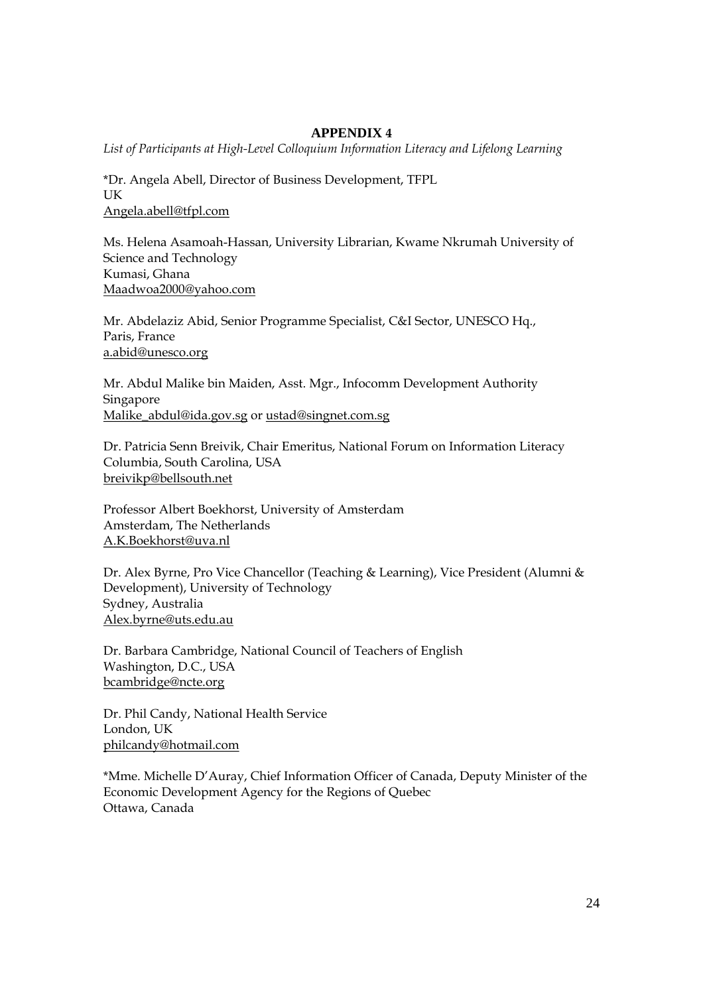# **APPENDIX 4**

*List of Participants at High-Level Colloquium Information Literacy and Lifelong Learning* 

\*Dr. Angela Abell, Director of Business Development, TFPL UK Angela.abell@tfpl.com

Ms. Helena Asamoah-Hassan, University Librarian, Kwame Nkrumah University of Science and Technology Kumasi, Ghana Maadwoa2000@yahoo.com

Mr. Abdelaziz Abid, Senior Programme Specialist, C&I Sector, UNESCO Hq., Paris, France a.abid@unesco.org

Mr. Abdul Malike bin Maiden, Asst. Mgr., Infocomm Development Authority Singapore Malike\_abdul@ida.gov.sg or ustad@singnet.com.sg

Dr. Patricia Senn Breivik, Chair Emeritus, National Forum on Information Literacy Columbia, South Carolina, USA breivikp@bellsouth.net

Professor Albert Boekhorst, University of Amsterdam Amsterdam, The Netherlands A.K.Boekhorst@uva.nl

Dr. Alex Byrne, Pro Vice Chancellor (Teaching & Learning), Vice President (Alumni & Development), University of Technology Sydney, Australia Alex.byrne@uts.edu.au

Dr. Barbara Cambridge, National Council of Teachers of English Washington, D.C., USA bcambridge@ncte.org

Dr. Phil Candy, National Health Service London, UK philcandy@hotmail.com

\*Mme. Michelle D'Auray, Chief Information Officer of Canada, Deputy Minister of the Economic Development Agency for the Regions of Quebec Ottawa, Canada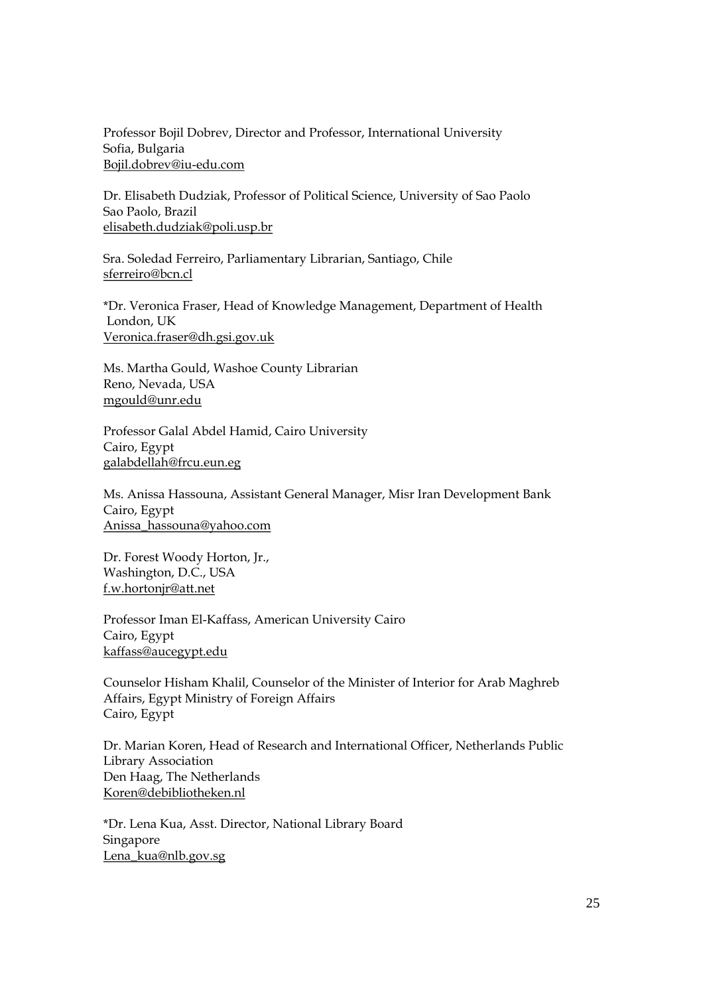Professor Bojil Dobrev, Director and Professor, International University Sofia, Bulgaria Bojil.dobrev@iu-edu.com

Dr. Elisabeth Dudziak, Professor of Political Science, University of Sao Paolo Sao Paolo, Brazil elisabeth.dudziak@poli.usp.br

Sra. Soledad Ferreiro, Parliamentary Librarian, Santiago, Chile sferreiro@bcn.cl

\*Dr. Veronica Fraser, Head of Knowledge Management, Department of Health London, UK Veronica.fraser@dh.gsi.gov.uk

Ms. Martha Gould, Washoe County Librarian Reno, Nevada, USA mgould@unr.edu

Professor Galal Abdel Hamid, Cairo University Cairo, Egypt galabdellah@frcu.eun.eg

Ms. Anissa Hassouna, Assistant General Manager, Misr Iran Development Bank Cairo, Egypt Anissa\_hassouna@yahoo.com

Dr. Forest Woody Horton, Jr., Washington, D.C., USA f.w.hortonjr@att.net

Professor Iman El-Kaffass, American University Cairo Cairo, Egypt kaffass@aucegypt.edu

Counselor Hisham Khalil, Counselor of the Minister of Interior for Arab Maghreb Affairs, Egypt Ministry of Foreign Affairs Cairo, Egypt

Dr. Marian Koren, Head of Research and International Officer, Netherlands Public Library Association Den Haag, The Netherlands Koren@debibliotheken.nl

\*Dr. Lena Kua, Asst. Director, National Library Board Singapore Lena\_kua@nlb.gov.sg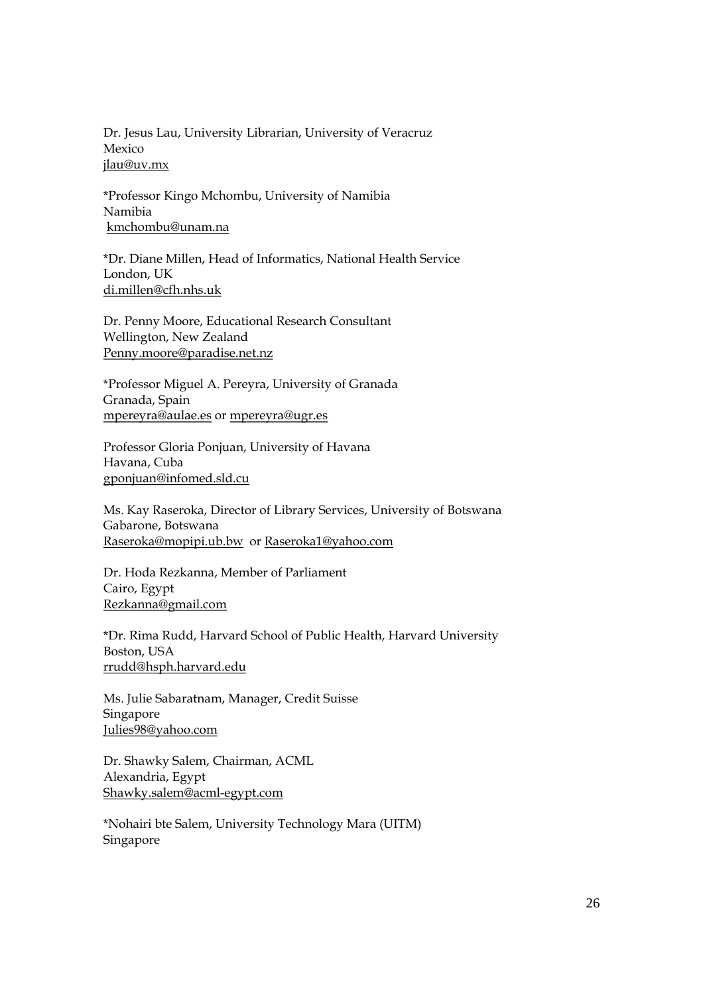Dr. Jesus Lau, University Librarian, University of Veracruz Mexico jlau@uv.mx

\*Professor Kingo Mchombu, University of Namibia Namibia kmchombu@unam.na

\*Dr. Diane Millen, Head of Informatics, National Health Service London, UK di.millen@cfh.nhs.uk

Dr. Penny Moore, Educational Research Consultant Wellington, New Zealand Penny.moore@paradise.net.nz

\*Professor Miguel A. Pereyra, University of Granada Granada, Spain mpereyra@aulae.es or mpereyra@ugr.es

Professor Gloria Ponjuan, University of Havana Havana, Cuba gponjuan@infomed.sld.cu

Ms. Kay Raseroka, Director of Library Services, University of Botswana Gabarone, Botswana Raseroka@mopipi.ub.bw or Raseroka1@yahoo.com

Dr. Hoda Rezkanna, Member of Parliament Cairo, Egypt Rezkanna@gmail.com

\*Dr. Rima Rudd, Harvard School of Public Health, Harvard University Boston, USA rrudd@hsph.harvard.edu

Ms. Julie Sabaratnam, Manager, Credit Suisse Singapore Julies98@yahoo.com

Dr. Shawky Salem, Chairman, ACML Alexandria, Egypt Shawky.salem@acml-egypt.com

\*Nohairi bte Salem, University Technology Mara (UITM) Singapore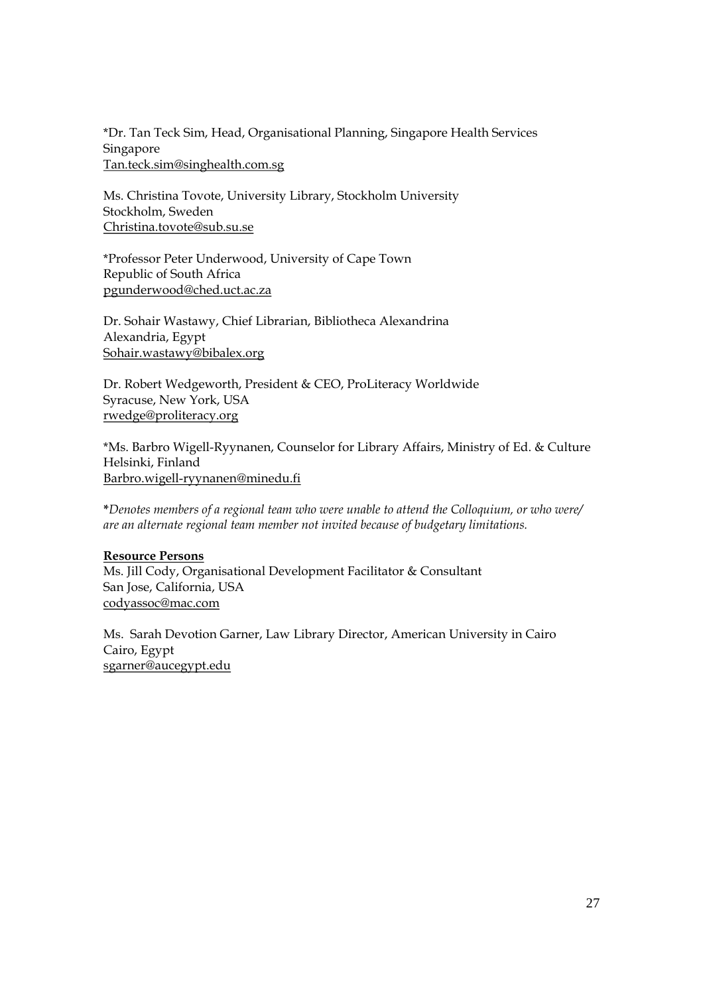\*Dr. Tan Teck Sim, Head, Organisational Planning, Singapore Health Services Singapore Tan.teck.sim@singhealth.com.sg

Ms. Christina Tovote, University Library, Stockholm University Stockholm, Sweden Christina.tovote@sub.su.se

\*Professor Peter Underwood, University of Cape Town Republic of South Africa pgunderwood@ched.uct.ac.za

Dr. Sohair Wastawy, Chief Librarian, Bibliotheca Alexandrina Alexandria, Egypt Sohair.wastawy@bibalex.org

Dr. Robert Wedgeworth, President & CEO, ProLiteracy Worldwide Syracuse, New York, USA rwedge@proliteracy.org

\*Ms. Barbro Wigell-Ryynanen, Counselor for Library Affairs, Ministry of Ed. & Culture Helsinki, Finland Barbro.wigell-ryynanen@minedu.fi

**\****Denotes members of a regional team who were unable to attend the Colloquium, or who were/ are an alternate regional team member not invited because of budgetary limitations.* 

### **Resource Persons**

Ms. Jill Cody, Organisational Development Facilitator & Consultant San Jose, California, USA codyassoc@mac.com

Ms. Sarah Devotion Garner, Law Library Director, American University in Cairo Cairo, Egypt sgarner@aucegypt.edu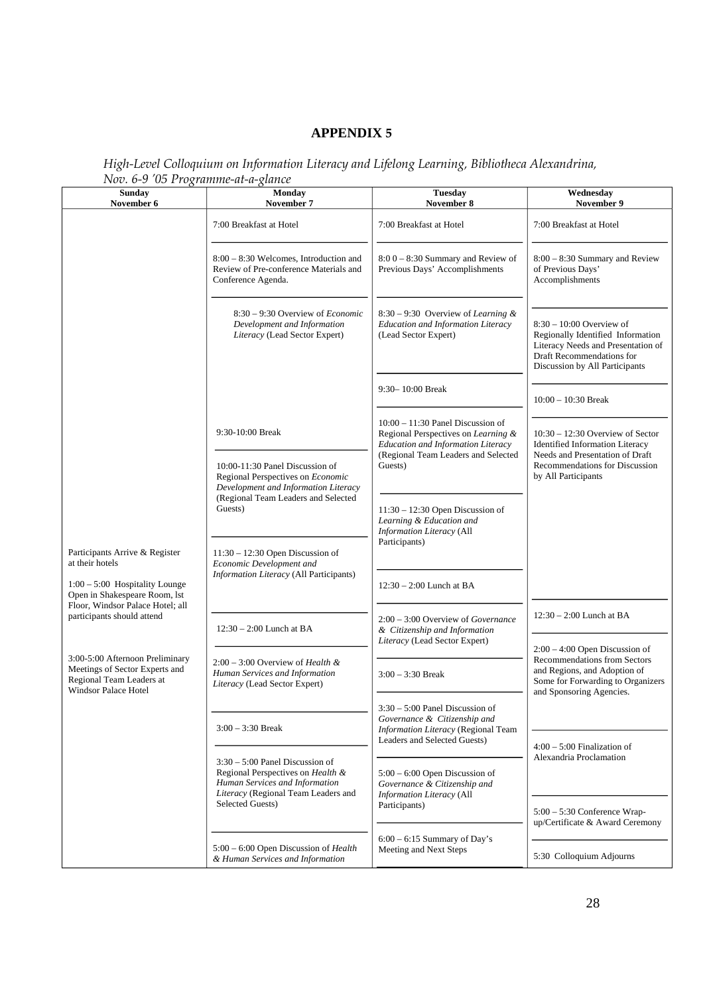# **APPENDIX 5**

|  | High-Level Colloquium on Information Literacy and Lifelong Learning, Bibliotheca Alexandrina, |  |  |  |
|--|-----------------------------------------------------------------------------------------------|--|--|--|
|  | Nov. 6-9 '05 Programme-at-a-glance                                                            |  |  |  |

| <b>Sunday</b><br>November 6                                                                                                  | <b>Monday</b><br>November 7                                                                                                                     | <b>Tuesday</b><br>November 8                                                                                     | Wednesday<br>November 9                                                                                                                                                  |  |
|------------------------------------------------------------------------------------------------------------------------------|-------------------------------------------------------------------------------------------------------------------------------------------------|------------------------------------------------------------------------------------------------------------------|--------------------------------------------------------------------------------------------------------------------------------------------------------------------------|--|
|                                                                                                                              | 7:00 Breakfast at Hotel                                                                                                                         | 7:00 Breakfast at Hotel                                                                                          | 7:00 Breakfast at Hotel                                                                                                                                                  |  |
|                                                                                                                              | 8:00 – 8:30 Welcomes, Introduction and<br>Review of Pre-conference Materials and<br>Conference Agenda.                                          | $8:00 - 8:30$ Summary and Review of<br>Previous Days' Accomplishments                                            | 8:00 - 8:30 Summary and Review<br>of Previous Days'<br>Accomplishments                                                                                                   |  |
|                                                                                                                              | $8:30 - 9:30$ Overview of <i>Economic</i><br>Development and Information<br>Literacy (Lead Sector Expert)                                       | $8:30 - 9:30$ Overview of Learning &<br><b>Education and Information Literacy</b><br>(Lead Sector Expert)        | $8:30 - 10:00$ Overview of<br>Regionally Identified Information<br>Literacy Needs and Presentation of<br>Draft Recommendations for<br>Discussion by All Participants     |  |
|                                                                                                                              |                                                                                                                                                 | 9:30-10:00 Break                                                                                                 | $10:00 - 10:30$ Break                                                                                                                                                    |  |
|                                                                                                                              | 9:30-10:00 Break                                                                                                                                | $10:00 - 11:30$ Panel Discussion of<br>Regional Perspectives on Learning &<br>Education and Information Literacy | $10:30 - 12:30$ Overview of Sector<br><b>Identified Information Literacy</b><br>Needs and Presentation of Draft<br>Recommendations for Discussion<br>by All Participants |  |
| Participants Arrive & Register<br>at their hotels                                                                            | 10:00-11:30 Panel Discussion of<br>Regional Perspectives on <i>Economic</i><br>Development and Information Literacy                             | (Regional Team Leaders and Selected<br>Guests)                                                                   |                                                                                                                                                                          |  |
|                                                                                                                              | (Regional Team Leaders and Selected<br>Guests)                                                                                                  | $11:30 - 12:30$ Open Discussion of<br>Learning & Education and<br>Information Literacy (All                      |                                                                                                                                                                          |  |
|                                                                                                                              | $11:30 - 12:30$ Open Discussion of<br>Economic Development and                                                                                  | Participants)                                                                                                    |                                                                                                                                                                          |  |
| $1:00 - 5:00$ Hospitality Lounge<br>Open in Shakespeare Room, lst<br>Floor, Windsor Palace Hotel; all                        | <b>Information Literacy</b> (All Participants)                                                                                                  | $12:30 - 2:00$ Lunch at BA                                                                                       |                                                                                                                                                                          |  |
| participants should attend                                                                                                   | $12:30 - 2:00$ Lunch at BA                                                                                                                      | $2:00 - 3:00$ Overview of Governance<br>& Citizenship and Information                                            | $12:30 - 2:00$ Lunch at BA                                                                                                                                               |  |
|                                                                                                                              |                                                                                                                                                 | Literacy (Lead Sector Expert)                                                                                    | $2:00 - 4:00$ Open Discussion of<br>Recommendations from Sectors                                                                                                         |  |
| 3:00-5:00 Afternoon Preliminary<br>Meetings of Sector Experts and<br>Regional Team Leaders at<br><b>Windsor Palace Hotel</b> | $2:00 - 3:00$ Overview of Health &<br>Human Services and Information<br>Literacy (Lead Sector Expert)                                           | $3:00 - 3:30$ Break                                                                                              | and Regions, and Adoption of<br>Some for Forwarding to Organizers<br>and Sponsoring Agencies.                                                                            |  |
|                                                                                                                              | $3:00 - 3:30$ Break                                                                                                                             | $3:30 - 5:00$ Panel Discussion of<br>Governance & Citizenship and<br>Information Literacy (Regional Team         |                                                                                                                                                                          |  |
|                                                                                                                              |                                                                                                                                                 | Leaders and Selected Guests)                                                                                     | $4:00 - 5:00$ Finalization of<br>Alexandria Proclamation                                                                                                                 |  |
|                                                                                                                              | $3:30 - 5:00$ Panel Discussion of<br>Regional Perspectives on Health &<br>Human Services and Information<br>Literacy (Regional Team Leaders and | $5:00 - 6:00$ Open Discussion of<br>Governance & Citizenship and<br><b>Information Literacy</b> (All             |                                                                                                                                                                          |  |
|                                                                                                                              | Selected Guests)                                                                                                                                | Participants)                                                                                                    | $5:00 - 5:30$ Conference Wrap-<br>up/Certificate & Award Ceremony                                                                                                        |  |
|                                                                                                                              | 5:00 - 6:00 Open Discussion of Health<br>& Human Services and Information                                                                       | $6:00 - 6:15$ Summary of Day's<br>Meeting and Next Steps                                                         | 5:30 Colloquium Adjourns                                                                                                                                                 |  |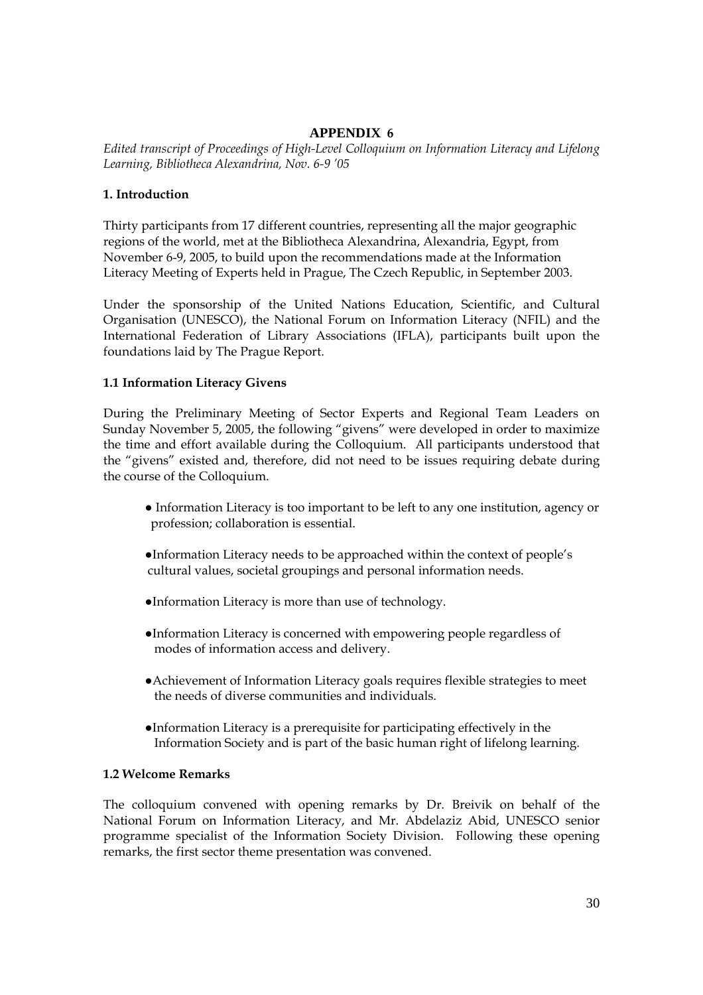# **APPENDIX 6**

*Edited transcript of Proceedings of High-Level Colloquium on Information Literacy and Lifelong Learning, Bibliotheca Alexandrina, Nov. 6-9 '05* 

### **1. Introduction**

Thirty participants from 17 different countries, representing all the major geographic regions of the world, met at the Bibliotheca Alexandrina, Alexandria, Egypt, from November 6-9, 2005, to build upon the recommendations made at the Information Literacy Meeting of Experts held in Prague, The Czech Republic, in September 2003.

Under the sponsorship of the United Nations Education, Scientific, and Cultural Organisation (UNESCO), the National Forum on Information Literacy (NFIL) and the International Federation of Library Associations (IFLA), participants built upon the foundations laid by The Prague Report.

# **1.1 Information Literacy Givens**

During the Preliminary Meeting of Sector Experts and Regional Team Leaders on Sunday November 5, 2005, the following "givens" were developed in order to maximize the time and effort available during the Colloquium. All participants understood that the "givens" existed and, therefore, did not need to be issues requiring debate during the course of the Colloquium.

- Information Literacy is too important to be left to any one institution, agency or profession; collaboration is essential.
- ●Information Literacy needs to be approached within the context of people's cultural values, societal groupings and personal information needs.
- ●Information Literacy is more than use of technology.
- ●Information Literacy is concerned with empowering people regardless of modes of information access and delivery.
- ●Achievement of Information Literacy goals requires flexible strategies to meet the needs of diverse communities and individuals.
- ●Information Literacy is a prerequisite for participating effectively in the Information Society and is part of the basic human right of lifelong learning.

### **1.2 Welcome Remarks**

The colloquium convened with opening remarks by Dr. Breivik on behalf of the National Forum on Information Literacy, and Mr. Abdelaziz Abid, UNESCO senior programme specialist of the Information Society Division. Following these opening remarks, the first sector theme presentation was convened.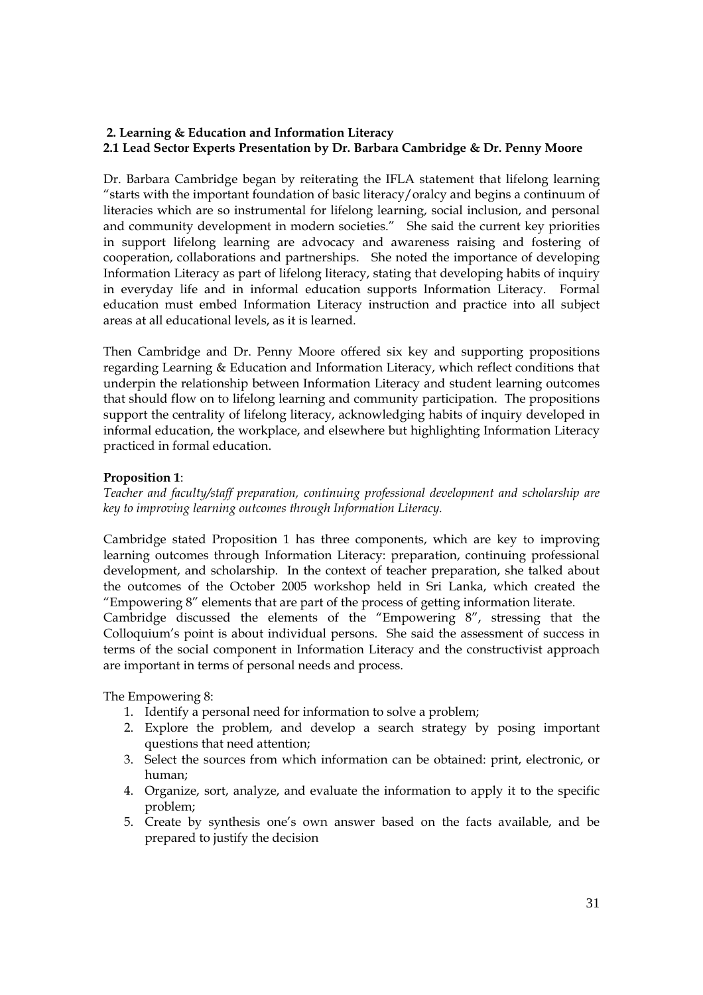# **2. Learning & Education and Information Literacy 2.1 Lead Sector Experts Presentation by Dr. Barbara Cambridge & Dr. Penny Moore**

Dr. Barbara Cambridge began by reiterating the IFLA statement that lifelong learning "starts with the important foundation of basic literacy/oralcy and begins a continuum of literacies which are so instrumental for lifelong learning, social inclusion, and personal and community development in modern societies." She said the current key priorities in support lifelong learning are advocacy and awareness raising and fostering of cooperation, collaborations and partnerships. She noted the importance of developing Information Literacy as part of lifelong literacy, stating that developing habits of inquiry in everyday life and in informal education supports Information Literacy. Formal education must embed Information Literacy instruction and practice into all subject areas at all educational levels, as it is learned.

Then Cambridge and Dr. Penny Moore offered six key and supporting propositions regarding Learning & Education and Information Literacy, which reflect conditions that underpin the relationship between Information Literacy and student learning outcomes that should flow on to lifelong learning and community participation. The propositions support the centrality of lifelong literacy, acknowledging habits of inquiry developed in informal education, the workplace, and elsewhere but highlighting Information Literacy practiced in formal education.

# **Proposition 1**:

*Teacher and faculty/staff preparation, continuing professional development and scholarship are key to improving learning outcomes through Information Literacy.* 

Cambridge stated Proposition 1 has three components, which are key to improving learning outcomes through Information Literacy: preparation, continuing professional development, and scholarship. In the context of teacher preparation, she talked about the outcomes of the October 2005 workshop held in Sri Lanka, which created the "Empowering 8" elements that are part of the process of getting information literate.

Cambridge discussed the elements of the "Empowering 8", stressing that the Colloquium's point is about individual persons. She said the assessment of success in terms of the social component in Information Literacy and the constructivist approach are important in terms of personal needs and process.

The Empowering 8:

- 1. Identify a personal need for information to solve a problem;
- 2. Explore the problem, and develop a search strategy by posing important questions that need attention;
- 3. Select the sources from which information can be obtained: print, electronic, or human;
- 4. Organize, sort, analyze, and evaluate the information to apply it to the specific problem;
- 5. Create by synthesis one's own answer based on the facts available, and be prepared to justify the decision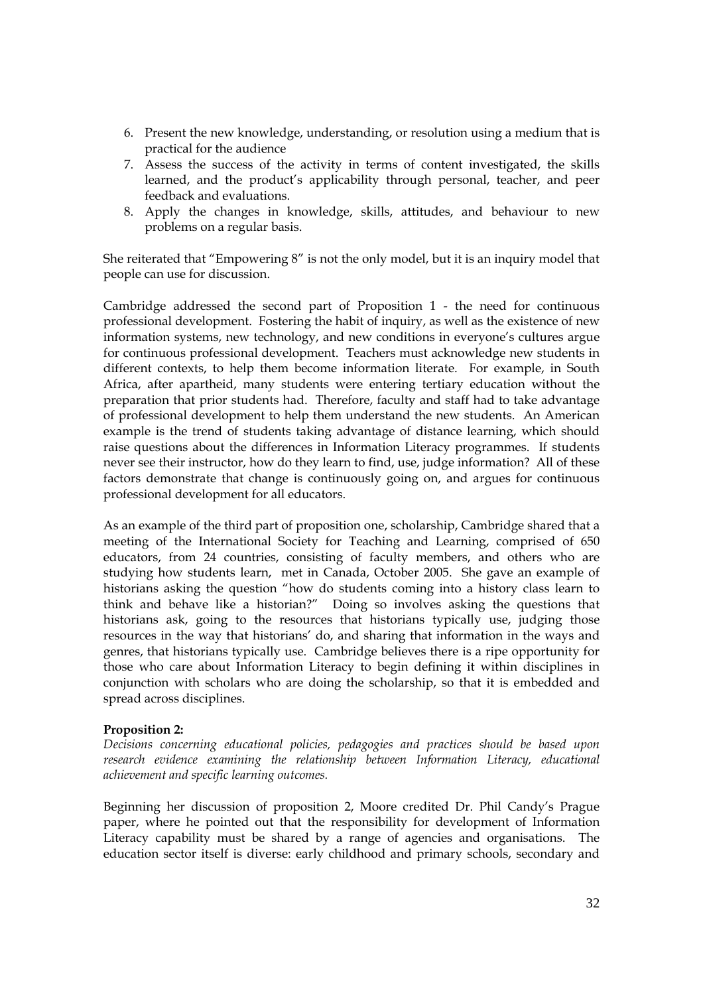- 6. Present the new knowledge, understanding, or resolution using a medium that is practical for the audience
- 7. Assess the success of the activity in terms of content investigated, the skills learned, and the product's applicability through personal, teacher, and peer feedback and evaluations.
- 8. Apply the changes in knowledge, skills, attitudes, and behaviour to new problems on a regular basis.

She reiterated that "Empowering 8" is not the only model, but it is an inquiry model that people can use for discussion.

Cambridge addressed the second part of Proposition 1 - the need for continuous professional development. Fostering the habit of inquiry, as well as the existence of new information systems, new technology, and new conditions in everyone's cultures argue for continuous professional development. Teachers must acknowledge new students in different contexts, to help them become information literate. For example, in South Africa, after apartheid, many students were entering tertiary education without the preparation that prior students had. Therefore, faculty and staff had to take advantage of professional development to help them understand the new students. An American example is the trend of students taking advantage of distance learning, which should raise questions about the differences in Information Literacy programmes. If students never see their instructor, how do they learn to find, use, judge information? All of these factors demonstrate that change is continuously going on, and argues for continuous professional development for all educators.

As an example of the third part of proposition one, scholarship, Cambridge shared that a meeting of the International Society for Teaching and Learning, comprised of 650 educators, from 24 countries, consisting of faculty members, and others who are studying how students learn, met in Canada, October 2005. She gave an example of historians asking the question "how do students coming into a history class learn to think and behave like a historian?" Doing so involves asking the questions that historians ask, going to the resources that historians typically use, judging those resources in the way that historians' do, and sharing that information in the ways and genres, that historians typically use. Cambridge believes there is a ripe opportunity for those who care about Information Literacy to begin defining it within disciplines in conjunction with scholars who are doing the scholarship, so that it is embedded and spread across disciplines.

### **Proposition 2:**

*Decisions concerning educational policies, pedagogies and practices should be based upon research evidence examining the relationship between Information Literacy, educational achievement and specific learning outcomes.* 

Beginning her discussion of proposition 2, Moore credited Dr. Phil Candy's Prague paper, where he pointed out that the responsibility for development of Information Literacy capability must be shared by a range of agencies and organisations. The education sector itself is diverse: early childhood and primary schools, secondary and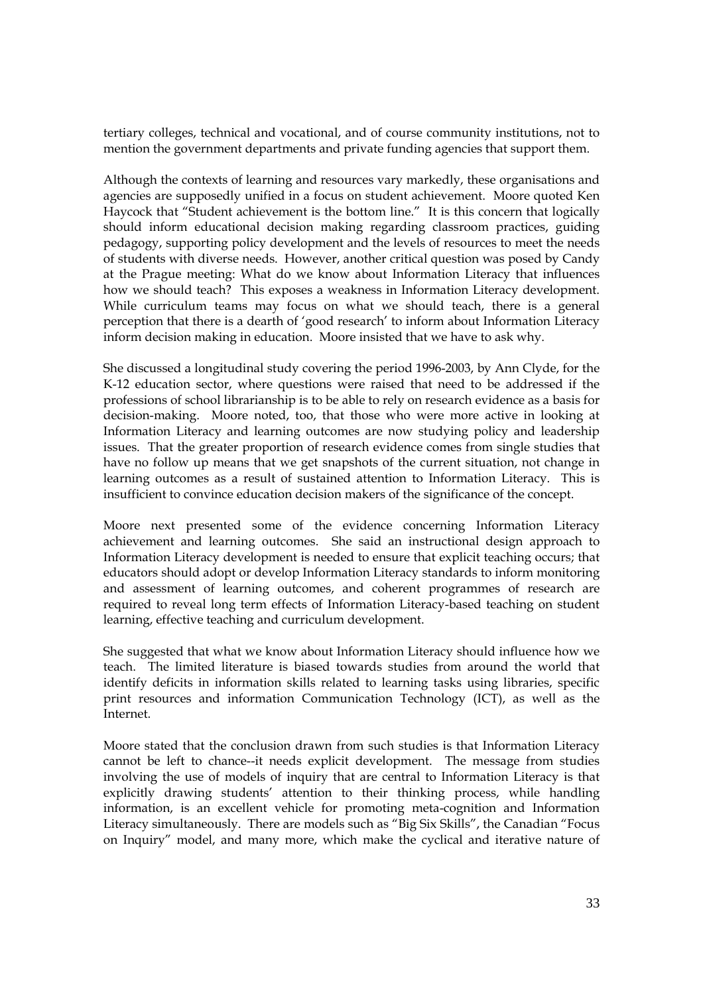tertiary colleges, technical and vocational, and of course community institutions, not to mention the government departments and private funding agencies that support them.

Although the contexts of learning and resources vary markedly, these organisations and agencies are supposedly unified in a focus on student achievement. Moore quoted Ken Haycock that "Student achievement is the bottom line." It is this concern that logically should inform educational decision making regarding classroom practices, guiding pedagogy, supporting policy development and the levels of resources to meet the needs of students with diverse needs. However, another critical question was posed by Candy at the Prague meeting: What do we know about Information Literacy that influences how we should teach? This exposes a weakness in Information Literacy development. While curriculum teams may focus on what we should teach, there is a general perception that there is a dearth of 'good research' to inform about Information Literacy inform decision making in education. Moore insisted that we have to ask why.

She discussed a longitudinal study covering the period 1996-2003, by Ann Clyde, for the K-12 education sector, where questions were raised that need to be addressed if the professions of school librarianship is to be able to rely on research evidence as a basis for decision-making. Moore noted, too, that those who were more active in looking at Information Literacy and learning outcomes are now studying policy and leadership issues. That the greater proportion of research evidence comes from single studies that have no follow up means that we get snapshots of the current situation, not change in learning outcomes as a result of sustained attention to Information Literacy. This is insufficient to convince education decision makers of the significance of the concept.

Moore next presented some of the evidence concerning Information Literacy achievement and learning outcomes. She said an instructional design approach to Information Literacy development is needed to ensure that explicit teaching occurs; that educators should adopt or develop Information Literacy standards to inform monitoring and assessment of learning outcomes, and coherent programmes of research are required to reveal long term effects of Information Literacy-based teaching on student learning, effective teaching and curriculum development.

She suggested that what we know about Information Literacy should influence how we teach. The limited literature is biased towards studies from around the world that identify deficits in information skills related to learning tasks using libraries, specific print resources and information Communication Technology (ICT), as well as the Internet.

Moore stated that the conclusion drawn from such studies is that Information Literacy cannot be left to chance--it needs explicit development. The message from studies involving the use of models of inquiry that are central to Information Literacy is that explicitly drawing students' attention to their thinking process, while handling information, is an excellent vehicle for promoting meta-cognition and Information Literacy simultaneously. There are models such as "Big Six Skills", the Canadian "Focus on Inquiry" model, and many more, which make the cyclical and iterative nature of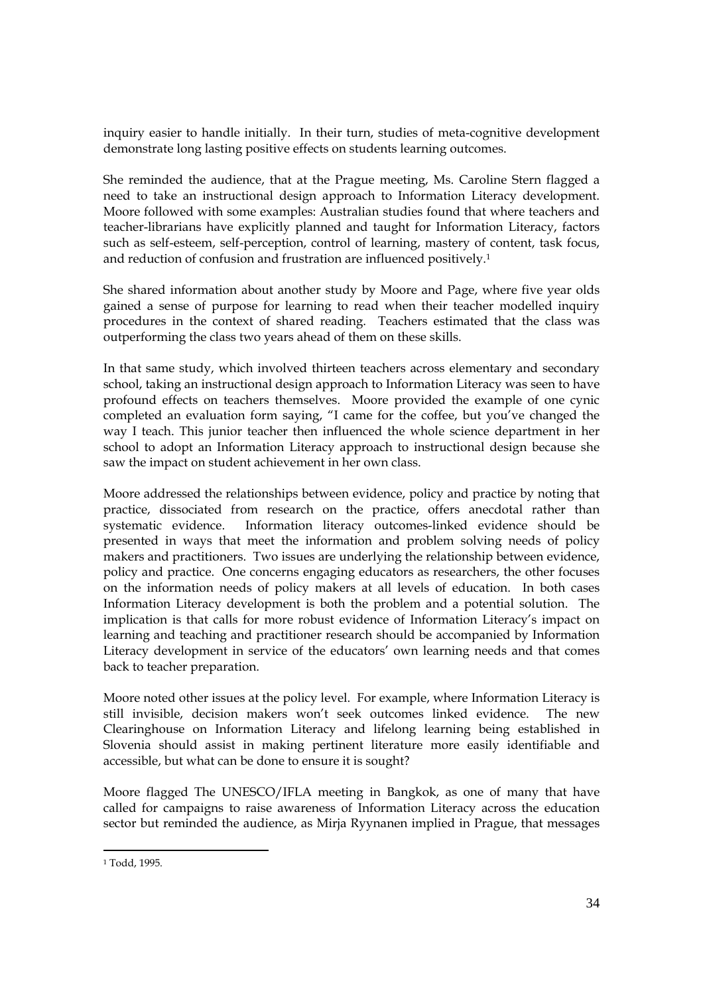inquiry easier to handle initially. In their turn, studies of meta-cognitive development demonstrate long lasting positive effects on students learning outcomes.

She reminded the audience, that at the Prague meeting, Ms. Caroline Stern flagged a need to take an instructional design approach to Information Literacy development. Moore followed with some examples: Australian studies found that where teachers and teacher-librarians have explicitly planned and taught for Information Literacy, factors such as self-esteem, self-perception, control of learning, mastery of content, task focus, and reduction of confusion and frustration are influenced positively.1

She shared information about another study by Moore and Page, where five year olds gained a sense of purpose for learning to read when their teacher modelled inquiry procedures in the context of shared reading. Teachers estimated that the class was outperforming the class two years ahead of them on these skills.

In that same study, which involved thirteen teachers across elementary and secondary school, taking an instructional design approach to Information Literacy was seen to have profound effects on teachers themselves. Moore provided the example of one cynic completed an evaluation form saying, "I came for the coffee, but you've changed the way I teach. This junior teacher then influenced the whole science department in her school to adopt an Information Literacy approach to instructional design because she saw the impact on student achievement in her own class.

Moore addressed the relationships between evidence, policy and practice by noting that practice, dissociated from research on the practice, offers anecdotal rather than systematic evidence. Information literacy outcomes-linked evidence should be presented in ways that meet the information and problem solving needs of policy makers and practitioners. Two issues are underlying the relationship between evidence, policy and practice. One concerns engaging educators as researchers, the other focuses on the information needs of policy makers at all levels of education. In both cases Information Literacy development is both the problem and a potential solution. The implication is that calls for more robust evidence of Information Literacy's impact on learning and teaching and practitioner research should be accompanied by Information Literacy development in service of the educators' own learning needs and that comes back to teacher preparation*.*

Moore noted other issues at the policy level. For example, where Information Literacy is still invisible, decision makers won't seek outcomes linked evidence. The new Clearinghouse on Information Literacy and lifelong learning being established in Slovenia should assist in making pertinent literature more easily identifiable and accessible, but what can be done to ensure it is sought?

Moore flagged The UNESCO/IFLA meeting in Bangkok, as one of many that have called for campaigns to raise awareness of Information Literacy across the education sector but reminded the audience, as Mirja Ryynanen implied in Prague, that messages

<sup>1</sup> Todd, 1995.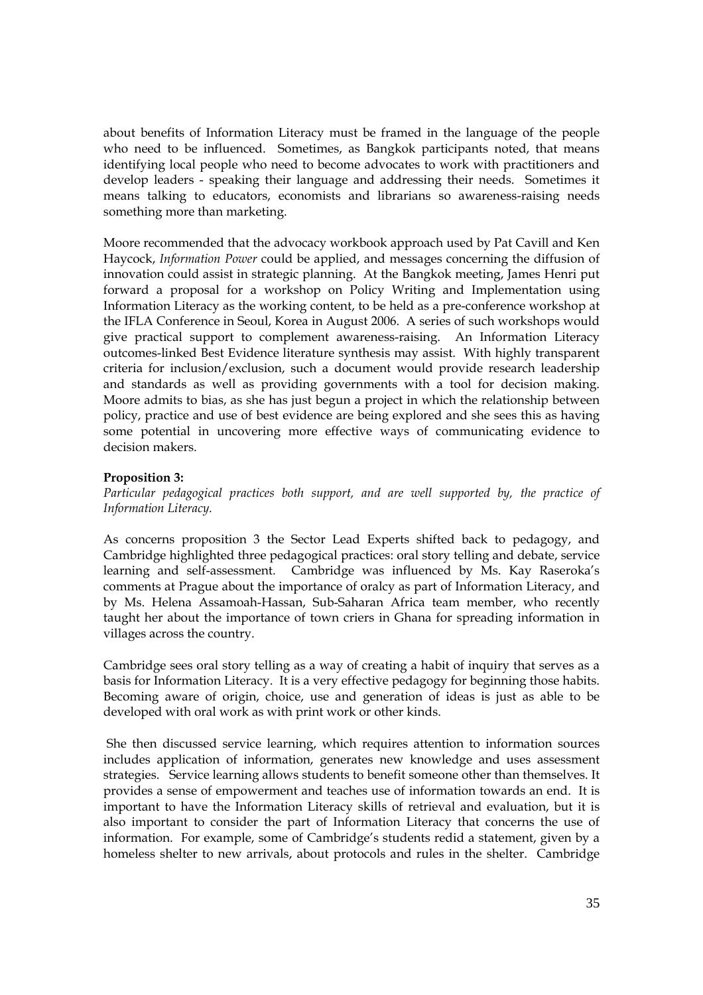about benefits of Information Literacy must be framed in the language of the people who need to be influenced. Sometimes, as Bangkok participants noted, that means identifying local people who need to become advocates to work with practitioners and develop leaders - speaking their language and addressing their needs. Sometimes it means talking to educators, economists and librarians so awareness-raising needs something more than marketing.

Moore recommended that the advocacy workbook approach used by Pat Cavill and Ken Haycock, *Information Power* could be applied, and messages concerning the diffusion of innovation could assist in strategic planning. At the Bangkok meeting, James Henri put forward a proposal for a workshop on Policy Writing and Implementation using Information Literacy as the working content, to be held as a pre-conference workshop at the IFLA Conference in Seoul, Korea in August 2006. A series of such workshops would give practical support to complement awareness-raising. An Information Literacy outcomes-linked Best Evidence literature synthesis may assist. With highly transparent criteria for inclusion/exclusion, such a document would provide research leadership and standards as well as providing governments with a tool for decision making. Moore admits to bias, as she has just begun a project in which the relationship between policy, practice and use of best evidence are being explored and she sees this as having some potential in uncovering more effective ways of communicating evidence to decision makers.

### **Proposition 3:**

*Particular pedagogical practices both support, and are well supported by, the practice of Information Literacy.* 

As concerns proposition 3 the Sector Lead Experts shifted back to pedagogy, and Cambridge highlighted three pedagogical practices: oral story telling and debate, service learning and self-assessment. Cambridge was influenced by Ms. Kay Raseroka's comments at Prague about the importance of oralcy as part of Information Literacy, and by Ms. Helena Assamoah-Hassan, Sub-Saharan Africa team member, who recently taught her about the importance of town criers in Ghana for spreading information in villages across the country.

Cambridge sees oral story telling as a way of creating a habit of inquiry that serves as a basis for Information Literacy. It is a very effective pedagogy for beginning those habits. Becoming aware of origin, choice, use and generation of ideas is just as able to be developed with oral work as with print work or other kinds.

She then discussed service learning, which requires attention to information sources includes application of information, generates new knowledge and uses assessment strategies. Service learning allows students to benefit someone other than themselves. It provides a sense of empowerment and teaches use of information towards an end. It is important to have the Information Literacy skills of retrieval and evaluation, but it is also important to consider the part of Information Literacy that concerns the use of information. For example, some of Cambridge's students redid a statement, given by a homeless shelter to new arrivals, about protocols and rules in the shelter. Cambridge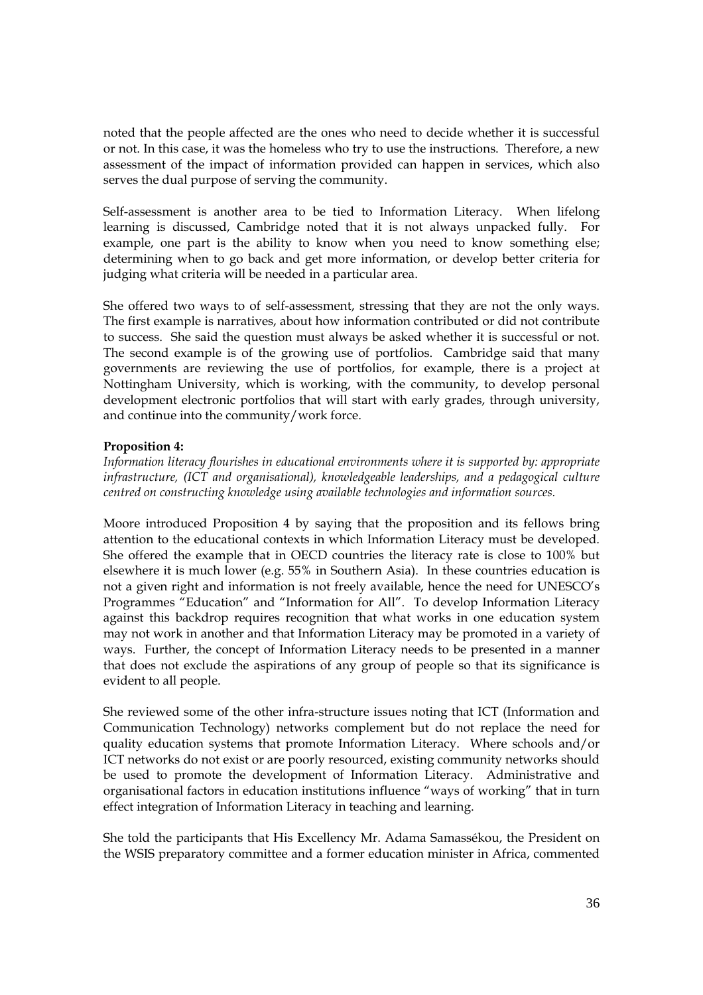noted that the people affected are the ones who need to decide whether it is successful or not. In this case, it was the homeless who try to use the instructions. Therefore, a new assessment of the impact of information provided can happen in services, which also serves the dual purpose of serving the community.

Self-assessment is another area to be tied to Information Literacy. When lifelong learning is discussed, Cambridge noted that it is not always unpacked fully. For example, one part is the ability to know when you need to know something else; determining when to go back and get more information, or develop better criteria for judging what criteria will be needed in a particular area.

She offered two ways to of self-assessment, stressing that they are not the only ways. The first example is narratives, about how information contributed or did not contribute to success. She said the question must always be asked whether it is successful or not. The second example is of the growing use of portfolios. Cambridge said that many governments are reviewing the use of portfolios, for example, there is a project at Nottingham University, which is working, with the community, to develop personal development electronic portfolios that will start with early grades, through university, and continue into the community/work force.

# **Proposition 4:**

*Information literacy flourishes in educational environments where it is supported by: appropriate infrastructure, (ICT and organisational), knowledgeable leaderships, and a pedagogical culture centred on constructing knowledge using available technologies and information sources.* 

Moore introduced Proposition 4 by saying that the proposition and its fellows bring attention to the educational contexts in which Information Literacy must be developed. She offered the example that in OECD countries the literacy rate is close to 100% but elsewhere it is much lower (e.g. 55% in Southern Asia). In these countries education is not a given right and information is not freely available, hence the need for UNESCO's Programmes "Education" and "Information for All". To develop Information Literacy against this backdrop requires recognition that what works in one education system may not work in another and that Information Literacy may be promoted in a variety of ways. Further, the concept of Information Literacy needs to be presented in a manner that does not exclude the aspirations of any group of people so that its significance is evident to all people.

She reviewed some of the other infra-structure issues noting that ICT (Information and Communication Technology) networks complement but do not replace the need for quality education systems that promote Information Literacy. Where schools and/or ICT networks do not exist or are poorly resourced, existing community networks should be used to promote the development of Information Literacy. Administrative and organisational factors in education institutions influence "ways of working" that in turn effect integration of Information Literacy in teaching and learning.

She told the participants that His Excellency Mr. Adama Samassékou, the President on the WSIS preparatory committee and a former education minister in Africa, commented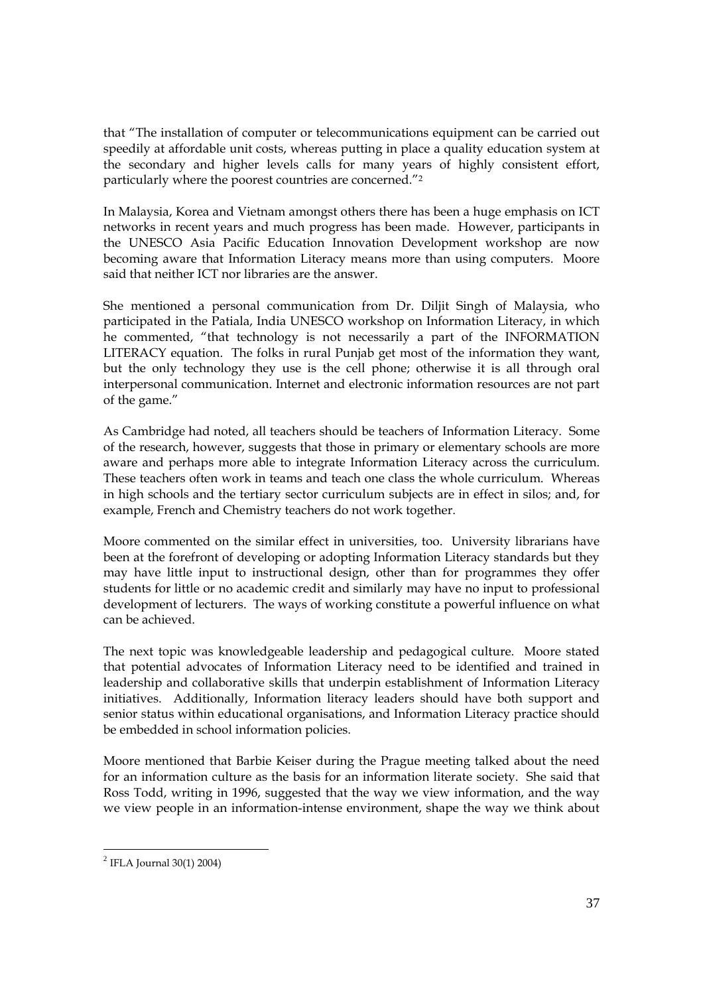that "The installation of computer or telecommunications equipment can be carried out speedily at affordable unit costs, whereas putting in place a quality education system at the secondary and higher levels calls for many years of highly consistent effort, particularly where the poorest countries are concerned."2

In Malaysia, Korea and Vietnam amongst others there has been a huge emphasis on ICT networks in recent years and much progress has been made. However, participants in the UNESCO Asia Pacific Education Innovation Development workshop are now becoming aware that Information Literacy means more than using computers. Moore said that neither ICT nor libraries are the answer.

She mentioned a personal communication from Dr. Diljit Singh of Malaysia, who participated in the Patiala, India UNESCO workshop on Information Literacy, in which he commented, "that technology is not necessarily a part of the INFORMATION LITERACY equation. The folks in rural Punjab get most of the information they want, but the only technology they use is the cell phone; otherwise it is all through oral interpersonal communication. Internet and electronic information resources are not part of the game."

As Cambridge had noted, all teachers should be teachers of Information Literacy. Some of the research, however, suggests that those in primary or elementary schools are more aware and perhaps more able to integrate Information Literacy across the curriculum. These teachers often work in teams and teach one class the whole curriculum. Whereas in high schools and the tertiary sector curriculum subjects are in effect in silos; and, for example, French and Chemistry teachers do not work together.

Moore commented on the similar effect in universities, too. University librarians have been at the forefront of developing or adopting Information Literacy standards but they may have little input to instructional design, other than for programmes they offer students for little or no academic credit and similarly may have no input to professional development of lecturers. The ways of working constitute a powerful influence on what can be achieved.

The next topic was knowledgeable leadership and pedagogical culture. Moore stated that potential advocates of Information Literacy need to be identified and trained in leadership and collaborative skills that underpin establishment of Information Literacy initiatives. Additionally, Information literacy leaders should have both support and senior status within educational organisations, and Information Literacy practice should be embedded in school information policies.

Moore mentioned that Barbie Keiser during the Prague meeting talked about the need for an information culture as the basis for an information literate society. She said that Ross Todd, writing in 1996, suggested that the way we view information, and the way we view people in an information-intense environment, shape the way we think about

 $2$  IFLA Journal 30(1) 2004)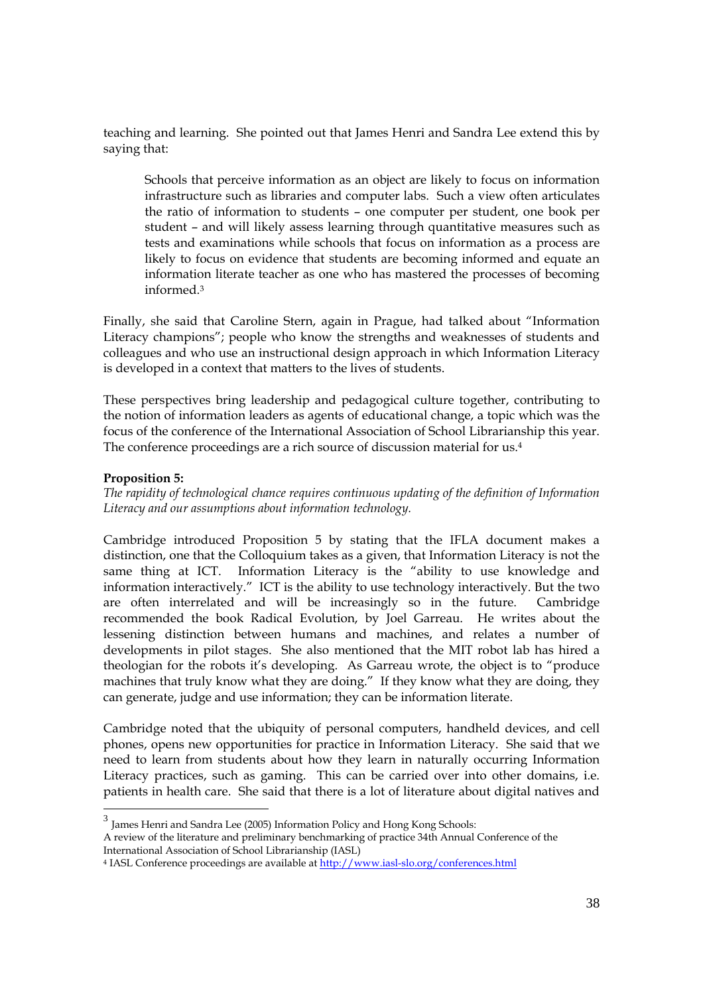teaching and learning. She pointed out that James Henri and Sandra Lee extend this by saying that:

Schools that perceive information as an object are likely to focus on information infrastructure such as libraries and computer labs. Such a view often articulates the ratio of information to students – one computer per student, one book per student – and will likely assess learning through quantitative measures such as tests and examinations while schools that focus on information as a process are likely to focus on evidence that students are becoming informed and equate an information literate teacher as one who has mastered the processes of becoming informed<sup>3</sup>

Finally, she said that Caroline Stern, again in Prague, had talked about "Information Literacy champions"; people who know the strengths and weaknesses of students and colleagues and who use an instructional design approach in which Information Literacy is developed in a context that matters to the lives of students.

These perspectives bring leadership and pedagogical culture together, contributing to the notion of information leaders as agents of educational change, a topic which was the focus of the conference of the International Association of School Librarianship this year. The conference proceedings are a rich source of discussion material for us.4

### **Proposition 5:**

*The rapidity of technological chance requires continuous updating of the definition of Information Literacy and our assumptions about information technology.* 

Cambridge introduced Proposition 5 by stating that the IFLA document makes a distinction, one that the Colloquium takes as a given, that Information Literacy is not the same thing at ICT. Information Literacy is the "ability to use knowledge and information interactively." ICT is the ability to use technology interactively. But the two are often interrelated and will be increasingly so in the future. Cambridge recommended the book Radical Evolution, by Joel Garreau. He writes about the lessening distinction between humans and machines, and relates a number of developments in pilot stages. She also mentioned that the MIT robot lab has hired a theologian for the robots it's developing. As Garreau wrote, the object is to "produce machines that truly know what they are doing." If they know what they are doing, they can generate, judge and use information; they can be information literate.

Cambridge noted that the ubiquity of personal computers, handheld devices, and cell phones, opens new opportunities for practice in Information Literacy. She said that we need to learn from students about how they learn in naturally occurring Information Literacy practices, such as gaming. This can be carried over into other domains, i.e. patients in health care. She said that there is a lot of literature about digital natives and

 $3$  James Henri and Sandra Lee (2005) Information Policy and Hong Kong Schools: A review of the literature and preliminary benchmarking of practice 34th Annual Conference of the International Association of School Librarianship (IASL)

<sup>4</sup> IASL Conference proceedings are available at <http://www.iasl-slo.org/conferences.html>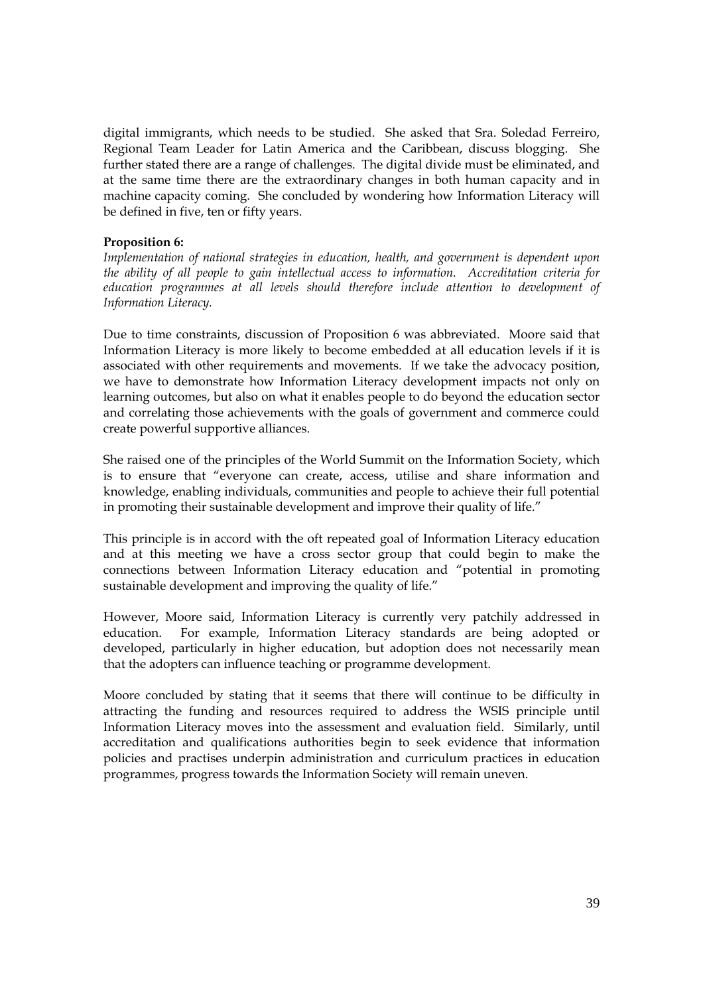digital immigrants, which needs to be studied. She asked that Sra. Soledad Ferreiro, Regional Team Leader for Latin America and the Caribbean, discuss blogging. She further stated there are a range of challenges. The digital divide must be eliminated, and at the same time there are the extraordinary changes in both human capacity and in machine capacity coming. She concluded by wondering how Information Literacy will be defined in five, ten or fifty years.

#### **Proposition 6:**

*Implementation of national strategies in education, health, and government is dependent upon the ability of all people to gain intellectual access to information. Accreditation criteria for education programmes at all levels should therefore include attention to development of Information Literacy.* 

Due to time constraints, discussion of Proposition 6 was abbreviated. Moore said that Information Literacy is more likely to become embedded at all education levels if it is associated with other requirements and movements. If we take the advocacy position, we have to demonstrate how Information Literacy development impacts not only on learning outcomes, but also on what it enables people to do beyond the education sector and correlating those achievements with the goals of government and commerce could create powerful supportive alliances.

She raised one of the principles of the World Summit on the Information Society, which is to ensure that "everyone can create, access, utilise and share information and knowledge, enabling individuals, communities and people to achieve their full potential in promoting their sustainable development and improve their quality of life."

This principle is in accord with the oft repeated goal of Information Literacy education and at this meeting we have a cross sector group that could begin to make the connections between Information Literacy education and "potential in promoting sustainable development and improving the quality of life."

However, Moore said, Information Literacy is currently very patchily addressed in education. For example, Information Literacy standards are being adopted or developed, particularly in higher education, but adoption does not necessarily mean that the adopters can influence teaching or programme development.

Moore concluded by stating that it seems that there will continue to be difficulty in attracting the funding and resources required to address the WSIS principle until Information Literacy moves into the assessment and evaluation field. Similarly, until accreditation and qualifications authorities begin to seek evidence that information policies and practises underpin administration and curriculum practices in education programmes, progress towards the Information Society will remain uneven.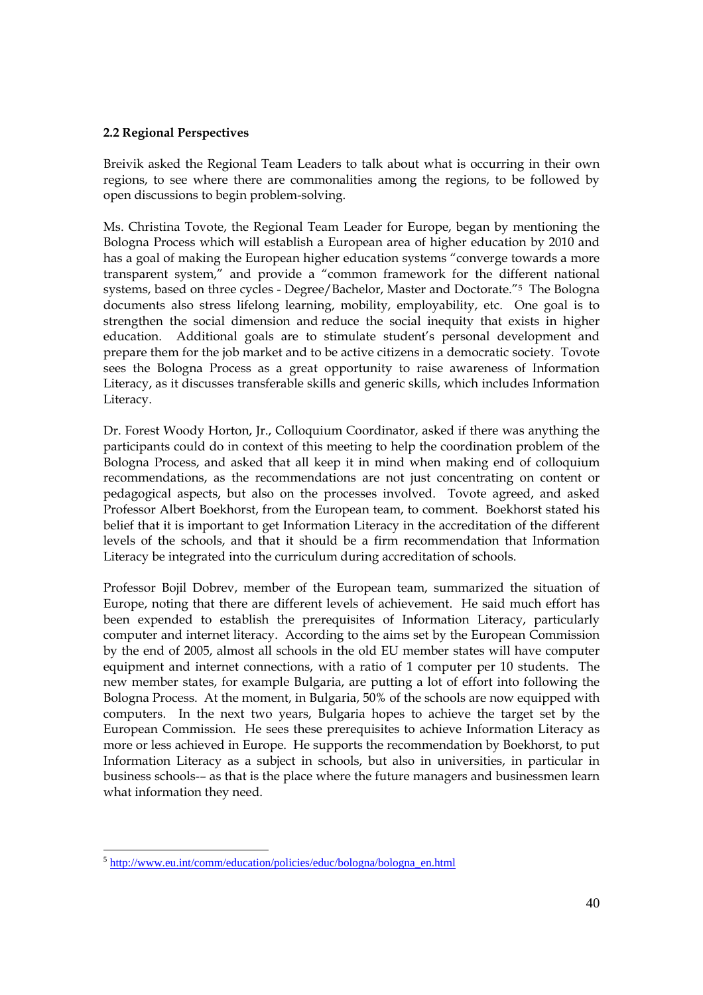## **2.2 Regional Perspectives**

Breivik asked the Regional Team Leaders to talk about what is occurring in their own regions, to see where there are commonalities among the regions, to be followed by open discussions to begin problem-solving.

Ms. Christina Tovote, the Regional Team Leader for Europe, began by mentioning the Bologna Process which will establish a European area of higher education by 2010 and has a goal of making the European higher education systems "converge towards a more transparent system," and provide a "common framework for the different national systems, based on three cycles - Degree/Bachelor, Master and Doctorate."5 The Bologna documents also stress lifelong learning, mobility, employability, etc. One goal is to strengthen the social dimension and reduce the social inequity that exists in higher education. Additional goals are to stimulate student's personal development and prepare them for the job market and to be active citizens in a democratic society. Tovote sees the Bologna Process as a great opportunity to raise awareness of Information Literacy, as it discusses transferable skills and generic skills, which includes Information Literacy.

Dr. Forest Woody Horton, Jr., Colloquium Coordinator, asked if there was anything the participants could do in context of this meeting to help the coordination problem of the Bologna Process, and asked that all keep it in mind when making end of colloquium recommendations, as the recommendations are not just concentrating on content or pedagogical aspects, but also on the processes involved. Tovote agreed, and asked Professor Albert Boekhorst, from the European team, to comment. Boekhorst stated his belief that it is important to get Information Literacy in the accreditation of the different levels of the schools, and that it should be a firm recommendation that Information Literacy be integrated into the curriculum during accreditation of schools.

Professor Bojil Dobrev, member of the European team, summarized the situation of Europe, noting that there are different levels of achievement. He said much effort has been expended to establish the prerequisites of Information Literacy, particularly computer and internet literacy. According to the aims set by the European Commission by the end of 2005, almost all schools in the old EU member states will have computer equipment and internet connections, with a ratio of 1 computer per 10 students. The new member states, for example Bulgaria, are putting a lot of effort into following the Bologna Process. At the moment, in Bulgaria, 50% of the schools are now equipped with computers. In the next two years, Bulgaria hopes to achieve the target set by the European Commission. He sees these prerequisites to achieve Information Literacy as more or less achieved in Europe. He supports the recommendation by Boekhorst, to put Information Literacy as a subject in schools, but also in universities, in particular in business schools-– as that is the place where the future managers and businessmen learn what information they need.

<sup>5</sup> [http://www.eu.int/comm/education/policies/educ/bologna/bologna\\_en.html](http://www.eu.int/comm/education/policies/educ/bologna/bologna_en.html)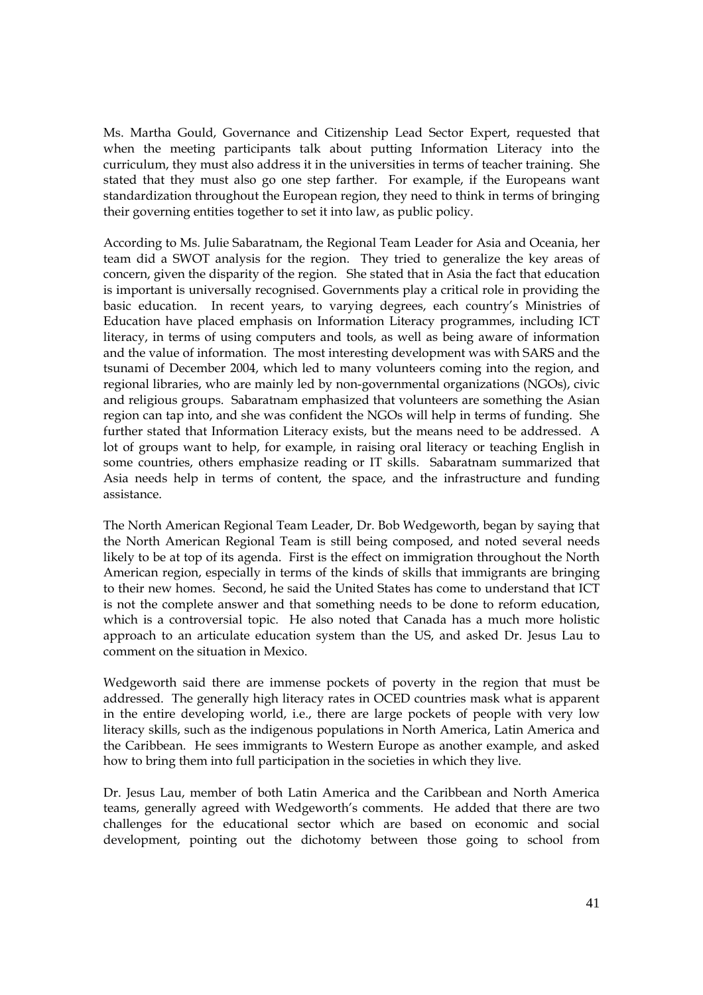Ms. Martha Gould, Governance and Citizenship Lead Sector Expert, requested that when the meeting participants talk about putting Information Literacy into the curriculum, they must also address it in the universities in terms of teacher training. She stated that they must also go one step farther. For example, if the Europeans want standardization throughout the European region, they need to think in terms of bringing their governing entities together to set it into law, as public policy.

According to Ms. Julie Sabaratnam, the Regional Team Leader for Asia and Oceania, her team did a SWOT analysis for the region. They tried to generalize the key areas of concern, given the disparity of the region. She stated that in Asia the fact that education is important is universally recognised. Governments play a critical role in providing the basic education. In recent years, to varying degrees, each country's Ministries of Education have placed emphasis on Information Literacy programmes, including ICT literacy, in terms of using computers and tools, as well as being aware of information and the value of information. The most interesting development was with SARS and the tsunami of December 2004, which led to many volunteers coming into the region, and regional libraries, who are mainly led by non-governmental organizations (NGOs), civic and religious groups. Sabaratnam emphasized that volunteers are something the Asian region can tap into, and she was confident the NGOs will help in terms of funding. She further stated that Information Literacy exists, but the means need to be addressed. A lot of groups want to help, for example, in raising oral literacy or teaching English in some countries, others emphasize reading or IT skills. Sabaratnam summarized that Asia needs help in terms of content, the space, and the infrastructure and funding assistance.

The North American Regional Team Leader, Dr. Bob Wedgeworth, began by saying that the North American Regional Team is still being composed, and noted several needs likely to be at top of its agenda. First is the effect on immigration throughout the North American region, especially in terms of the kinds of skills that immigrants are bringing to their new homes. Second, he said the United States has come to understand that ICT is not the complete answer and that something needs to be done to reform education, which is a controversial topic. He also noted that Canada has a much more holistic approach to an articulate education system than the US, and asked Dr. Jesus Lau to comment on the situation in Mexico.

Wedgeworth said there are immense pockets of poverty in the region that must be addressed. The generally high literacy rates in OCED countries mask what is apparent in the entire developing world, i.e., there are large pockets of people with very low literacy skills, such as the indigenous populations in North America, Latin America and the Caribbean. He sees immigrants to Western Europe as another example, and asked how to bring them into full participation in the societies in which they live.

Dr. Jesus Lau, member of both Latin America and the Caribbean and North America teams, generally agreed with Wedgeworth's comments. He added that there are two challenges for the educational sector which are based on economic and social development, pointing out the dichotomy between those going to school from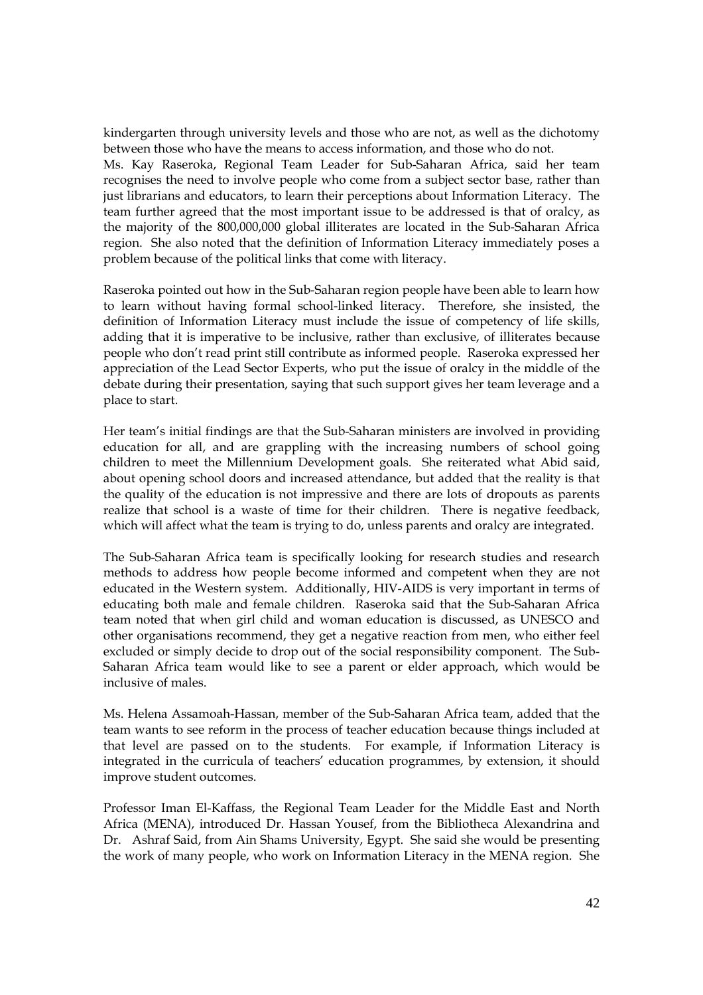kindergarten through university levels and those who are not, as well as the dichotomy between those who have the means to access information, and those who do not. Ms. Kay Raseroka, Regional Team Leader for Sub-Saharan Africa, said her team recognises the need to involve people who come from a subject sector base, rather than just librarians and educators, to learn their perceptions about Information Literacy. The team further agreed that the most important issue to be addressed is that of oralcy, as the majority of the 800,000,000 global illiterates are located in the Sub-Saharan Africa region. She also noted that the definition of Information Literacy immediately poses a problem because of the political links that come with literacy.

Raseroka pointed out how in the Sub-Saharan region people have been able to learn how to learn without having formal school-linked literacy. Therefore, she insisted, the definition of Information Literacy must include the issue of competency of life skills, adding that it is imperative to be inclusive, rather than exclusive, of illiterates because people who don't read print still contribute as informed people. Raseroka expressed her appreciation of the Lead Sector Experts, who put the issue of oralcy in the middle of the debate during their presentation, saying that such support gives her team leverage and a place to start.

Her team's initial findings are that the Sub-Saharan ministers are involved in providing education for all, and are grappling with the increasing numbers of school going children to meet the Millennium Development goals. She reiterated what Abid said, about opening school doors and increased attendance, but added that the reality is that the quality of the education is not impressive and there are lots of dropouts as parents realize that school is a waste of time for their children. There is negative feedback, which will affect what the team is trying to do, unless parents and oralcy are integrated.

The Sub-Saharan Africa team is specifically looking for research studies and research methods to address how people become informed and competent when they are not educated in the Western system. Additionally, HIV-AIDS is very important in terms of educating both male and female children. Raseroka said that the Sub-Saharan Africa team noted that when girl child and woman education is discussed, as UNESCO and other organisations recommend, they get a negative reaction from men, who either feel excluded or simply decide to drop out of the social responsibility component. The Sub-Saharan Africa team would like to see a parent or elder approach, which would be inclusive of males.

Ms. Helena Assamoah-Hassan, member of the Sub-Saharan Africa team, added that the team wants to see reform in the process of teacher education because things included at that level are passed on to the students. For example, if Information Literacy is integrated in the curricula of teachers' education programmes, by extension, it should improve student outcomes.

Professor Iman El-Kaffass, the Regional Team Leader for the Middle East and North Africa (MENA), introduced Dr. Hassan Yousef, from the Bibliotheca Alexandrina and Dr. Ashraf Said, from Ain Shams University, Egypt. She said she would be presenting the work of many people, who work on Information Literacy in the MENA region. She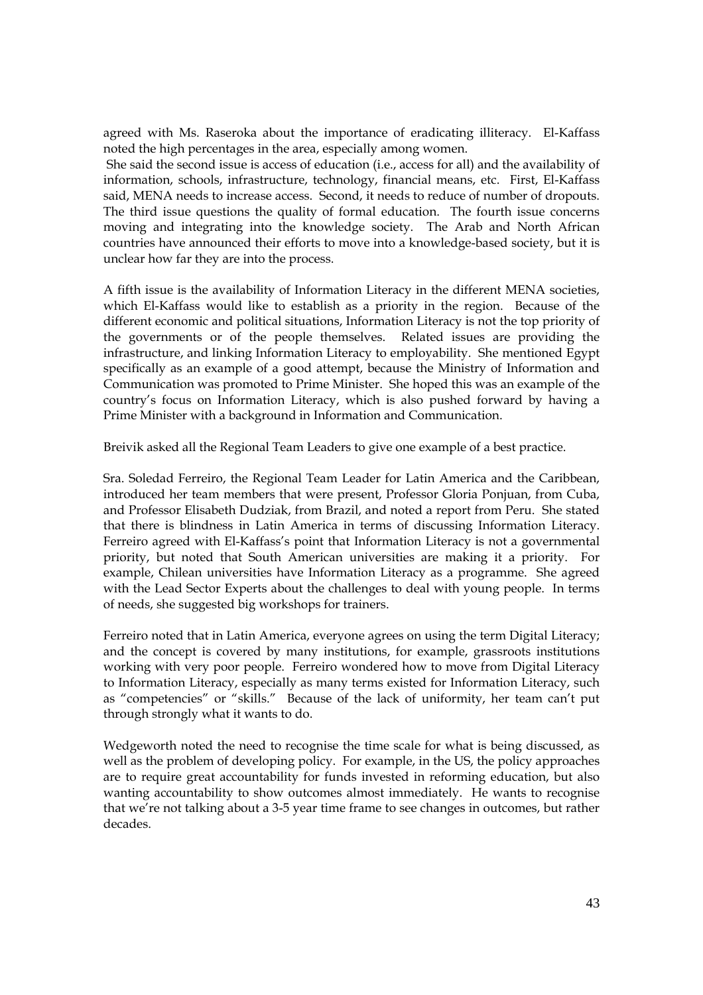agreed with Ms. Raseroka about the importance of eradicating illiteracy. El-Kaffass noted the high percentages in the area, especially among women.

 She said the second issue is access of education (i.e., access for all) and the availability of information, schools, infrastructure, technology, financial means, etc. First, El-Kaffass said, MENA needs to increase access. Second, it needs to reduce of number of dropouts. The third issue questions the quality of formal education. The fourth issue concerns moving and integrating into the knowledge society. The Arab and North African countries have announced their efforts to move into a knowledge-based society, but it is unclear how far they are into the process.

A fifth issue is the availability of Information Literacy in the different MENA societies, which El-Kaffass would like to establish as a priority in the region. Because of the different economic and political situations, Information Literacy is not the top priority of the governments or of the people themselves. Related issues are providing the infrastructure, and linking Information Literacy to employability. She mentioned Egypt specifically as an example of a good attempt, because the Ministry of Information and Communication was promoted to Prime Minister. She hoped this was an example of the country's focus on Information Literacy, which is also pushed forward by having a Prime Minister with a background in Information and Communication.

Breivik asked all the Regional Team Leaders to give one example of a best practice.

Sra. Soledad Ferreiro, the Regional Team Leader for Latin America and the Caribbean, introduced her team members that were present, Professor Gloria Ponjuan, from Cuba, and Professor Elisabeth Dudziak, from Brazil, and noted a report from Peru. She stated that there is blindness in Latin America in terms of discussing Information Literacy. Ferreiro agreed with El-Kaffass's point that Information Literacy is not a governmental priority, but noted that South American universities are making it a priority. For example, Chilean universities have Information Literacy as a programme. She agreed with the Lead Sector Experts about the challenges to deal with young people. In terms of needs, she suggested big workshops for trainers.

Ferreiro noted that in Latin America, everyone agrees on using the term Digital Literacy; and the concept is covered by many institutions, for example, grassroots institutions working with very poor people. Ferreiro wondered how to move from Digital Literacy to Information Literacy, especially as many terms existed for Information Literacy, such as "competencies" or "skills." Because of the lack of uniformity, her team can't put through strongly what it wants to do.

Wedgeworth noted the need to recognise the time scale for what is being discussed, as well as the problem of developing policy. For example, in the US, the policy approaches are to require great accountability for funds invested in reforming education, but also wanting accountability to show outcomes almost immediately. He wants to recognise that we're not talking about a 3-5 year time frame to see changes in outcomes, but rather decades.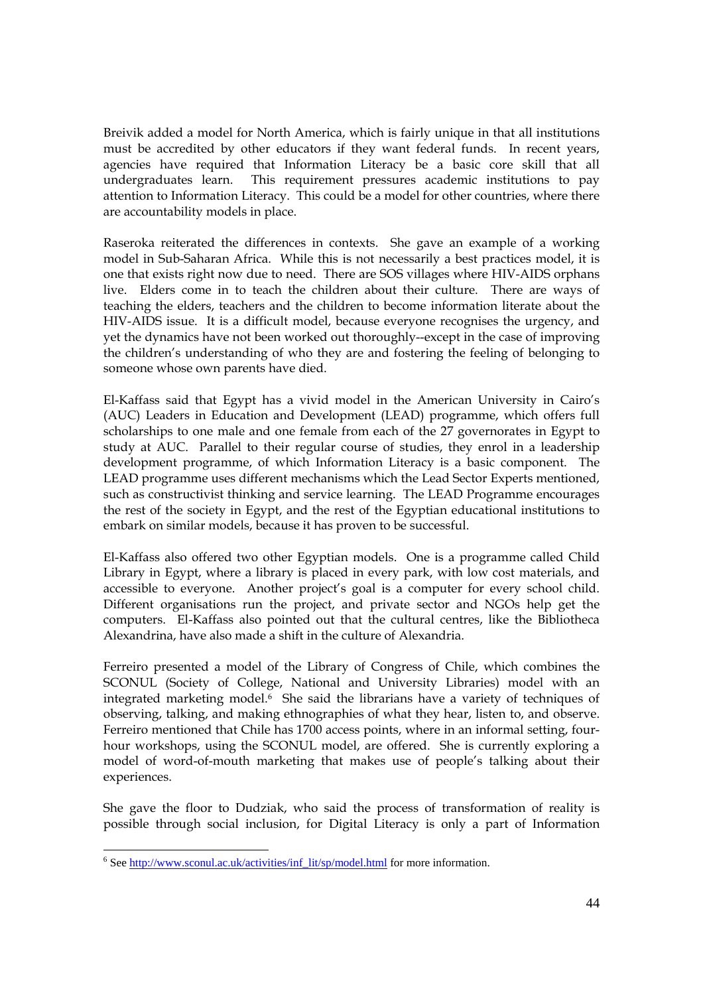Breivik added a model for North America, which is fairly unique in that all institutions must be accredited by other educators if they want federal funds. In recent years, agencies have required that Information Literacy be a basic core skill that all undergraduates learn. This requirement pressures academic institutions to pay attention to Information Literacy. This could be a model for other countries, where there are accountability models in place.

Raseroka reiterated the differences in contexts. She gave an example of a working model in Sub-Saharan Africa. While this is not necessarily a best practices model, it is one that exists right now due to need. There are SOS villages where HIV-AIDS orphans live. Elders come in to teach the children about their culture. There are ways of teaching the elders, teachers and the children to become information literate about the HIV-AIDS issue. It is a difficult model, because everyone recognises the urgency, and yet the dynamics have not been worked out thoroughly--except in the case of improving the children's understanding of who they are and fostering the feeling of belonging to someone whose own parents have died.

El-Kaffass said that Egypt has a vivid model in the American University in Cairo's (AUC) Leaders in Education and Development (LEAD) programme, which offers full scholarships to one male and one female from each of the 27 governorates in Egypt to study at AUC. Parallel to their regular course of studies, they enrol in a leadership development programme, of which Information Literacy is a basic component. The LEAD programme uses different mechanisms which the Lead Sector Experts mentioned, such as constructivist thinking and service learning. The LEAD Programme encourages the rest of the society in Egypt, and the rest of the Egyptian educational institutions to embark on similar models, because it has proven to be successful.

El-Kaffass also offered two other Egyptian models. One is a programme called Child Library in Egypt, where a library is placed in every park, with low cost materials, and accessible to everyone. Another project's goal is a computer for every school child. Different organisations run the project, and private sector and NGOs help get the computers. El-Kaffass also pointed out that the cultural centres, like the Bibliotheca Alexandrina, have also made a shift in the culture of Alexandria.

Ferreiro presented a model of the Library of Congress of Chile, which combines the SCONUL (Society of College, National and University Libraries) model with an integrated marketing model.6 She said the librarians have a variety of techniques of observing, talking, and making ethnographies of what they hear, listen to, and observe. Ferreiro mentioned that Chile has 1700 access points, where in an informal setting, fourhour workshops, using the SCONUL model, are offered. She is currently exploring a model of word-of-mouth marketing that makes use of people's talking about their experiences.

She gave the floor to Dudziak, who said the process of transformation of reality is possible through social inclusion, for Digital Literacy is only a part of Information

<sup>&</sup>lt;sup>6</sup> See [http://www.sconul.ac.uk/activities/inf\\_lit/sp/model.html](http://www.sconul.ac.uk/activities/inf_lit/sp/model.html) for more information.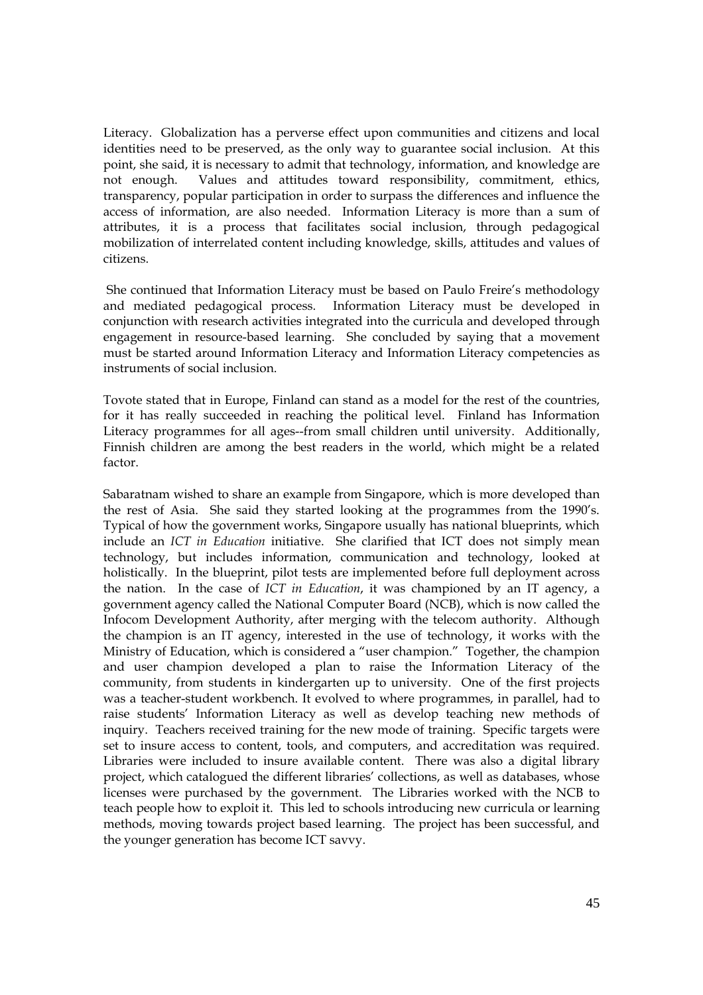Literacy. Globalization has a perverse effect upon communities and citizens and local identities need to be preserved, as the only way to guarantee social inclusion. At this point, she said, it is necessary to admit that technology, information, and knowledge are not enough. Values and attitudes toward responsibility, commitment, ethics, transparency, popular participation in order to surpass the differences and influence the access of information, are also needed. Information Literacy is more than a sum of attributes, it is a process that facilitates social inclusion, through pedagogical mobilization of interrelated content including knowledge, skills, attitudes and values of citizens.

She continued that Information Literacy must be based on Paulo Freire's methodology and mediated pedagogical process. Information Literacy must be developed in conjunction with research activities integrated into the curricula and developed through engagement in resource-based learning. She concluded by saying that a movement must be started around Information Literacy and Information Literacy competencies as instruments of social inclusion.

Tovote stated that in Europe, Finland can stand as a model for the rest of the countries, for it has really succeeded in reaching the political level. Finland has Information Literacy programmes for all ages--from small children until university. Additionally, Finnish children are among the best readers in the world, which might be a related factor.

Sabaratnam wished to share an example from Singapore, which is more developed than the rest of Asia. She said they started looking at the programmes from the 1990's. Typical of how the government works, Singapore usually has national blueprints, which include an *ICT in Education* initiative. She clarified that ICT does not simply mean technology, but includes information, communication and technology, looked at holistically. In the blueprint, pilot tests are implemented before full deployment across the nation. In the case of *ICT in Education*, it was championed by an IT agency, a government agency called the National Computer Board (NCB), which is now called the Infocom Development Authority, after merging with the telecom authority. Although the champion is an IT agency, interested in the use of technology, it works with the Ministry of Education, which is considered a "user champion." Together, the champion and user champion developed a plan to raise the Information Literacy of the community, from students in kindergarten up to university. One of the first projects was a teacher-student workbench. It evolved to where programmes, in parallel, had to raise students' Information Literacy as well as develop teaching new methods of inquiry. Teachers received training for the new mode of training. Specific targets were set to insure access to content, tools, and computers, and accreditation was required. Libraries were included to insure available content. There was also a digital library project, which catalogued the different libraries' collections, as well as databases, whose licenses were purchased by the government. The Libraries worked with the NCB to teach people how to exploit it. This led to schools introducing new curricula or learning methods, moving towards project based learning. The project has been successful, and the younger generation has become ICT savvy.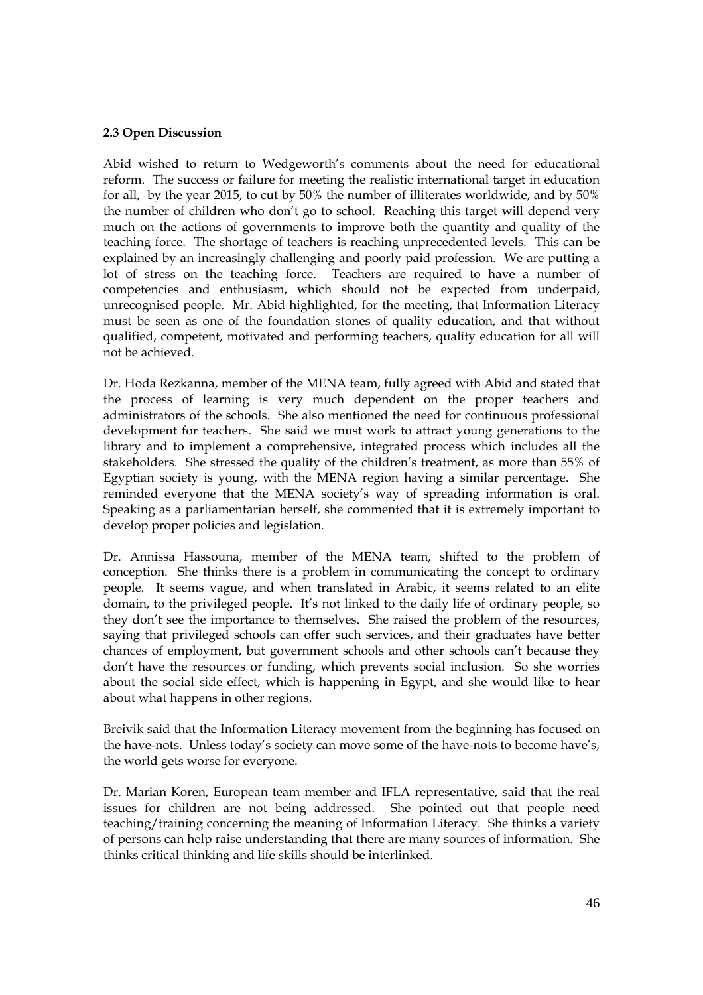### **2.3 Open Discussion**

Abid wished to return to Wedgeworth's comments about the need for educational reform. The success or failure for meeting the realistic international target in education for all, by the year 2015, to cut by 50% the number of illiterates worldwide, and by 50% the number of children who don't go to school. Reaching this target will depend very much on the actions of governments to improve both the quantity and quality of the teaching force. The shortage of teachers is reaching unprecedented levels. This can be explained by an increasingly challenging and poorly paid profession. We are putting a lot of stress on the teaching force. Teachers are required to have a number of competencies and enthusiasm, which should not be expected from underpaid, unrecognised people. Mr. Abid highlighted, for the meeting, that Information Literacy must be seen as one of the foundation stones of quality education, and that without qualified, competent, motivated and performing teachers, quality education for all will not be achieved.

Dr. Hoda Rezkanna, member of the MENA team, fully agreed with Abid and stated that the process of learning is very much dependent on the proper teachers and administrators of the schools. She also mentioned the need for continuous professional development for teachers. She said we must work to attract young generations to the library and to implement a comprehensive, integrated process which includes all the stakeholders. She stressed the quality of the children's treatment, as more than 55% of Egyptian society is young, with the MENA region having a similar percentage. She reminded everyone that the MENA society's way of spreading information is oral. Speaking as a parliamentarian herself, she commented that it is extremely important to develop proper policies and legislation.

Dr. Annissa Hassouna, member of the MENA team, shifted to the problem of conception. She thinks there is a problem in communicating the concept to ordinary people. It seems vague, and when translated in Arabic, it seems related to an elite domain, to the privileged people. It's not linked to the daily life of ordinary people, so they don't see the importance to themselves. She raised the problem of the resources, saying that privileged schools can offer such services, and their graduates have better chances of employment, but government schools and other schools can't because they don't have the resources or funding, which prevents social inclusion. So she worries about the social side effect, which is happening in Egypt, and she would like to hear about what happens in other regions.

Breivik said that the Information Literacy movement from the beginning has focused on the have-nots. Unless today's society can move some of the have-nots to become have's, the world gets worse for everyone.

Dr. Marian Koren, European team member and IFLA representative, said that the real issues for children are not being addressed. She pointed out that people need teaching/training concerning the meaning of Information Literacy. She thinks a variety of persons can help raise understanding that there are many sources of information. She thinks critical thinking and life skills should be interlinked.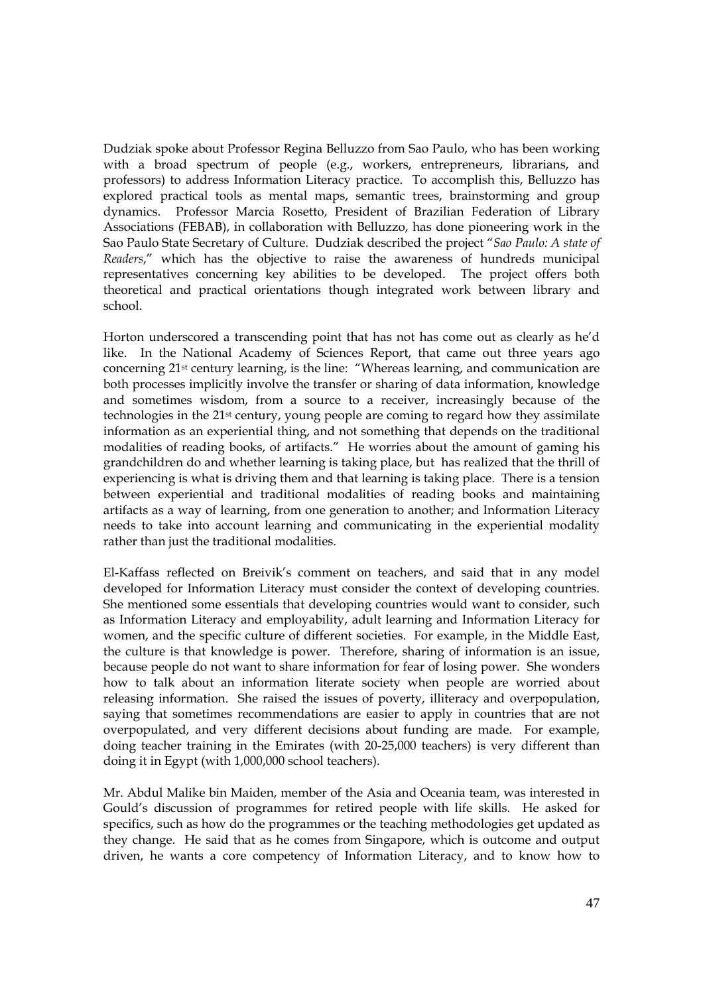Dudziak spoke about Professor Regina Belluzzo from Sao Paulo, who has been working with a broad spectrum of people (e.g., workers, entrepreneurs, librarians, and professors) to address Information Literacy practice. To accomplish this, Belluzzo has explored practical tools as mental maps, semantic trees, brainstorming and group dynamics. Professor Marcia Rosetto, President of Brazilian Federation of Library Associations (FEBAB), in collaboration with Belluzzo, has done pioneering work in the Sao Paulo State Secretary of Culture. Dudziak described the project "*Sao Paulo: A state of Readers*," which has the objective to raise the awareness of hundreds municipal representatives concerning key abilities to be developed. The project offers both theoretical and practical orientations though integrated work between library and school.

Horton underscored a transcending point that has not has come out as clearly as he'd like. In the National Academy of Sciences Report, that came out three years ago concerning 21st century learning, is the line: "Whereas learning, and communication are both processes implicitly involve the transfer or sharing of data information, knowledge and sometimes wisdom, from a source to a receiver, increasingly because of the technologies in the 21st century, young people are coming to regard how they assimilate information as an experiential thing, and not something that depends on the traditional modalities of reading books, of artifacts." He worries about the amount of gaming his grandchildren do and whether learning is taking place, but has realized that the thrill of experiencing is what is driving them and that learning is taking place. There is a tension between experiential and traditional modalities of reading books and maintaining artifacts as a way of learning, from one generation to another; and Information Literacy needs to take into account learning and communicating in the experiential modality rather than just the traditional modalities.

El-Kaffass reflected on Breivik's comment on teachers, and said that in any model developed for Information Literacy must consider the context of developing countries. She mentioned some essentials that developing countries would want to consider, such as Information Literacy and employability, adult learning and Information Literacy for women, and the specific culture of different societies. For example, in the Middle East, the culture is that knowledge is power. Therefore, sharing of information is an issue, because people do not want to share information for fear of losing power. She wonders how to talk about an information literate society when people are worried about releasing information. She raised the issues of poverty, illiteracy and overpopulation, saying that sometimes recommendations are easier to apply in countries that are not overpopulated, and very different decisions about funding are made. For example, doing teacher training in the Emirates (with 20-25,000 teachers) is very different than doing it in Egypt (with 1,000,000 school teachers).

Mr. Abdul Malike bin Maiden, member of the Asia and Oceania team, was interested in Gould's discussion of programmes for retired people with life skills. He asked for specifics, such as how do the programmes or the teaching methodologies get updated as they change. He said that as he comes from Singapore, which is outcome and output driven, he wants a core competency of Information Literacy, and to know how to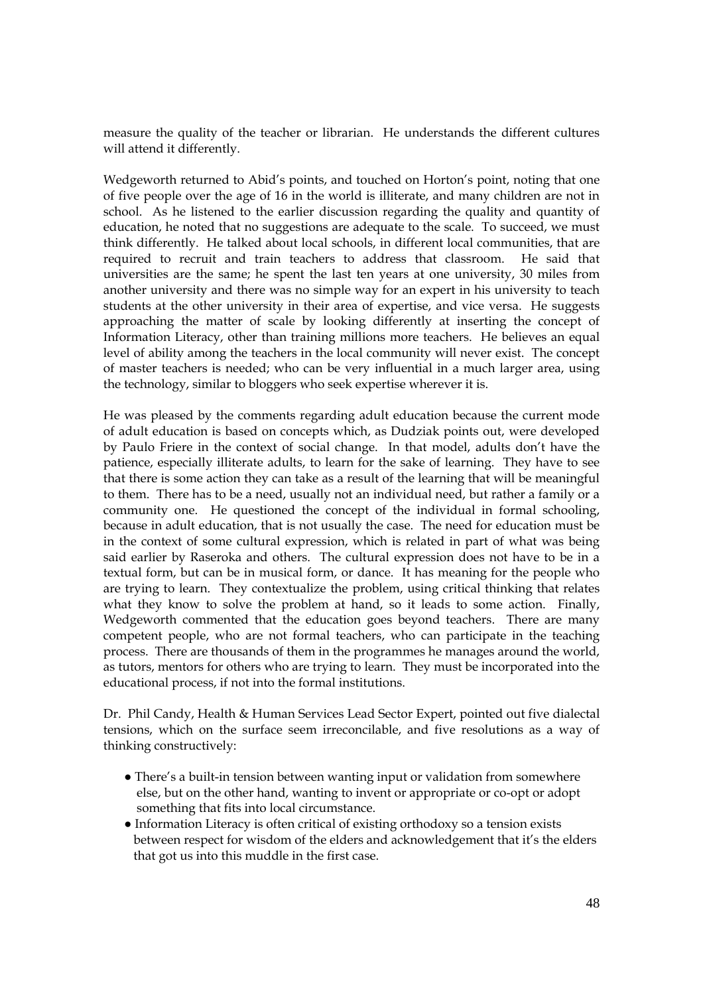measure the quality of the teacher or librarian. He understands the different cultures will attend it differently.

Wedgeworth returned to Abid's points, and touched on Horton's point, noting that one of five people over the age of 16 in the world is illiterate, and many children are not in school. As he listened to the earlier discussion regarding the quality and quantity of education, he noted that no suggestions are adequate to the scale. To succeed, we must think differently. He talked about local schools, in different local communities, that are required to recruit and train teachers to address that classroom. He said that universities are the same; he spent the last ten years at one university, 30 miles from another university and there was no simple way for an expert in his university to teach students at the other university in their area of expertise, and vice versa. He suggests approaching the matter of scale by looking differently at inserting the concept of Information Literacy, other than training millions more teachers. He believes an equal level of ability among the teachers in the local community will never exist. The concept of master teachers is needed; who can be very influential in a much larger area, using the technology, similar to bloggers who seek expertise wherever it is.

He was pleased by the comments regarding adult education because the current mode of adult education is based on concepts which, as Dudziak points out, were developed by Paulo Friere in the context of social change. In that model, adults don't have the patience, especially illiterate adults, to learn for the sake of learning. They have to see that there is some action they can take as a result of the learning that will be meaningful to them. There has to be a need, usually not an individual need, but rather a family or a community one. He questioned the concept of the individual in formal schooling, because in adult education, that is not usually the case. The need for education must be in the context of some cultural expression, which is related in part of what was being said earlier by Raseroka and others. The cultural expression does not have to be in a textual form, but can be in musical form, or dance. It has meaning for the people who are trying to learn. They contextualize the problem, using critical thinking that relates what they know to solve the problem at hand, so it leads to some action. Finally, Wedgeworth commented that the education goes beyond teachers. There are many competent people, who are not formal teachers, who can participate in the teaching process. There are thousands of them in the programmes he manages around the world, as tutors, mentors for others who are trying to learn. They must be incorporated into the educational process, if not into the formal institutions.

Dr. Phil Candy, Health & Human Services Lead Sector Expert, pointed out five dialectal tensions, which on the surface seem irreconcilable, and five resolutions as a way of thinking constructively:

- There's a built-in tension between wanting input or validation from somewhere else, but on the other hand, wanting to invent or appropriate or co-opt or adopt something that fits into local circumstance.
- Information Literacy is often critical of existing orthodoxy so a tension exists between respect for wisdom of the elders and acknowledgement that it's the elders that got us into this muddle in the first case.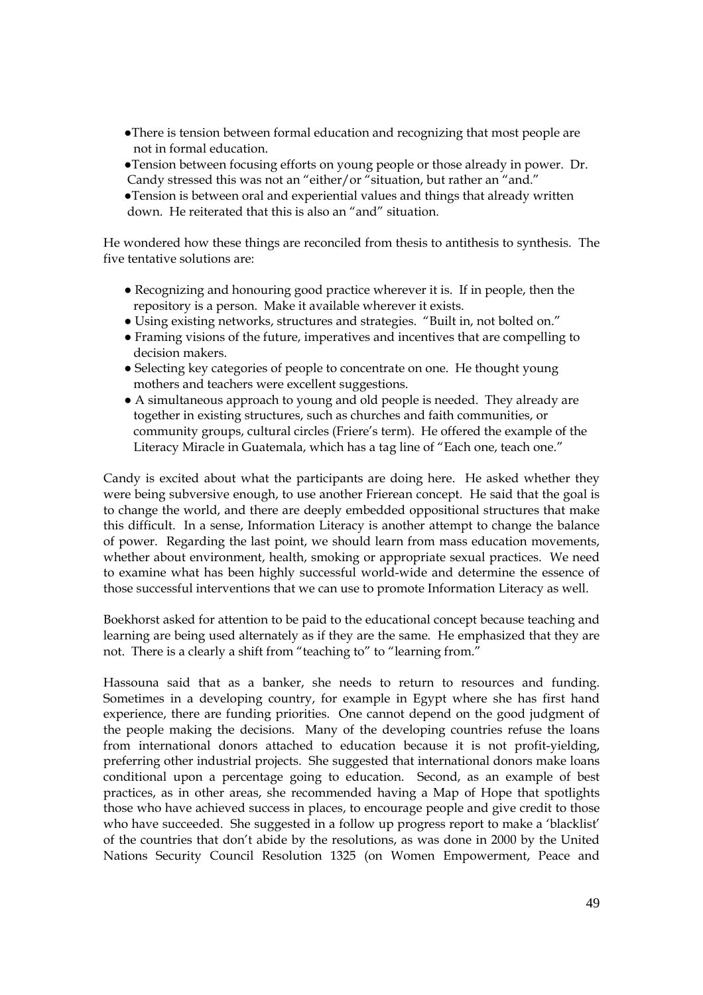- ●There is tension between formal education and recognizing that most people are not in formal education.
- ●Tension between focusing efforts on young people or those already in power. Dr. Candy stressed this was not an "either/or "situation, but rather an "and."
- ●Tension is between oral and experiential values and things that already written down. He reiterated that this is also an "and" situation.

He wondered how these things are reconciled from thesis to antithesis to synthesis. The five tentative solutions are:

- Recognizing and honouring good practice wherever it is. If in people, then the repository is a person. Make it available wherever it exists.
- Using existing networks, structures and strategies. "Built in, not bolted on."
- Framing visions of the future, imperatives and incentives that are compelling to decision makers.
- Selecting key categories of people to concentrate on one. He thought young mothers and teachers were excellent suggestions.
- A simultaneous approach to young and old people is needed. They already are together in existing structures, such as churches and faith communities, or community groups, cultural circles (Friere's term). He offered the example of the Literacy Miracle in Guatemala, which has a tag line of "Each one, teach one."

Candy is excited about what the participants are doing here. He asked whether they were being subversive enough, to use another Frierean concept. He said that the goal is to change the world, and there are deeply embedded oppositional structures that make this difficult. In a sense, Information Literacy is another attempt to change the balance of power. Regarding the last point, we should learn from mass education movements, whether about environment, health, smoking or appropriate sexual practices. We need to examine what has been highly successful world-wide and determine the essence of those successful interventions that we can use to promote Information Literacy as well.

Boekhorst asked for attention to be paid to the educational concept because teaching and learning are being used alternately as if they are the same. He emphasized that they are not. There is a clearly a shift from "teaching to" to "learning from."

Hassouna said that as a banker, she needs to return to resources and funding. Sometimes in a developing country, for example in Egypt where she has first hand experience, there are funding priorities. One cannot depend on the good judgment of the people making the decisions. Many of the developing countries refuse the loans from international donors attached to education because it is not profit-yielding, preferring other industrial projects. She suggested that international donors make loans conditional upon a percentage going to education. Second, as an example of best practices, as in other areas, she recommended having a Map of Hope that spotlights those who have achieved success in places, to encourage people and give credit to those who have succeeded. She suggested in a follow up progress report to make a 'blacklist' of the countries that don't abide by the resolutions, as was done in 2000 by the United Nations Security Council Resolution 1325 (on Women Empowerment, Peace and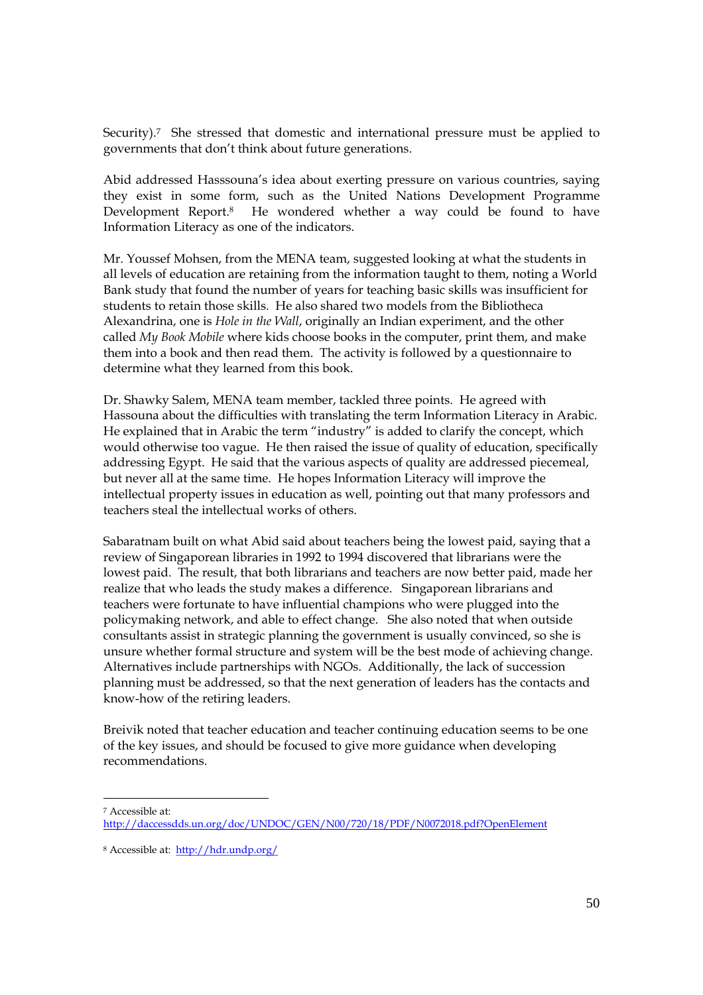Security).7 She stressed that domestic and international pressure must be applied to governments that don't think about future generations.

Abid addressed Hasssouna's idea about exerting pressure on various countries, saying they exist in some form, such as the United Nations Development Programme Development Report.<sup>8</sup> He wondered whether a way could be found to have Information Literacy as one of the indicators.

Mr. Youssef Mohsen, from the MENA team, suggested looking at what the students in all levels of education are retaining from the information taught to them, noting a World Bank study that found the number of years for teaching basic skills was insufficient for students to retain those skills. He also shared two models from the Bibliotheca Alexandrina, one is *Hole in the Wall*, originally an Indian experiment, and the other called *My Book Mobile* where kids choose books in the computer, print them, and make them into a book and then read them. The activity is followed by a questionnaire to determine what they learned from this book.

Dr. Shawky Salem, MENA team member, tackled three points. He agreed with Hassouna about the difficulties with translating the term Information Literacy in Arabic. He explained that in Arabic the term "industry" is added to clarify the concept, which would otherwise too vague. He then raised the issue of quality of education, specifically addressing Egypt. He said that the various aspects of quality are addressed piecemeal, but never all at the same time. He hopes Information Literacy will improve the intellectual property issues in education as well, pointing out that many professors and teachers steal the intellectual works of others.

Sabaratnam built on what Abid said about teachers being the lowest paid, saying that a review of Singaporean libraries in 1992 to 1994 discovered that librarians were the lowest paid. The result, that both librarians and teachers are now better paid, made her realize that who leads the study makes a difference. Singaporean librarians and teachers were fortunate to have influential champions who were plugged into the policymaking network, and able to effect change. She also noted that when outside consultants assist in strategic planning the government is usually convinced, so she is unsure whether formal structure and system will be the best mode of achieving change. Alternatives include partnerships with NGOs. Additionally, the lack of succession planning must be addressed, so that the next generation of leaders has the contacts and know-how of the retiring leaders.

Breivik noted that teacher education and teacher continuing education seems to be one of the key issues, and should be focused to give more guidance when developing recommendations.

<sup>7</sup> Accessible at: <http://daccessdds.un.org/doc/UNDOC/GEN/N00/720/18/PDF/N0072018.pdf?OpenElement>

<sup>8</sup> Accessible at: <http://hdr.undp.org/>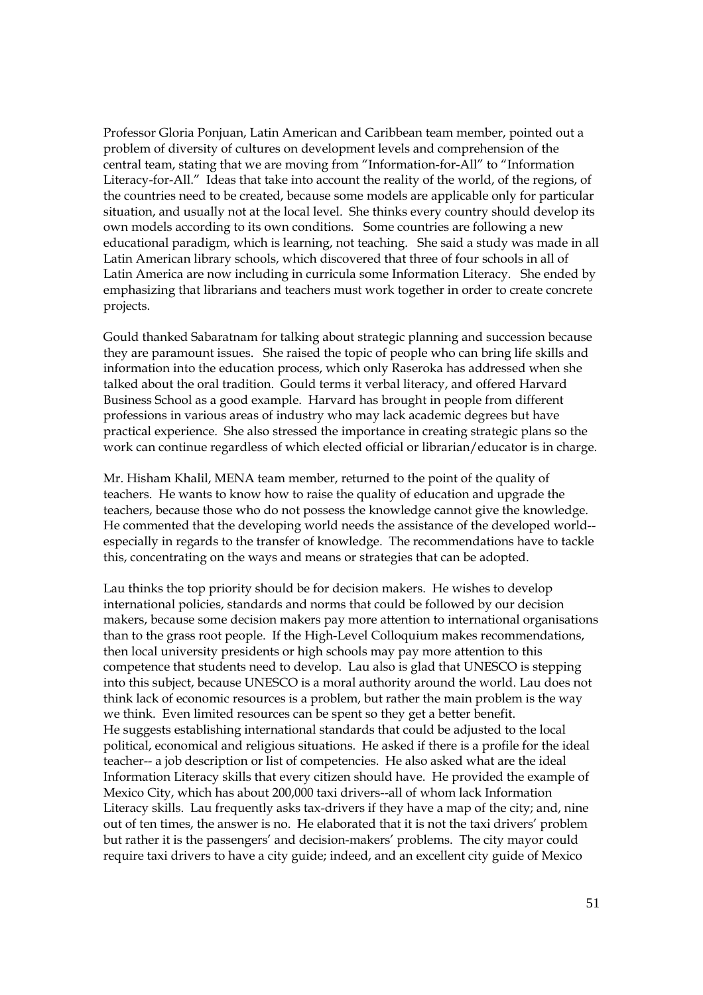Professor Gloria Ponjuan, Latin American and Caribbean team member, pointed out a problem of diversity of cultures on development levels and comprehension of the central team, stating that we are moving from "Information-for-All" to "Information Literacy-for-All." Ideas that take into account the reality of the world, of the regions, of the countries need to be created, because some models are applicable only for particular situation, and usually not at the local level. She thinks every country should develop its own models according to its own conditions. Some countries are following a new educational paradigm, which is learning, not teaching. She said a study was made in all Latin American library schools, which discovered that three of four schools in all of Latin America are now including in curricula some Information Literacy. She ended by emphasizing that librarians and teachers must work together in order to create concrete projects.

Gould thanked Sabaratnam for talking about strategic planning and succession because they are paramount issues. She raised the topic of people who can bring life skills and information into the education process, which only Raseroka has addressed when she talked about the oral tradition. Gould terms it verbal literacy, and offered Harvard Business School as a good example. Harvard has brought in people from different professions in various areas of industry who may lack academic degrees but have practical experience. She also stressed the importance in creating strategic plans so the work can continue regardless of which elected official or librarian/educator is in charge.

Mr. Hisham Khalil, MENA team member, returned to the point of the quality of teachers. He wants to know how to raise the quality of education and upgrade the teachers, because those who do not possess the knowledge cannot give the knowledge. He commented that the developing world needs the assistance of the developed world- especially in regards to the transfer of knowledge. The recommendations have to tackle this, concentrating on the ways and means or strategies that can be adopted.

Lau thinks the top priority should be for decision makers. He wishes to develop international policies, standards and norms that could be followed by our decision makers, because some decision makers pay more attention to international organisations than to the grass root people. If the High-Level Colloquium makes recommendations, then local university presidents or high schools may pay more attention to this competence that students need to develop. Lau also is glad that UNESCO is stepping into this subject, because UNESCO is a moral authority around the world. Lau does not think lack of economic resources is a problem, but rather the main problem is the way we think. Even limited resources can be spent so they get a better benefit. He suggests establishing international standards that could be adjusted to the local political, economical and religious situations. He asked if there is a profile for the ideal teacher-- a job description or list of competencies. He also asked what are the ideal Information Literacy skills that every citizen should have. He provided the example of Mexico City, which has about 200,000 taxi drivers--all of whom lack Information Literacy skills. Lau frequently asks tax-drivers if they have a map of the city; and, nine out of ten times, the answer is no. He elaborated that it is not the taxi drivers' problem but rather it is the passengers' and decision-makers' problems. The city mayor could require taxi drivers to have a city guide; indeed, and an excellent city guide of Mexico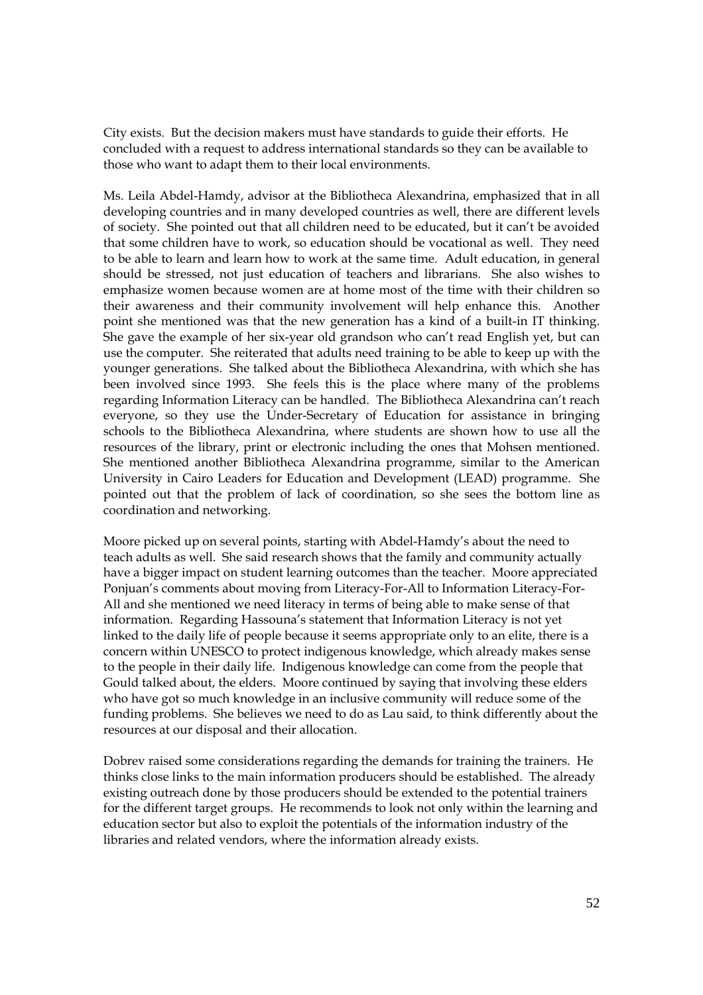City exists. But the decision makers must have standards to guide their efforts. He concluded with a request to address international standards so they can be available to those who want to adapt them to their local environments.

Ms. Leila Abdel-Hamdy, advisor at the Bibliotheca Alexandrina, emphasized that in all developing countries and in many developed countries as well, there are different levels of society. She pointed out that all children need to be educated, but it can't be avoided that some children have to work, so education should be vocational as well. They need to be able to learn and learn how to work at the same time. Adult education, in general should be stressed, not just education of teachers and librarians. She also wishes to emphasize women because women are at home most of the time with their children so their awareness and their community involvement will help enhance this. Another point she mentioned was that the new generation has a kind of a built-in IT thinking. She gave the example of her six-year old grandson who can't read English yet, but can use the computer. She reiterated that adults need training to be able to keep up with the younger generations. She talked about the Bibliotheca Alexandrina, with which she has been involved since 1993. She feels this is the place where many of the problems regarding Information Literacy can be handled. The Bibliotheca Alexandrina can't reach everyone, so they use the Under-Secretary of Education for assistance in bringing schools to the Bibliotheca Alexandrina, where students are shown how to use all the resources of the library, print or electronic including the ones that Mohsen mentioned. She mentioned another Bibliotheca Alexandrina programme, similar to the American University in Cairo Leaders for Education and Development (LEAD) programme. She pointed out that the problem of lack of coordination, so she sees the bottom line as coordination and networking.

Moore picked up on several points, starting with Abdel-Hamdy's about the need to teach adults as well. She said research shows that the family and community actually have a bigger impact on student learning outcomes than the teacher. Moore appreciated Ponjuan's comments about moving from Literacy-For-All to Information Literacy-For-All and she mentioned we need literacy in terms of being able to make sense of that information. Regarding Hassouna's statement that Information Literacy is not yet linked to the daily life of people because it seems appropriate only to an elite, there is a concern within UNESCO to protect indigenous knowledge, which already makes sense to the people in their daily life. Indigenous knowledge can come from the people that Gould talked about, the elders. Moore continued by saying that involving these elders who have got so much knowledge in an inclusive community will reduce some of the funding problems. She believes we need to do as Lau said, to think differently about the resources at our disposal and their allocation.

Dobrev raised some considerations regarding the demands for training the trainers. He thinks close links to the main information producers should be established. The already existing outreach done by those producers should be extended to the potential trainers for the different target groups. He recommends to look not only within the learning and education sector but also to exploit the potentials of the information industry of the libraries and related vendors, where the information already exists.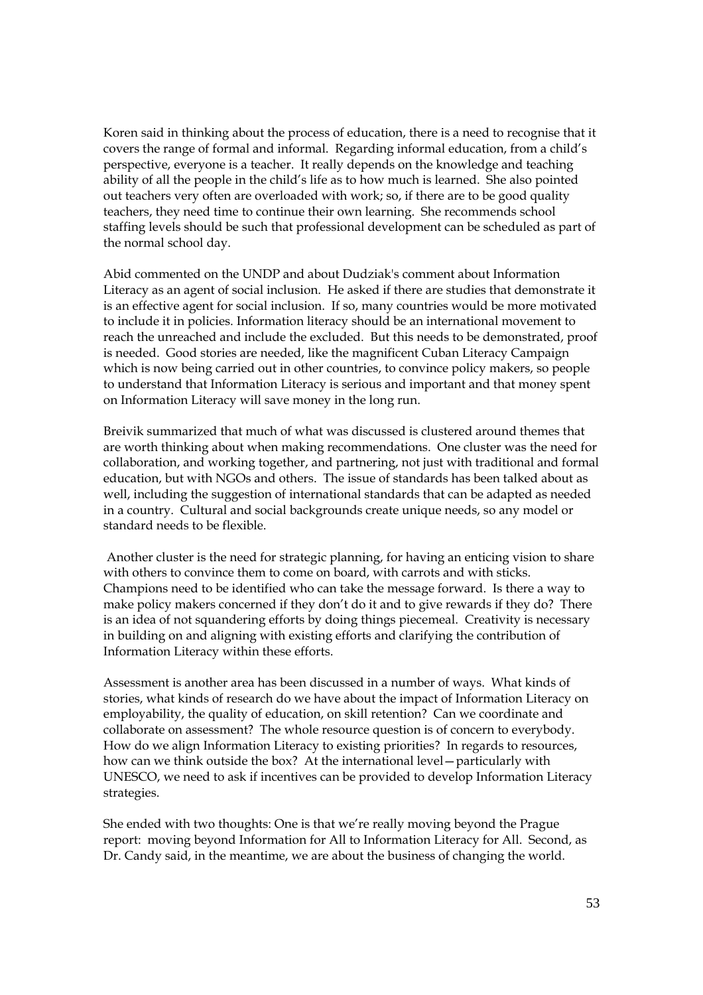Koren said in thinking about the process of education, there is a need to recognise that it covers the range of formal and informal. Regarding informal education, from a child's perspective, everyone is a teacher. It really depends on the knowledge and teaching ability of all the people in the child's life as to how much is learned. She also pointed out teachers very often are overloaded with work; so, if there are to be good quality teachers, they need time to continue their own learning. She recommends school staffing levels should be such that professional development can be scheduled as part of the normal school day.

Abid commented on the UNDP and about Dudziak's comment about Information Literacy as an agent of social inclusion. He asked if there are studies that demonstrate it is an effective agent for social inclusion. If so, many countries would be more motivated to include it in policies. Information literacy should be an international movement to reach the unreached and include the excluded. But this needs to be demonstrated, proof is needed. Good stories are needed, like the magnificent Cuban Literacy Campaign which is now being carried out in other countries, to convince policy makers, so people to understand that Information Literacy is serious and important and that money spent on Information Literacy will save money in the long run.

Breivik summarized that much of what was discussed is clustered around themes that are worth thinking about when making recommendations. One cluster was the need for collaboration, and working together, and partnering, not just with traditional and formal education, but with NGOs and others. The issue of standards has been talked about as well, including the suggestion of international standards that can be adapted as needed in a country. Cultural and social backgrounds create unique needs, so any model or standard needs to be flexible.

Another cluster is the need for strategic planning, for having an enticing vision to share with others to convince them to come on board, with carrots and with sticks. Champions need to be identified who can take the message forward. Is there a way to make policy makers concerned if they don't do it and to give rewards if they do? There is an idea of not squandering efforts by doing things piecemeal. Creativity is necessary in building on and aligning with existing efforts and clarifying the contribution of Information Literacy within these efforts.

Assessment is another area has been discussed in a number of ways. What kinds of stories, what kinds of research do we have about the impact of Information Literacy on employability, the quality of education, on skill retention? Can we coordinate and collaborate on assessment? The whole resource question is of concern to everybody. How do we align Information Literacy to existing priorities? In regards to resources, how can we think outside the box? At the international level—particularly with UNESCO, we need to ask if incentives can be provided to develop Information Literacy strategies.

She ended with two thoughts: One is that we're really moving beyond the Prague report: moving beyond Information for All to Information Literacy for All. Second, as Dr. Candy said, in the meantime, we are about the business of changing the world.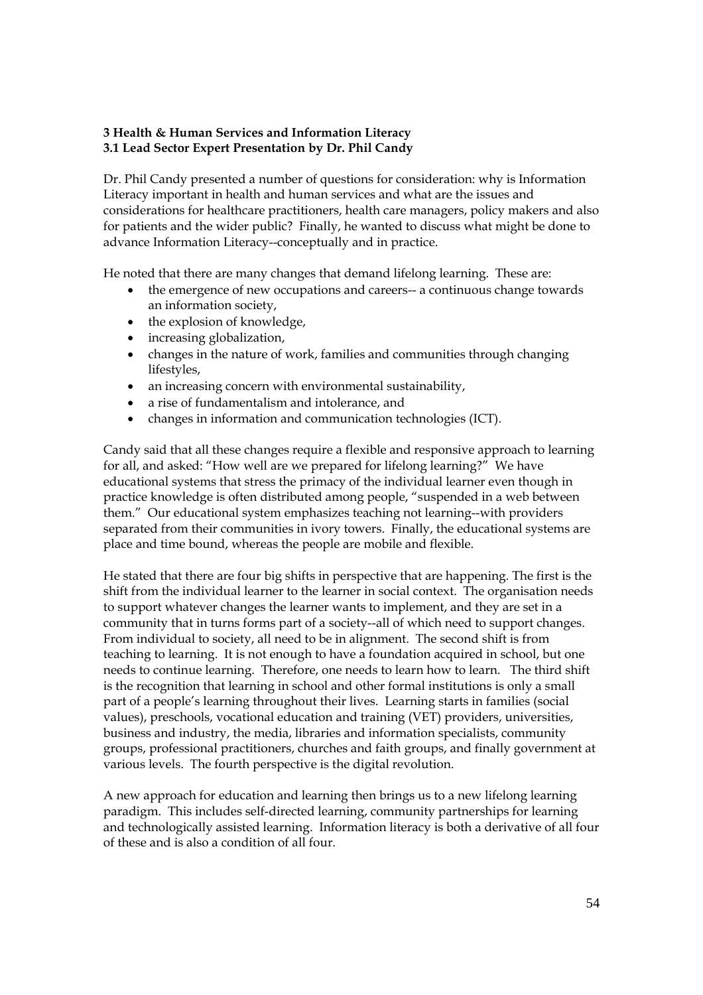# **3 Health & Human Services and Information Literacy 3.1 Lead Sector Expert Presentation by Dr. Phil Candy**

Dr. Phil Candy presented a number of questions for consideration: why is Information Literacy important in health and human services and what are the issues and considerations for healthcare practitioners, health care managers, policy makers and also for patients and the wider public? Finally, he wanted to discuss what might be done to advance Information Literacy--conceptually and in practice.

He noted that there are many changes that demand lifelong learning. These are:

- the emergence of new occupations and careers-- a continuous change towards an information society,
- the explosion of knowledge,
- increasing globalization,
- changes in the nature of work, families and communities through changing lifestyles,
- an increasing concern with environmental sustainability,
- a rise of fundamentalism and intolerance, and
- changes in information and communication technologies (ICT).

Candy said that all these changes require a flexible and responsive approach to learning for all, and asked: "How well are we prepared for lifelong learning?" We have educational systems that stress the primacy of the individual learner even though in practice knowledge is often distributed among people, "suspended in a web between them." Our educational system emphasizes teaching not learning--with providers separated from their communities in ivory towers. Finally, the educational systems are place and time bound, whereas the people are mobile and flexible.

He stated that there are four big shifts in perspective that are happening. The first is the shift from the individual learner to the learner in social context. The organisation needs to support whatever changes the learner wants to implement, and they are set in a community that in turns forms part of a society--all of which need to support changes. From individual to society, all need to be in alignment. The second shift is from teaching to learning. It is not enough to have a foundation acquired in school, but one needs to continue learning. Therefore, one needs to learn how to learn. The third shift is the recognition that learning in school and other formal institutions is only a small part of a people's learning throughout their lives. Learning starts in families (social values), preschools, vocational education and training (VET) providers, universities, business and industry, the media, libraries and information specialists, community groups, professional practitioners, churches and faith groups, and finally government at various levels. The fourth perspective is the digital revolution.

A new approach for education and learning then brings us to a new lifelong learning paradigm. This includes self-directed learning, community partnerships for learning and technologically assisted learning. Information literacy is both a derivative of all four of these and is also a condition of all four.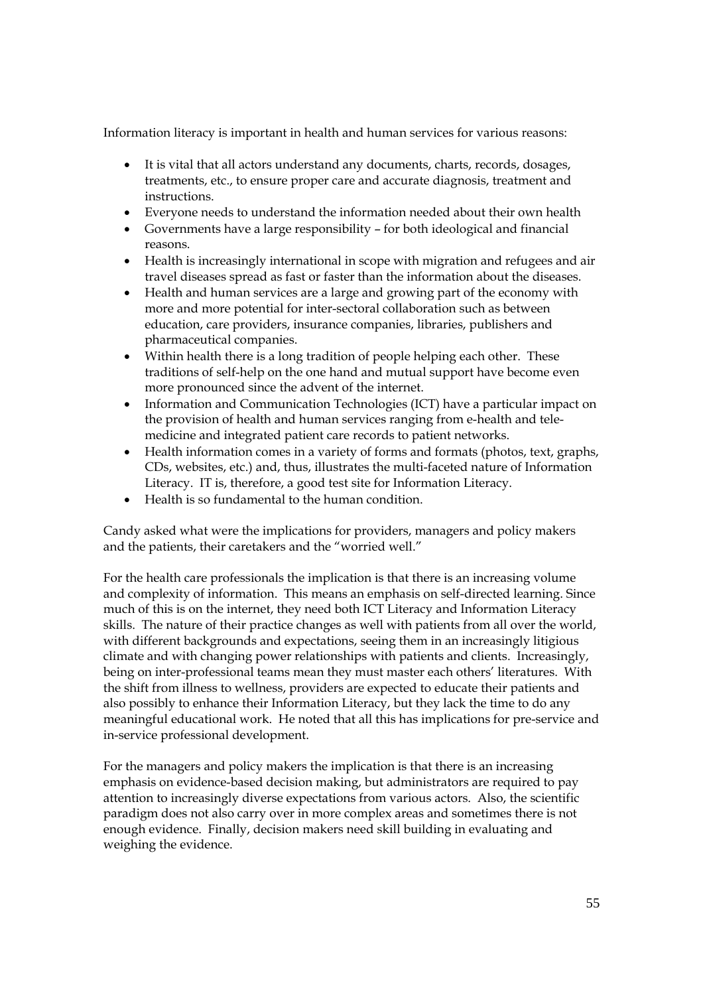Information literacy is important in health and human services for various reasons:

- It is vital that all actors understand any documents, charts, records, dosages, treatments, etc., to ensure proper care and accurate diagnosis, treatment and instructions.
- Everyone needs to understand the information needed about their own health
- Governments have a large responsibility for both ideological and financial reasons.
- Health is increasingly international in scope with migration and refugees and air travel diseases spread as fast or faster than the information about the diseases.
- Health and human services are a large and growing part of the economy with more and more potential for inter-sectoral collaboration such as between education, care providers, insurance companies, libraries, publishers and pharmaceutical companies.
- Within health there is a long tradition of people helping each other. These traditions of self-help on the one hand and mutual support have become even more pronounced since the advent of the internet.
- Information and Communication Technologies (ICT) have a particular impact on the provision of health and human services ranging from e-health and telemedicine and integrated patient care records to patient networks.
- Health information comes in a variety of forms and formats (photos, text, graphs, CDs, websites, etc.) and, thus, illustrates the multi-faceted nature of Information Literacy. IT is, therefore, a good test site for Information Literacy.
- Health is so fundamental to the human condition.

Candy asked what were the implications for providers, managers and policy makers and the patients, their caretakers and the "worried well."

For the health care professionals the implication is that there is an increasing volume and complexity of information. This means an emphasis on self-directed learning. Since much of this is on the internet, they need both ICT Literacy and Information Literacy skills. The nature of their practice changes as well with patients from all over the world, with different backgrounds and expectations, seeing them in an increasingly litigious climate and with changing power relationships with patients and clients. Increasingly, being on inter-professional teams mean they must master each others' literatures. With the shift from illness to wellness, providers are expected to educate their patients and also possibly to enhance their Information Literacy, but they lack the time to do any meaningful educational work. He noted that all this has implications for pre-service and in-service professional development.

For the managers and policy makers the implication is that there is an increasing emphasis on evidence-based decision making, but administrators are required to pay attention to increasingly diverse expectations from various actors. Also, the scientific paradigm does not also carry over in more complex areas and sometimes there is not enough evidence. Finally, decision makers need skill building in evaluating and weighing the evidence.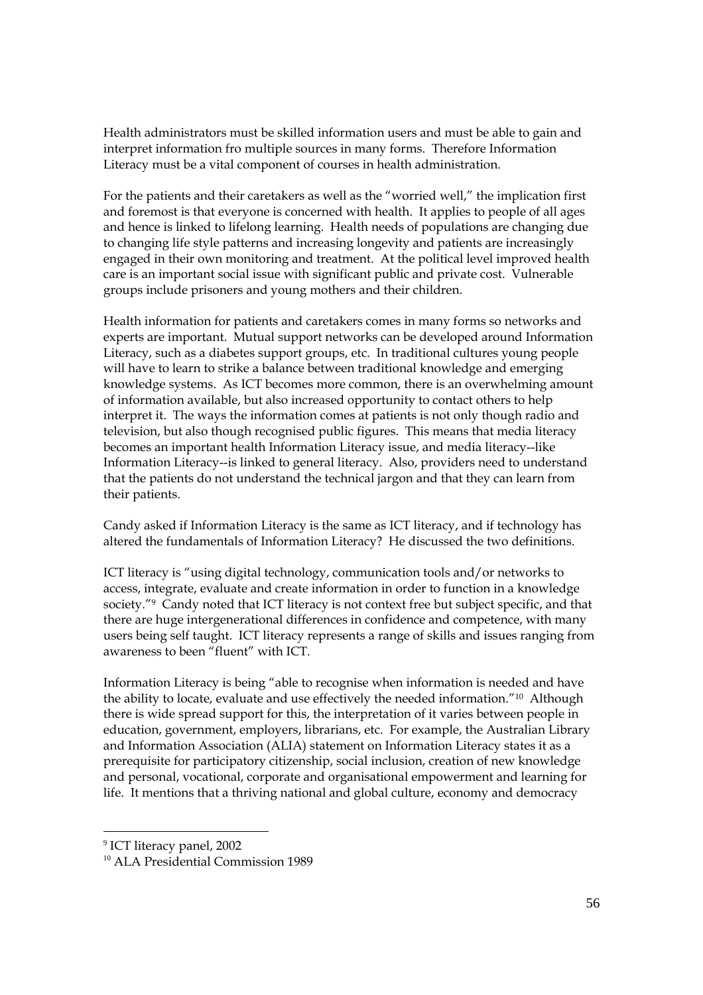Health administrators must be skilled information users and must be able to gain and interpret information fro multiple sources in many forms. Therefore Information Literacy must be a vital component of courses in health administration.

For the patients and their caretakers as well as the "worried well," the implication first and foremost is that everyone is concerned with health. It applies to people of all ages and hence is linked to lifelong learning. Health needs of populations are changing due to changing life style patterns and increasing longevity and patients are increasingly engaged in their own monitoring and treatment. At the political level improved health care is an important social issue with significant public and private cost. Vulnerable groups include prisoners and young mothers and their children.

Health information for patients and caretakers comes in many forms so networks and experts are important. Mutual support networks can be developed around Information Literacy, such as a diabetes support groups, etc. In traditional cultures young people will have to learn to strike a balance between traditional knowledge and emerging knowledge systems. As ICT becomes more common, there is an overwhelming amount of information available, but also increased opportunity to contact others to help interpret it. The ways the information comes at patients is not only though radio and television, but also though recognised public figures. This means that media literacy becomes an important health Information Literacy issue, and media literacy--like Information Literacy--is linked to general literacy. Also, providers need to understand that the patients do not understand the technical jargon and that they can learn from their patients.

Candy asked if Information Literacy is the same as ICT literacy, and if technology has altered the fundamentals of Information Literacy? He discussed the two definitions.

ICT literacy is "using digital technology, communication tools and/or networks to access, integrate, evaluate and create information in order to function in a knowledge society."<sup>9</sup> Candy noted that ICT literacy is not context free but subject specific, and that there are huge intergenerational differences in confidence and competence, with many users being self taught. ICT literacy represents a range of skills and issues ranging from awareness to been "fluent" with ICT.

Information Literacy is being "able to recognise when information is needed and have the ability to locate, evaluate and use effectively the needed information."10 Although there is wide spread support for this, the interpretation of it varies between people in education, government, employers, librarians, etc. For example, the Australian Library and Information Association (ALIA) statement on Information Literacy states it as a prerequisite for participatory citizenship, social inclusion, creation of new knowledge and personal, vocational, corporate and organisational empowerment and learning for life. It mentions that a thriving national and global culture, economy and democracy

<sup>&</sup>lt;sup>9</sup> ICT literacy panel, 2002

<sup>10</sup>ALA Presidential Commission 1989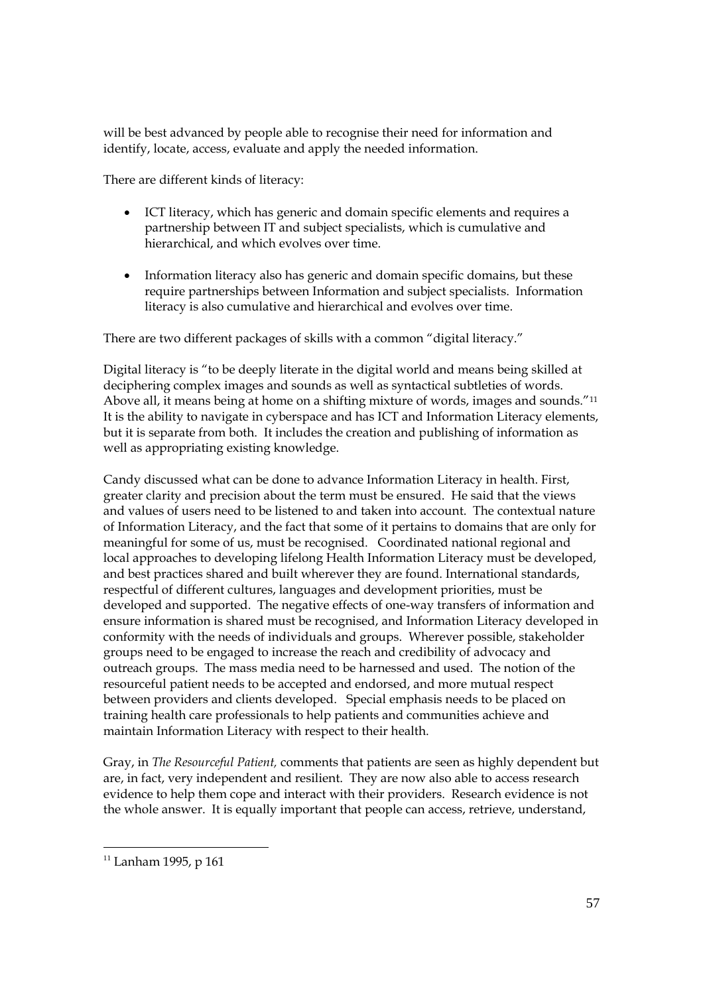will be best advanced by people able to recognise their need for information and identify, locate, access, evaluate and apply the needed information.

There are different kinds of literacy:

- ICT literacy, which has generic and domain specific elements and requires a partnership between IT and subject specialists, which is cumulative and hierarchical, and which evolves over time.
- Information literacy also has generic and domain specific domains, but these require partnerships between Information and subject specialists. Information literacy is also cumulative and hierarchical and evolves over time.

There are two different packages of skills with a common "digital literacy."

Digital literacy is "to be deeply literate in the digital world and means being skilled at deciphering complex images and sounds as well as syntactical subtleties of words. Above all, it means being at home on a shifting mixture of words, images and sounds."11 It is the ability to navigate in cyberspace and has ICT and Information Literacy elements, but it is separate from both. It includes the creation and publishing of information as well as appropriating existing knowledge.

Candy discussed what can be done to advance Information Literacy in health. First, greater clarity and precision about the term must be ensured. He said that the views and values of users need to be listened to and taken into account. The contextual nature of Information Literacy, and the fact that some of it pertains to domains that are only for meaningful for some of us, must be recognised. Coordinated national regional and local approaches to developing lifelong Health Information Literacy must be developed, and best practices shared and built wherever they are found. International standards, respectful of different cultures, languages and development priorities, must be developed and supported. The negative effects of one-way transfers of information and ensure information is shared must be recognised, and Information Literacy developed in conformity with the needs of individuals and groups. Wherever possible, stakeholder groups need to be engaged to increase the reach and credibility of advocacy and outreach groups. The mass media need to be harnessed and used. The notion of the resourceful patient needs to be accepted and endorsed, and more mutual respect between providers and clients developed. Special emphasis needs to be placed on training health care professionals to help patients and communities achieve and maintain Information Literacy with respect to their health.

Gray, in *The Resourceful Patient,* comments that patients are seen as highly dependent but are, in fact, very independent and resilient. They are now also able to access research evidence to help them cope and interact with their providers. Research evidence is not the whole answer. It is equally important that people can access, retrieve, understand,

 $11$  Lanham 1995, p 161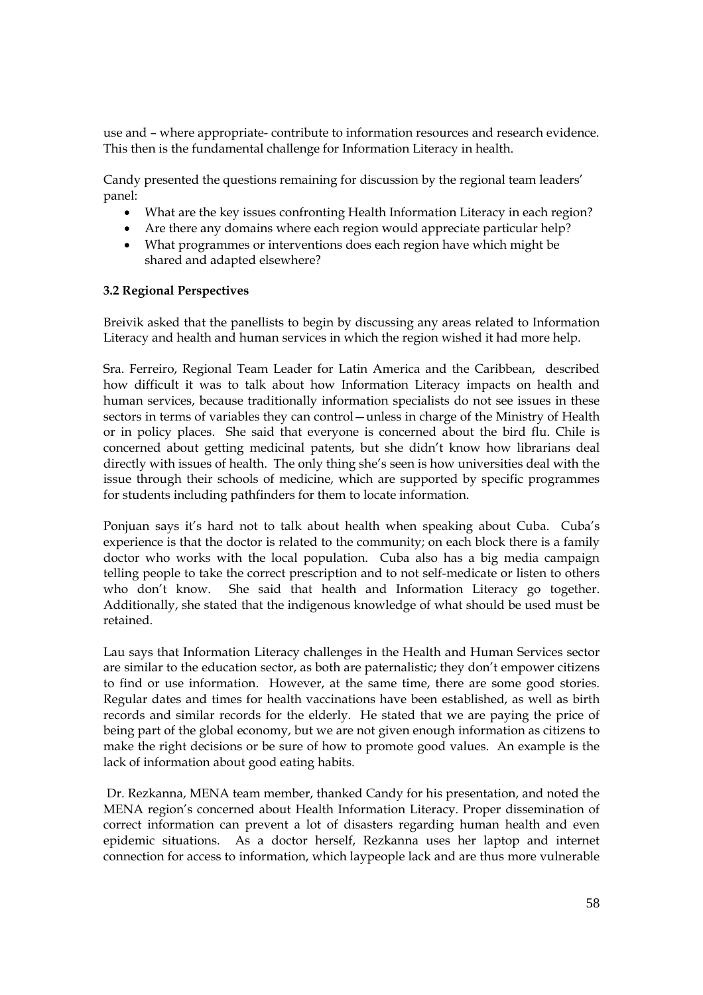use and – where appropriate- contribute to information resources and research evidence. This then is the fundamental challenge for Information Literacy in health.

Candy presented the questions remaining for discussion by the regional team leaders' panel:

- What are the key issues confronting Health Information Literacy in each region?
- Are there any domains where each region would appreciate particular help?
- What programmes or interventions does each region have which might be shared and adapted elsewhere?

### **3.2 Regional Perspectives**

Breivik asked that the panellists to begin by discussing any areas related to Information Literacy and health and human services in which the region wished it had more help.

Sra. Ferreiro, Regional Team Leader for Latin America and the Caribbean, described how difficult it was to talk about how Information Literacy impacts on health and human services, because traditionally information specialists do not see issues in these sectors in terms of variables they can control—unless in charge of the Ministry of Health or in policy places. She said that everyone is concerned about the bird flu. Chile is concerned about getting medicinal patents, but she didn't know how librarians deal directly with issues of health. The only thing she's seen is how universities deal with the issue through their schools of medicine, which are supported by specific programmes for students including pathfinders for them to locate information.

Ponjuan says it's hard not to talk about health when speaking about Cuba. Cuba's experience is that the doctor is related to the community; on each block there is a family doctor who works with the local population. Cuba also has a big media campaign telling people to take the correct prescription and to not self-medicate or listen to others who don't know. She said that health and Information Literacy go together. Additionally, she stated that the indigenous knowledge of what should be used must be retained.

Lau says that Information Literacy challenges in the Health and Human Services sector are similar to the education sector, as both are paternalistic; they don't empower citizens to find or use information. However, at the same time, there are some good stories. Regular dates and times for health vaccinations have been established, as well as birth records and similar records for the elderly. He stated that we are paying the price of being part of the global economy, but we are not given enough information as citizens to make the right decisions or be sure of how to promote good values. An example is the lack of information about good eating habits.

Dr. Rezkanna, MENA team member, thanked Candy for his presentation, and noted the MENA region's concerned about Health Information Literacy. Proper dissemination of correct information can prevent a lot of disasters regarding human health and even epidemic situations. As a doctor herself, Rezkanna uses her laptop and internet connection for access to information, which laypeople lack and are thus more vulnerable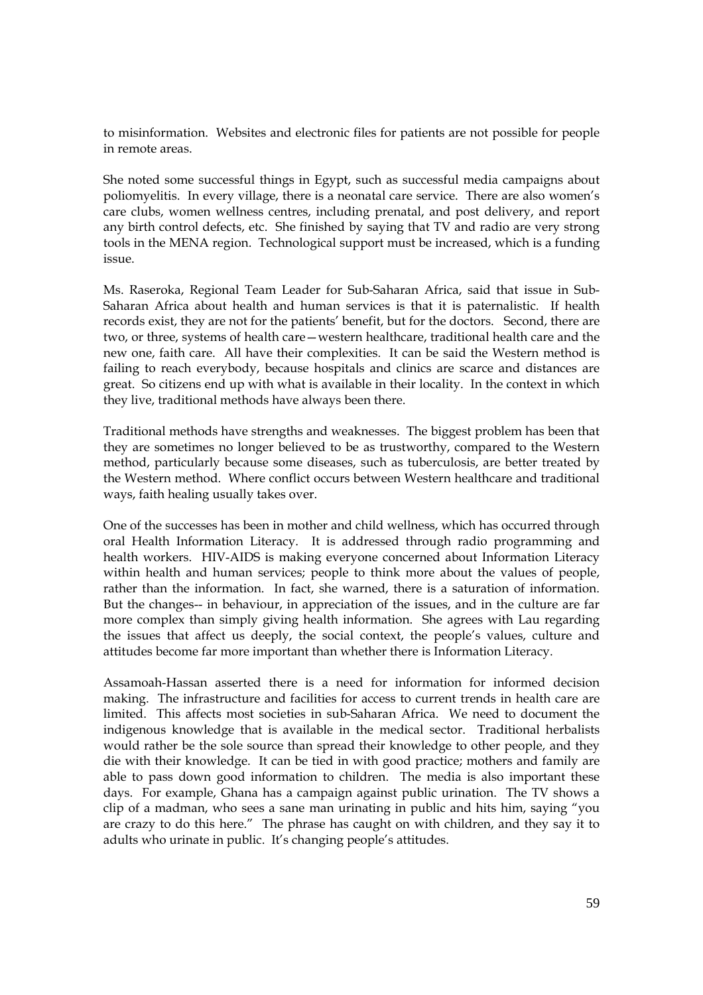to misinformation. Websites and electronic files for patients are not possible for people in remote areas.

She noted some successful things in Egypt, such as successful media campaigns about poliomyelitis. In every village, there is a neonatal care service. There are also women's care clubs, women wellness centres, including prenatal, and post delivery, and report any birth control defects, etc. She finished by saying that TV and radio are very strong tools in the MENA region. Technological support must be increased, which is a funding issue.

Ms. Raseroka, Regional Team Leader for Sub-Saharan Africa, said that issue in Sub-Saharan Africa about health and human services is that it is paternalistic. If health records exist, they are not for the patients' benefit, but for the doctors. Second, there are two, or three, systems of health care—western healthcare, traditional health care and the new one, faith care. All have their complexities. It can be said the Western method is failing to reach everybody, because hospitals and clinics are scarce and distances are great. So citizens end up with what is available in their locality. In the context in which they live, traditional methods have always been there.

Traditional methods have strengths and weaknesses. The biggest problem has been that they are sometimes no longer believed to be as trustworthy, compared to the Western method, particularly because some diseases, such as tuberculosis, are better treated by the Western method. Where conflict occurs between Western healthcare and traditional ways, faith healing usually takes over.

One of the successes has been in mother and child wellness, which has occurred through oral Health Information Literacy. It is addressed through radio programming and health workers. HIV-AIDS is making everyone concerned about Information Literacy within health and human services; people to think more about the values of people, rather than the information. In fact, she warned, there is a saturation of information. But the changes-- in behaviour, in appreciation of the issues, and in the culture are far more complex than simply giving health information. She agrees with Lau regarding the issues that affect us deeply, the social context, the people's values, culture and attitudes become far more important than whether there is Information Literacy.

Assamoah-Hassan asserted there is a need for information for informed decision making. The infrastructure and facilities for access to current trends in health care are limited. This affects most societies in sub-Saharan Africa. We need to document the indigenous knowledge that is available in the medical sector. Traditional herbalists would rather be the sole source than spread their knowledge to other people, and they die with their knowledge. It can be tied in with good practice; mothers and family are able to pass down good information to children. The media is also important these days. For example, Ghana has a campaign against public urination. The TV shows a clip of a madman, who sees a sane man urinating in public and hits him, saying "you are crazy to do this here." The phrase has caught on with children, and they say it to adults who urinate in public. It's changing people's attitudes.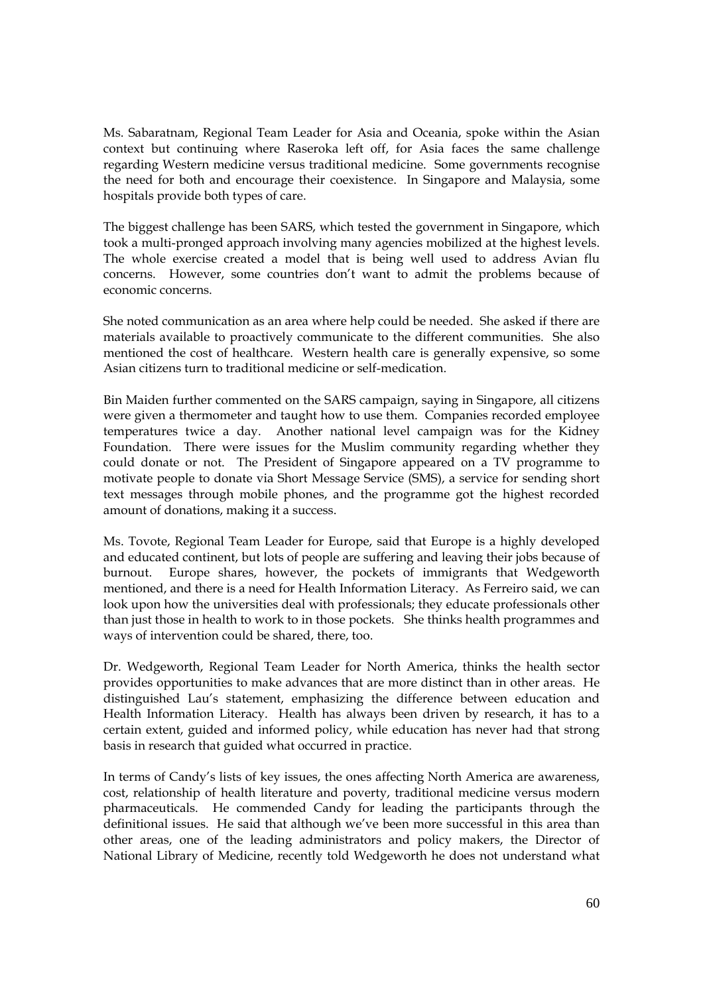Ms. Sabaratnam, Regional Team Leader for Asia and Oceania, spoke within the Asian context but continuing where Raseroka left off, for Asia faces the same challenge regarding Western medicine versus traditional medicine. Some governments recognise the need for both and encourage their coexistence. In Singapore and Malaysia, some hospitals provide both types of care.

The biggest challenge has been SARS, which tested the government in Singapore, which took a multi-pronged approach involving many agencies mobilized at the highest levels. The whole exercise created a model that is being well used to address Avian flu concerns. However, some countries don't want to admit the problems because of economic concerns.

She noted communication as an area where help could be needed. She asked if there are materials available to proactively communicate to the different communities. She also mentioned the cost of healthcare. Western health care is generally expensive, so some Asian citizens turn to traditional medicine or self-medication.

Bin Maiden further commented on the SARS campaign, saying in Singapore, all citizens were given a thermometer and taught how to use them. Companies recorded employee temperatures twice a day. Another national level campaign was for the Kidney Foundation. There were issues for the Muslim community regarding whether they could donate or not. The President of Singapore appeared on a TV programme to motivate people to donate via Short Message Service (SMS), a service for sending short text messages through mobile phones, and the programme got the highest recorded amount of donations, making it a success.

Ms. Tovote, Regional Team Leader for Europe, said that Europe is a highly developed and educated continent, but lots of people are suffering and leaving their jobs because of burnout. Europe shares, however, the pockets of immigrants that Wedgeworth mentioned, and there is a need for Health Information Literacy. As Ferreiro said, we can look upon how the universities deal with professionals; they educate professionals other than just those in health to work to in those pockets. She thinks health programmes and ways of intervention could be shared, there, too.

Dr. Wedgeworth, Regional Team Leader for North America, thinks the health sector provides opportunities to make advances that are more distinct than in other areas. He distinguished Lau's statement, emphasizing the difference between education and Health Information Literacy. Health has always been driven by research, it has to a certain extent, guided and informed policy, while education has never had that strong basis in research that guided what occurred in practice.

In terms of Candy's lists of key issues, the ones affecting North America are awareness, cost, relationship of health literature and poverty, traditional medicine versus modern pharmaceuticals. He commended Candy for leading the participants through the definitional issues. He said that although we've been more successful in this area than other areas, one of the leading administrators and policy makers, the Director of National Library of Medicine, recently told Wedgeworth he does not understand what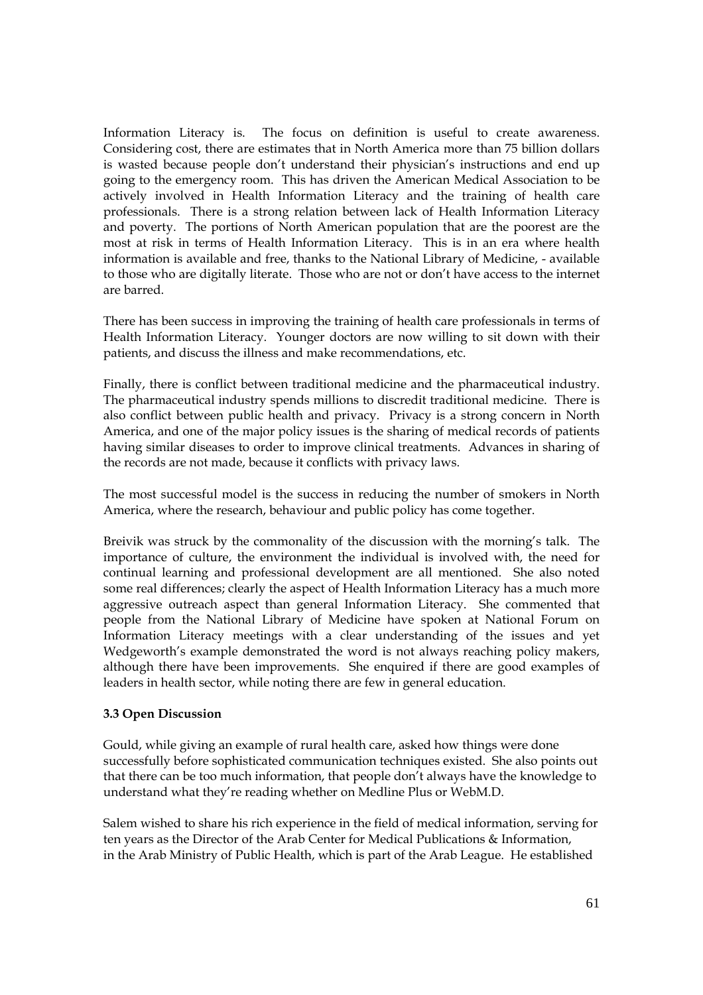Information Literacy is. The focus on definition is useful to create awareness. Considering cost, there are estimates that in North America more than 75 billion dollars is wasted because people don't understand their physician's instructions and end up going to the emergency room. This has driven the American Medical Association to be actively involved in Health Information Literacy and the training of health care professionals. There is a strong relation between lack of Health Information Literacy and poverty. The portions of North American population that are the poorest are the most at risk in terms of Health Information Literacy. This is in an era where health information is available and free, thanks to the National Library of Medicine, - available to those who are digitally literate. Those who are not or don't have access to the internet are barred.

There has been success in improving the training of health care professionals in terms of Health Information Literacy. Younger doctors are now willing to sit down with their patients, and discuss the illness and make recommendations, etc.

Finally, there is conflict between traditional medicine and the pharmaceutical industry. The pharmaceutical industry spends millions to discredit traditional medicine. There is also conflict between public health and privacy. Privacy is a strong concern in North America, and one of the major policy issues is the sharing of medical records of patients having similar diseases to order to improve clinical treatments. Advances in sharing of the records are not made, because it conflicts with privacy laws.

The most successful model is the success in reducing the number of smokers in North America, where the research, behaviour and public policy has come together.

Breivik was struck by the commonality of the discussion with the morning's talk. The importance of culture, the environment the individual is involved with, the need for continual learning and professional development are all mentioned. She also noted some real differences; clearly the aspect of Health Information Literacy has a much more aggressive outreach aspect than general Information Literacy. She commented that people from the National Library of Medicine have spoken at National Forum on Information Literacy meetings with a clear understanding of the issues and yet Wedgeworth's example demonstrated the word is not always reaching policy makers, although there have been improvements. She enquired if there are good examples of leaders in health sector, while noting there are few in general education.

### **3.3 Open Discussion**

Gould, while giving an example of rural health care, asked how things were done successfully before sophisticated communication techniques existed. She also points out that there can be too much information, that people don't always have the knowledge to understand what they're reading whether on Medline Plus or WebM.D.

Salem wished to share his rich experience in the field of medical information, serving for ten years as the Director of the Arab Center for Medical Publications & Information, in the Arab Ministry of Public Health, which is part of the Arab League. He established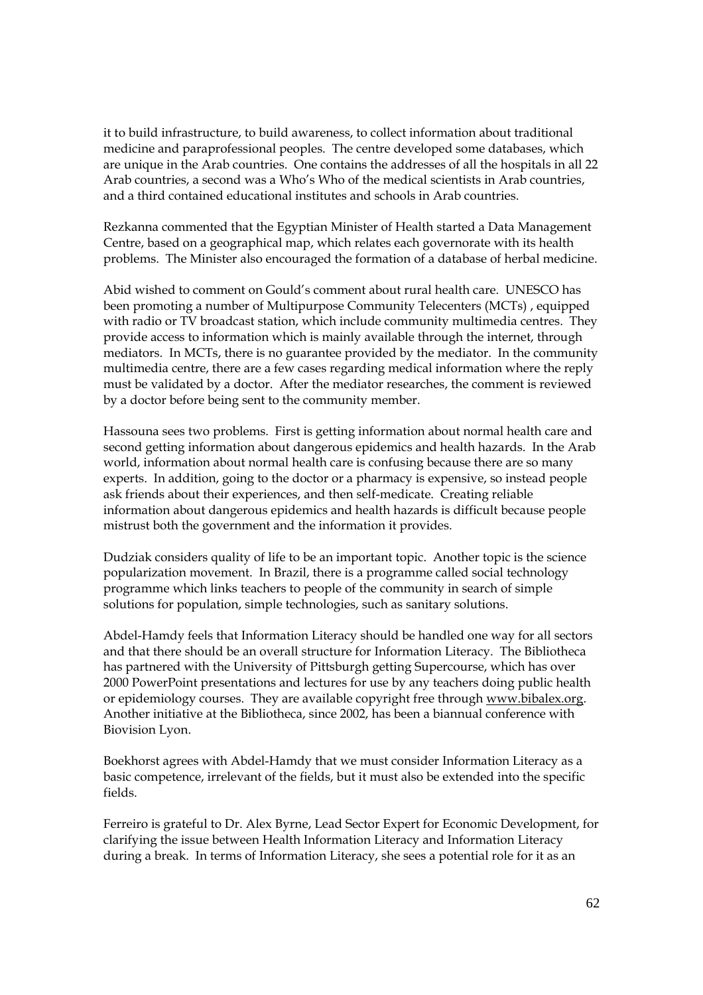it to build infrastructure, to build awareness, to collect information about traditional medicine and paraprofessional peoples. The centre developed some databases, which are unique in the Arab countries. One contains the addresses of all the hospitals in all 22 Arab countries, a second was a Who's Who of the medical scientists in Arab countries, and a third contained educational institutes and schools in Arab countries.

Rezkanna commented that the Egyptian Minister of Health started a Data Management Centre, based on a geographical map, which relates each governorate with its health problems. The Minister also encouraged the formation of a database of herbal medicine.

Abid wished to comment on Gould's comment about rural health care. UNESCO has been promoting a number of Multipurpose Community Telecenters (MCTs) , equipped with radio or TV broadcast station, which include community multimedia centres. They provide access to information which is mainly available through the internet, through mediators. In MCTs, there is no guarantee provided by the mediator. In the community multimedia centre, there are a few cases regarding medical information where the reply must be validated by a doctor. After the mediator researches, the comment is reviewed by a doctor before being sent to the community member.

Hassouna sees two problems. First is getting information about normal health care and second getting information about dangerous epidemics and health hazards. In the Arab world, information about normal health care is confusing because there are so many experts. In addition, going to the doctor or a pharmacy is expensive, so instead people ask friends about their experiences, and then self-medicate. Creating reliable information about dangerous epidemics and health hazards is difficult because people mistrust both the government and the information it provides.

Dudziak considers quality of life to be an important topic. Another topic is the science popularization movement. In Brazil, there is a programme called social technology programme which links teachers to people of the community in search of simple solutions for population, simple technologies, such as sanitary solutions.

Abdel-Hamdy feels that Information Literacy should be handled one way for all sectors and that there should be an overall structure for Information Literacy. The Bibliotheca has partnered with the University of Pittsburgh getting Supercourse, which has over 2000 PowerPoint presentations and lectures for use by any teachers doing public health or epidemiology courses. They are available copyright free through www.bibalex.org. Another initiative at the Bibliotheca, since 2002, has been a biannual conference with Biovision Lyon.

Boekhorst agrees with Abdel-Hamdy that we must consider Information Literacy as a basic competence, irrelevant of the fields, but it must also be extended into the specific fields.

Ferreiro is grateful to Dr. Alex Byrne, Lead Sector Expert for Economic Development, for clarifying the issue between Health Information Literacy and Information Literacy during a break. In terms of Information Literacy, she sees a potential role for it as an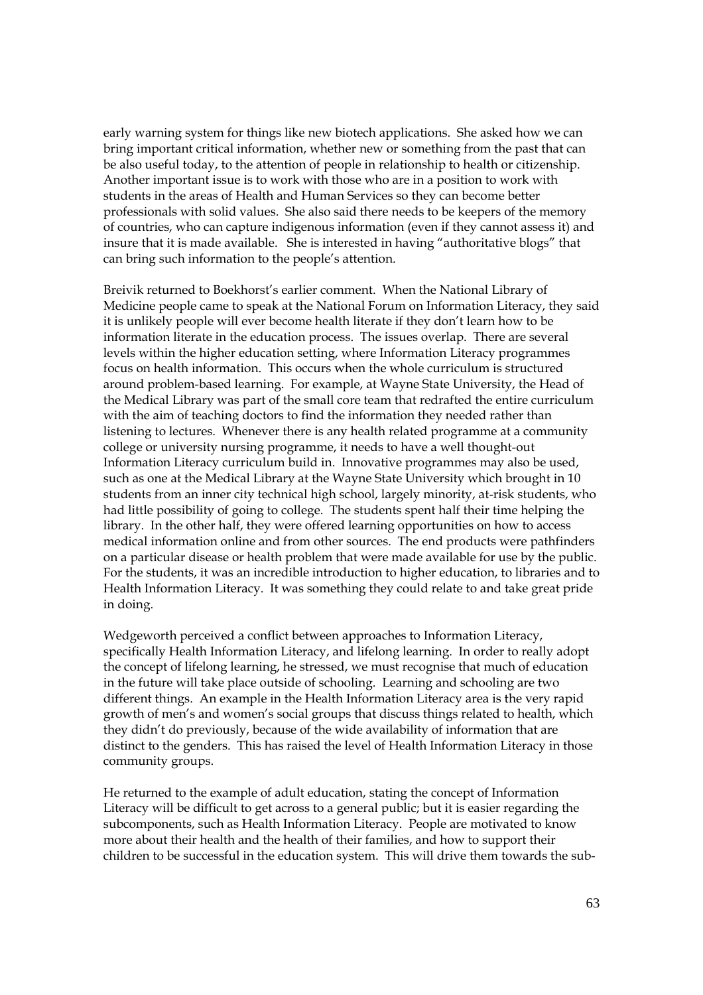early warning system for things like new biotech applications. She asked how we can bring important critical information, whether new or something from the past that can be also useful today, to the attention of people in relationship to health or citizenship. Another important issue is to work with those who are in a position to work with students in the areas of Health and Human Services so they can become better professionals with solid values. She also said there needs to be keepers of the memory of countries, who can capture indigenous information (even if they cannot assess it) and insure that it is made available. She is interested in having "authoritative blogs" that can bring such information to the people's attention.

Breivik returned to Boekhorst's earlier comment. When the National Library of Medicine people came to speak at the National Forum on Information Literacy, they said it is unlikely people will ever become health literate if they don't learn how to be information literate in the education process. The issues overlap. There are several levels within the higher education setting, where Information Literacy programmes focus on health information. This occurs when the whole curriculum is structured around problem-based learning. For example, at Wayne State University, the Head of the Medical Library was part of the small core team that redrafted the entire curriculum with the aim of teaching doctors to find the information they needed rather than listening to lectures. Whenever there is any health related programme at a community college or university nursing programme, it needs to have a well thought-out Information Literacy curriculum build in. Innovative programmes may also be used, such as one at the Medical Library at the Wayne State University which brought in 10 students from an inner city technical high school, largely minority, at-risk students, who had little possibility of going to college. The students spent half their time helping the library. In the other half, they were offered learning opportunities on how to access medical information online and from other sources. The end products were pathfinders on a particular disease or health problem that were made available for use by the public. For the students, it was an incredible introduction to higher education, to libraries and to Health Information Literacy. It was something they could relate to and take great pride in doing.

Wedgeworth perceived a conflict between approaches to Information Literacy, specifically Health Information Literacy, and lifelong learning. In order to really adopt the concept of lifelong learning, he stressed, we must recognise that much of education in the future will take place outside of schooling. Learning and schooling are two different things. An example in the Health Information Literacy area is the very rapid growth of men's and women's social groups that discuss things related to health, which they didn't do previously, because of the wide availability of information that are distinct to the genders. This has raised the level of Health Information Literacy in those community groups.

He returned to the example of adult education, stating the concept of Information Literacy will be difficult to get across to a general public; but it is easier regarding the subcomponents, such as Health Information Literacy. People are motivated to know more about their health and the health of their families, and how to support their children to be successful in the education system. This will drive them towards the sub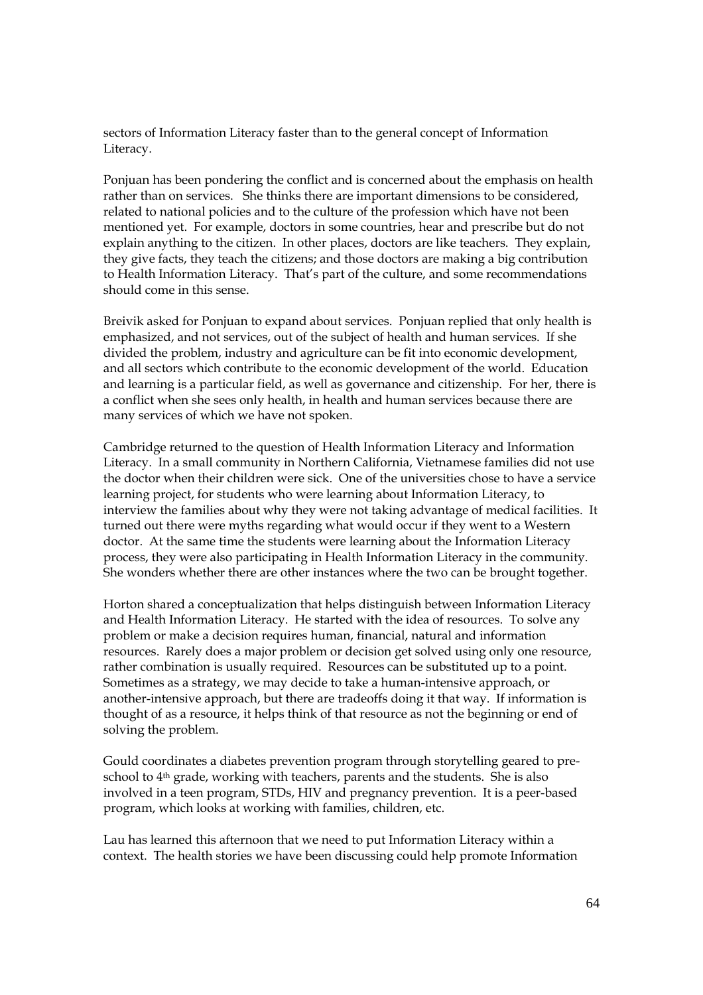sectors of Information Literacy faster than to the general concept of Information Literacy.

Ponjuan has been pondering the conflict and is concerned about the emphasis on health rather than on services. She thinks there are important dimensions to be considered, related to national policies and to the culture of the profession which have not been mentioned yet. For example, doctors in some countries, hear and prescribe but do not explain anything to the citizen. In other places, doctors are like teachers. They explain, they give facts, they teach the citizens; and those doctors are making a big contribution to Health Information Literacy. That's part of the culture, and some recommendations should come in this sense.

Breivik asked for Ponjuan to expand about services. Ponjuan replied that only health is emphasized, and not services, out of the subject of health and human services. If she divided the problem, industry and agriculture can be fit into economic development, and all sectors which contribute to the economic development of the world. Education and learning is a particular field, as well as governance and citizenship. For her, there is a conflict when she sees only health, in health and human services because there are many services of which we have not spoken.

Cambridge returned to the question of Health Information Literacy and Information Literacy. In a small community in Northern California, Vietnamese families did not use the doctor when their children were sick. One of the universities chose to have a service learning project, for students who were learning about Information Literacy, to interview the families about why they were not taking advantage of medical facilities. It turned out there were myths regarding what would occur if they went to a Western doctor. At the same time the students were learning about the Information Literacy process, they were also participating in Health Information Literacy in the community. She wonders whether there are other instances where the two can be brought together.

Horton shared a conceptualization that helps distinguish between Information Literacy and Health Information Literacy. He started with the idea of resources. To solve any problem or make a decision requires human, financial, natural and information resources. Rarely does a major problem or decision get solved using only one resource, rather combination is usually required. Resources can be substituted up to a point. Sometimes as a strategy, we may decide to take a human-intensive approach, or another-intensive approach, but there are tradeoffs doing it that way. If information is thought of as a resource, it helps think of that resource as not the beginning or end of solving the problem.

Gould coordinates a diabetes prevention program through storytelling geared to preschool to 4th grade, working with teachers, parents and the students. She is also involved in a teen program, STDs, HIV and pregnancy prevention. It is a peer-based program, which looks at working with families, children, etc.

Lau has learned this afternoon that we need to put Information Literacy within a context. The health stories we have been discussing could help promote Information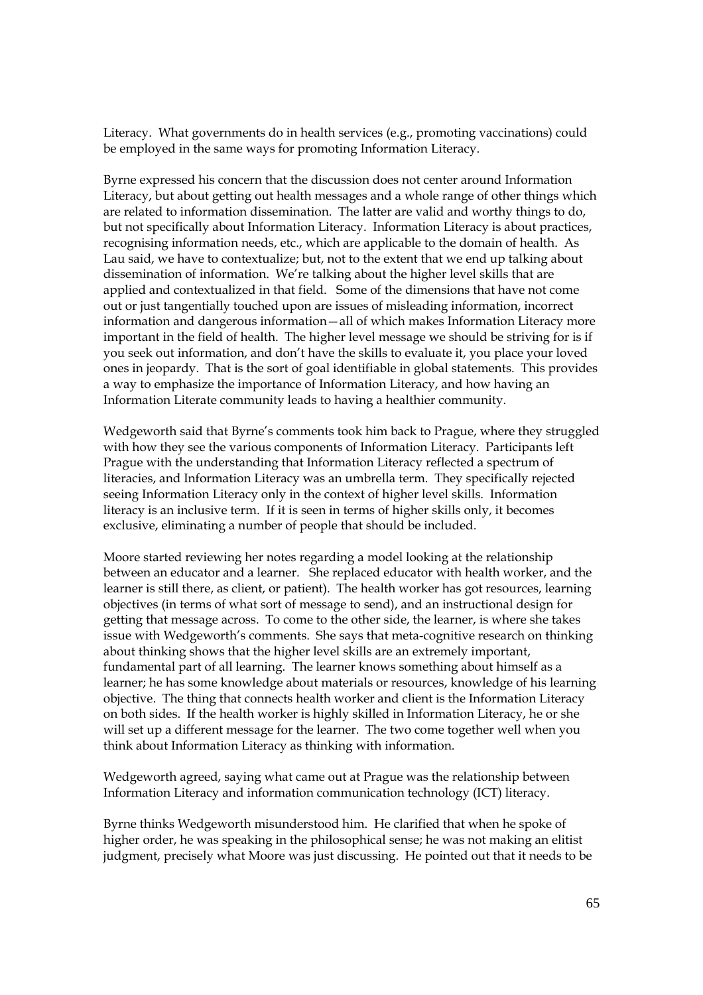Literacy. What governments do in health services (e.g., promoting vaccinations) could be employed in the same ways for promoting Information Literacy.

Byrne expressed his concern that the discussion does not center around Information Literacy, but about getting out health messages and a whole range of other things which are related to information dissemination. The latter are valid and worthy things to do, but not specifically about Information Literacy. Information Literacy is about practices, recognising information needs, etc., which are applicable to the domain of health. As Lau said, we have to contextualize; but, not to the extent that we end up talking about dissemination of information. We're talking about the higher level skills that are applied and contextualized in that field. Some of the dimensions that have not come out or just tangentially touched upon are issues of misleading information, incorrect information and dangerous information—all of which makes Information Literacy more important in the field of health. The higher level message we should be striving for is if you seek out information, and don't have the skills to evaluate it, you place your loved ones in jeopardy. That is the sort of goal identifiable in global statements. This provides a way to emphasize the importance of Information Literacy, and how having an Information Literate community leads to having a healthier community.

Wedgeworth said that Byrne's comments took him back to Prague, where they struggled with how they see the various components of Information Literacy. Participants left Prague with the understanding that Information Literacy reflected a spectrum of literacies, and Information Literacy was an umbrella term. They specifically rejected seeing Information Literacy only in the context of higher level skills. Information literacy is an inclusive term. If it is seen in terms of higher skills only, it becomes exclusive, eliminating a number of people that should be included.

Moore started reviewing her notes regarding a model looking at the relationship between an educator and a learner. She replaced educator with health worker, and the learner is still there, as client, or patient). The health worker has got resources, learning objectives (in terms of what sort of message to send), and an instructional design for getting that message across. To come to the other side, the learner, is where she takes issue with Wedgeworth's comments. She says that meta-cognitive research on thinking about thinking shows that the higher level skills are an extremely important, fundamental part of all learning. The learner knows something about himself as a learner; he has some knowledge about materials or resources, knowledge of his learning objective. The thing that connects health worker and client is the Information Literacy on both sides. If the health worker is highly skilled in Information Literacy, he or she will set up a different message for the learner. The two come together well when you think about Information Literacy as thinking with information.

Wedgeworth agreed, saying what came out at Prague was the relationship between Information Literacy and information communication technology (ICT) literacy.

Byrne thinks Wedgeworth misunderstood him. He clarified that when he spoke of higher order, he was speaking in the philosophical sense; he was not making an elitist judgment, precisely what Moore was just discussing. He pointed out that it needs to be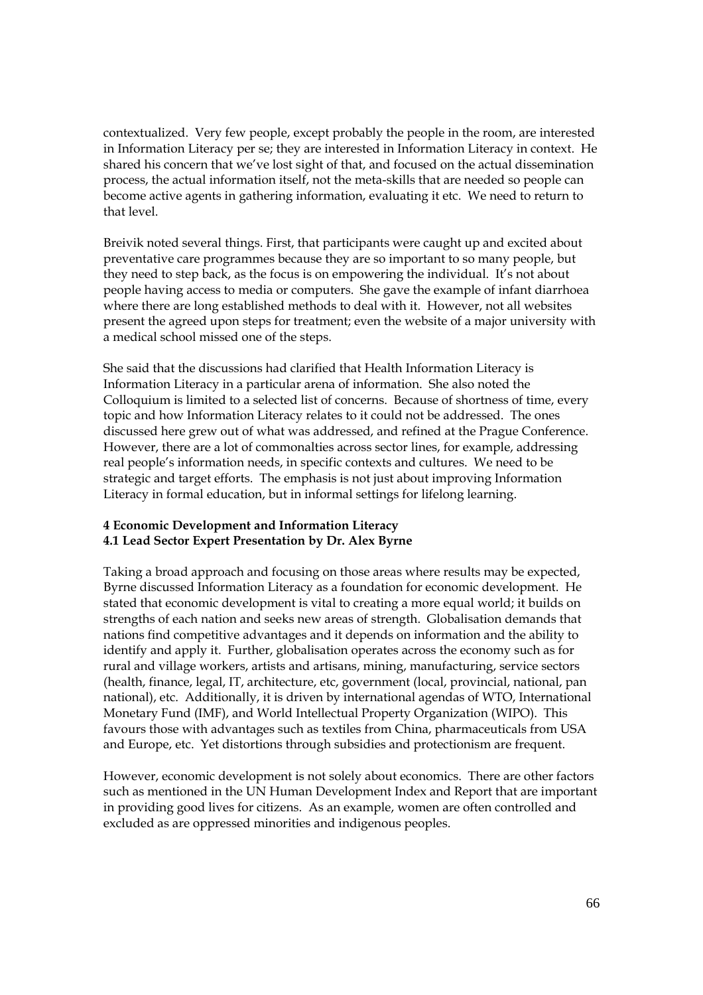contextualized. Very few people, except probably the people in the room, are interested in Information Literacy per se; they are interested in Information Literacy in context. He shared his concern that we've lost sight of that, and focused on the actual dissemination process, the actual information itself, not the meta-skills that are needed so people can become active agents in gathering information, evaluating it etc. We need to return to that level.

Breivik noted several things. First, that participants were caught up and excited about preventative care programmes because they are so important to so many people, but they need to step back, as the focus is on empowering the individual. It's not about people having access to media or computers. She gave the example of infant diarrhoea where there are long established methods to deal with it. However, not all websites present the agreed upon steps for treatment; even the website of a major university with a medical school missed one of the steps.

She said that the discussions had clarified that Health Information Literacy is Information Literacy in a particular arena of information. She also noted the Colloquium is limited to a selected list of concerns. Because of shortness of time, every topic and how Information Literacy relates to it could not be addressed. The ones discussed here grew out of what was addressed, and refined at the Prague Conference. However, there are a lot of commonalties across sector lines, for example, addressing real people's information needs, in specific contexts and cultures. We need to be strategic and target efforts. The emphasis is not just about improving Information Literacy in formal education, but in informal settings for lifelong learning.

### **4 Economic Development and Information Literacy 4.1 Lead Sector Expert Presentation by Dr. Alex Byrne**

Taking a broad approach and focusing on those areas where results may be expected, Byrne discussed Information Literacy as a foundation for economic development. He stated that economic development is vital to creating a more equal world; it builds on strengths of each nation and seeks new areas of strength. Globalisation demands that nations find competitive advantages and it depends on information and the ability to identify and apply it. Further, globalisation operates across the economy such as for rural and village workers, artists and artisans, mining, manufacturing, service sectors (health, finance, legal, IT, architecture, etc, government (local, provincial, national, pan national), etc. Additionally, it is driven by international agendas of WTO, International Monetary Fund (IMF), and World Intellectual Property Organization (WIPO). This favours those with advantages such as textiles from China, pharmaceuticals from USA and Europe, etc. Yet distortions through subsidies and protectionism are frequent.

However, economic development is not solely about economics. There are other factors such as mentioned in the UN Human Development Index and Report that are important in providing good lives for citizens. As an example, women are often controlled and excluded as are oppressed minorities and indigenous peoples.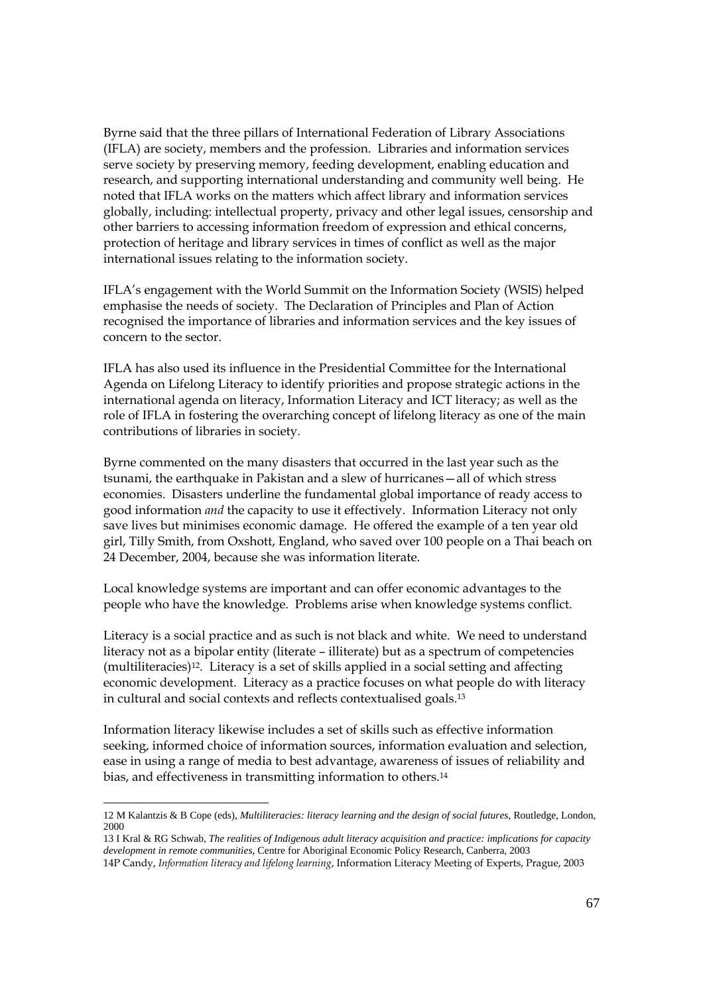Byrne said that the three pillars of International Federation of Library Associations (IFLA) are society, members and the profession. Libraries and information services serve society by preserving memory, feeding development, enabling education and research, and supporting international understanding and community well being. He noted that IFLA works on the matters which affect library and information services globally, including: intellectual property, privacy and other legal issues, censorship and other barriers to accessing information freedom of expression and ethical concerns, protection of heritage and library services in times of conflict as well as the major international issues relating to the information society.

IFLA's engagement with the World Summit on the Information Society (WSIS) helped emphasise the needs of society. The Declaration of Principles and Plan of Action recognised the importance of libraries and information services and the key issues of concern to the sector.

IFLA has also used its influence in the Presidential Committee for the International Agenda on Lifelong Literacy to identify priorities and propose strategic actions in the international agenda on literacy, Information Literacy and ICT literacy; as well as the role of IFLA in fostering the overarching concept of lifelong literacy as one of the main contributions of libraries in society.

Byrne commented on the many disasters that occurred in the last year such as the tsunami, the earthquake in Pakistan and a slew of hurricanes—all of which stress economies. Disasters underline the fundamental global importance of ready access to good information *and* the capacity to use it effectively. Information Literacy not only save lives but minimises economic damage. He offered the example of a ten year old girl, Tilly Smith, from Oxshott, England, who saved over 100 people on a Thai beach on 24 December, 2004, because she was information literate.

Local knowledge systems are important and can offer economic advantages to the people who have the knowledge. Problems arise when knowledge systems conflict.

Literacy is a social practice and as such is not black and white. We need to understand literacy not as a bipolar entity (literate – illiterate) but as a spectrum of competencies (multiliteracies)12. Literacy is a set of skills applied in a social setting and affecting economic development. Literacy as a practice focuses on what people do with literacy in cultural and social contexts and reflects contextualised goals.13

Information literacy likewise includes a set of skills such as effective information seeking, informed choice of information sources, information evaluation and selection, ease in using a range of media to best advantage, awareness of issues of reliability and bias, and effectiveness in transmitting information to others.14

<sup>12</sup> M Kalantzis & B Cope (eds), *Multiliteracies: literacy learning and the design of social futures*, Routledge, London, 2000

<sup>13</sup> I Kral & RG Schwab, *The realities of Indigenous adult literacy acquisition and practice: implications for capacity development in remote communities*, Centre for Aboriginal Economic Policy Research, Canberra, 2003 14P Candy, *Information literacy and lifelong learning*, Information Literacy Meeting of Experts, Prague, 2003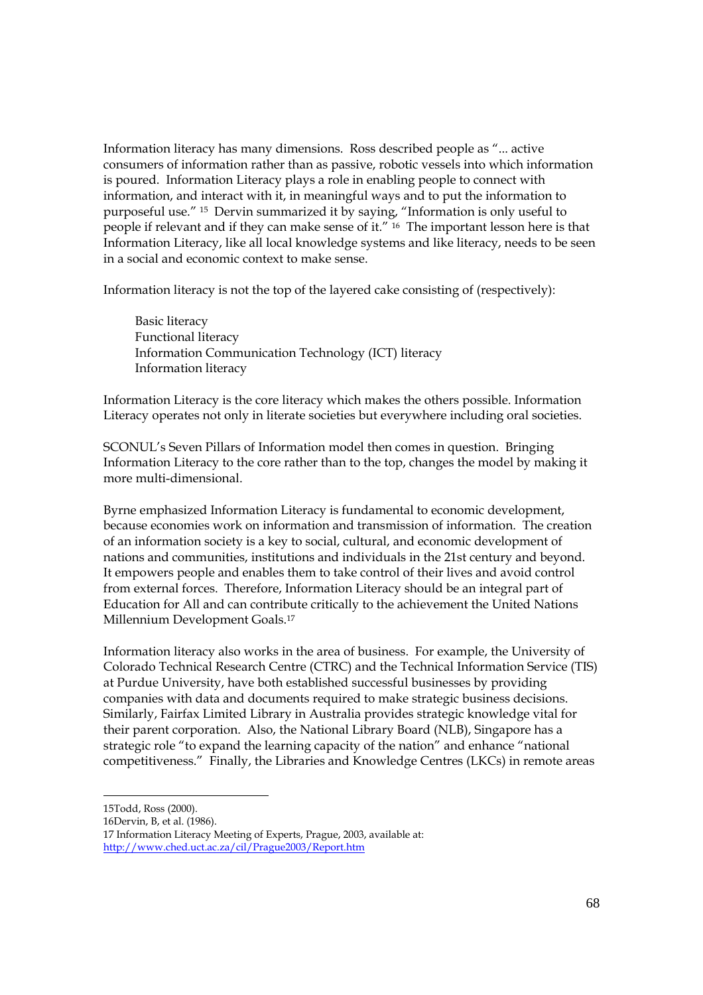Information literacy has many dimensions. Ross described people as "... active consumers of information rather than as passive, robotic vessels into which information is poured. Information Literacy plays a role in enabling people to connect with information, and interact with it, in meaningful ways and to put the information to purposeful use." 15 Dervin summarized it by saying, "Information is only useful to people if relevant and if they can make sense of it." 16 The important lesson here is that Information Literacy, like all local knowledge systems and like literacy, needs to be seen in a social and economic context to make sense.

Information literacy is not the top of the layered cake consisting of (respectively):

 Basic literacy Functional literacy Information Communication Technology (ICT) literacy Information literacy

Information Literacy is the core literacy which makes the others possible. Information Literacy operates not only in literate societies but everywhere including oral societies.

SCONUL's Seven Pillars of Information model then comes in question. Bringing Information Literacy to the core rather than to the top, changes the model by making it more multi-dimensional.

Byrne emphasized Information Literacy is fundamental to economic development, because economies work on information and transmission of information. The creation of an information society is a key to social, cultural, and economic development of nations and communities, institutions and individuals in the 21st century and beyond. It empowers people and enables them to take control of their lives and avoid control from external forces. Therefore, Information Literacy should be an integral part of Education for All and can contribute critically to the achievement the United Nations Millennium Development Goals.17

Information literacy also works in the area of business. For example, the University of Colorado Technical Research Centre (CTRC) and the Technical Information Service (TIS) at Purdue University, have both established successful businesses by providing companies with data and documents required to make strategic business decisions. Similarly, Fairfax Limited Library in Australia provides strategic knowledge vital for their parent corporation. Also, the National Library Board (NLB), Singapore has a strategic role "to expand the learning capacity of the nation" and enhance "national competitiveness." Finally, the Libraries and Knowledge Centres (LKCs) in remote areas

<sup>15</sup>Todd, Ross (2000).

<sup>16</sup>Dervin, B, et al. (1986).

<sup>17</sup> Information Literacy Meeting of Experts, Prague, 2003, available at: <http://www.ched.uct.ac.za/cil/Prague2003/Report.htm>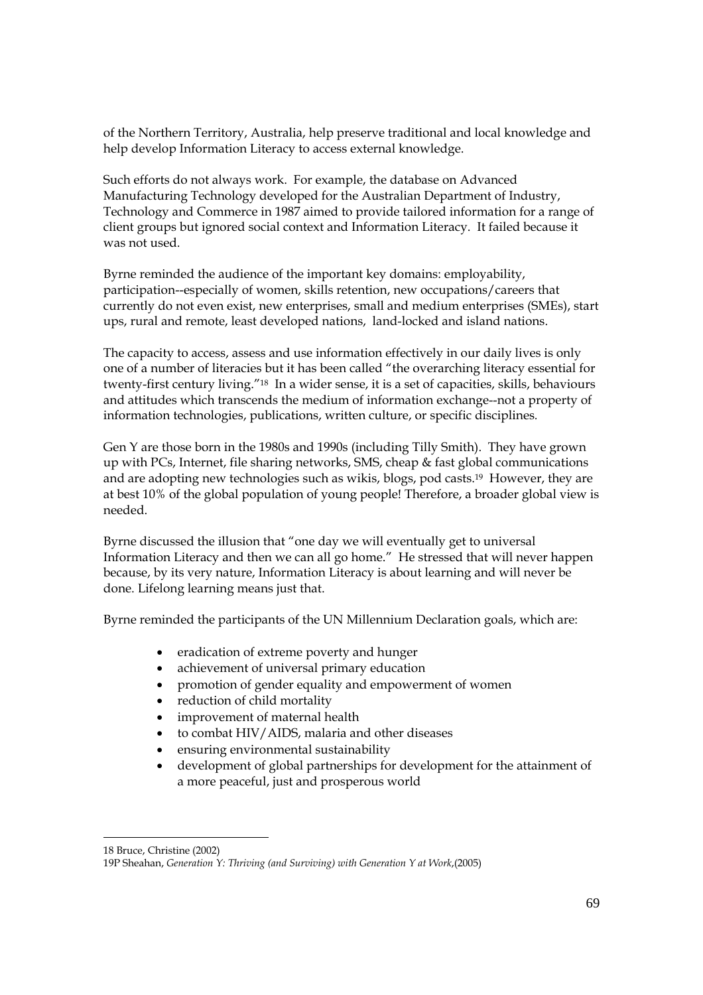of the Northern Territory, Australia, help preserve traditional and local knowledge and help develop Information Literacy to access external knowledge.

Such efforts do not always work. For example, the database on Advanced Manufacturing Technology developed for the Australian Department of Industry, Technology and Commerce in 1987 aimed to provide tailored information for a range of client groups but ignored social context and Information Literacy. It failed because it was not used.

Byrne reminded the audience of the important key domains: employability, participation--especially of women, skills retention, new occupations/careers that currently do not even exist, new enterprises, small and medium enterprises (SMEs), start ups, rural and remote, least developed nations, land-locked and island nations.

The capacity to access, assess and use information effectively in our daily lives is only one of a number of literacies but it has been called "the overarching literacy essential for twenty-first century living."18 In a wider sense, it is a set of capacities, skills, behaviours and attitudes which transcends the medium of information exchange--not a property of information technologies, publications, written culture, or specific disciplines*.* 

Gen Y are those born in the 1980s and 1990s (including Tilly Smith). They have grown up with PCs, Internet, file sharing networks, SMS, cheap & fast global communications and are adopting new technologies such as wikis, blogs, pod casts.19 However, they are at best 10% of the global population of young people! Therefore, a broader global view is needed.

Byrne discussed the illusion that "one day we will eventually get to universal Information Literacy and then we can all go home." He stressed that will never happen because, by its very nature, Information Literacy is about learning and will never be done. Lifelong learning means just that.

Byrne reminded the participants of the UN Millennium Declaration goals, which are:

- eradication of extreme poverty and hunger
- achievement of universal primary education
- promotion of gender equality and empowerment of women
- reduction of child mortality
- improvement of maternal health
- to combat HIV/AIDS, malaria and other diseases
- ensuring environmental sustainability
- development of global partnerships for development for the attainment of a more peaceful, just and prosperous world

<sup>18</sup> Bruce, Christine (2002)

<sup>19</sup>P Sheahan, *Generation Y: Thriving (and Surviving) with Generation Y at Work*,(2005)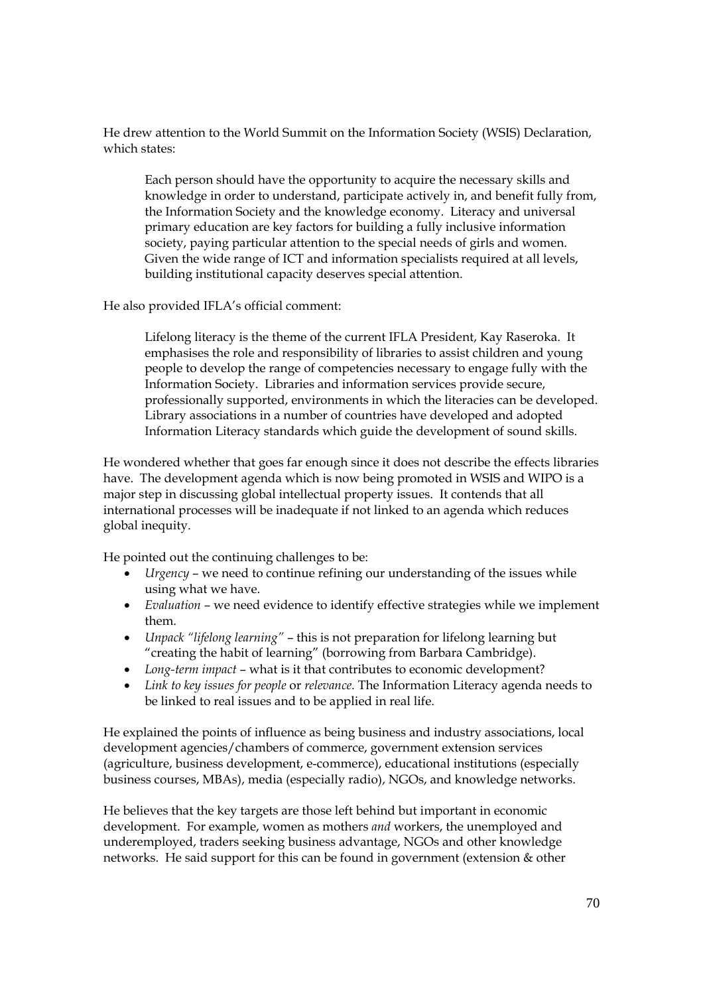He drew attention to the World Summit on the Information Society (WSIS) Declaration, which states:

Each person should have the opportunity to acquire the necessary skills and knowledge in order to understand, participate actively in, and benefit fully from, the Information Society and the knowledge economy. Literacy and universal primary education are key factors for building a fully inclusive information society, paying particular attention to the special needs of girls and women. Given the wide range of ICT and information specialists required at all levels, building institutional capacity deserves special attention.

He also provided IFLA's official comment:

Lifelong literacy is the theme of the current IFLA President, Kay Raseroka. It emphasises the role and responsibility of libraries to assist children and young people to develop the range of competencies necessary to engage fully with the Information Society. Libraries and information services provide secure, professionally supported, environments in which the literacies can be developed. Library associations in a number of countries have developed and adopted Information Literacy standards which guide the development of sound skills.

He wondered whether that goes far enough since it does not describe the effects libraries have. The development agenda which is now being promoted in WSIS and WIPO is a major step in discussing global intellectual property issues. It contends that all international processes will be inadequate if not linked to an agenda which reduces global inequity.

He pointed out the continuing challenges to be:

- *Urgency* we need to continue refining our understanding of the issues while using what we have.
- *Evaluation* we need evidence to identify effective strategies while we implement them.
- *Unpack "lifelong learning"* this is not preparation for lifelong learning but "creating the habit of learning" (borrowing from Barbara Cambridge).
- *Long-term impact* what is it that contributes to economic development?
- *Link to key issues for people* or *relevance.* The Information Literacy agenda needs to be linked to real issues and to be applied in real life.

He explained the points of influence as being business and industry associations, local development agencies/chambers of commerce, government extension services (agriculture, business development, e-commerce), educational institutions (especially business courses, MBAs), media (especially radio), NGOs, and knowledge networks.

He believes that the key targets are those left behind but important in economic development. For example, women as mothers *and* workers, the unemployed and underemployed, traders seeking business advantage, NGOs and other knowledge networks. He said support for this can be found in government (extension & other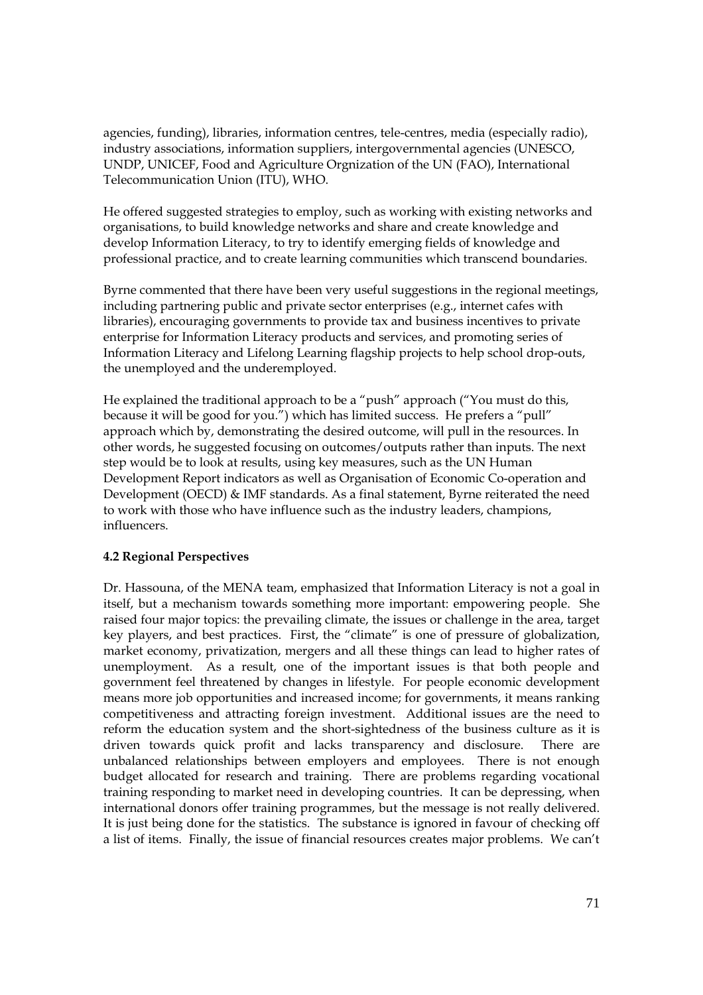agencies, funding), libraries, information centres, tele-centres, media (especially radio), industry associations, information suppliers, intergovernmental agencies (UNESCO, UNDP, UNICEF, Food and Agriculture Orgnization of the UN (FAO), International Telecommunication Union (ITU), WHO.

He offered suggested strategies to employ, such as working with existing networks and organisations, to build knowledge networks and share and create knowledge and develop Information Literacy, to try to identify emerging fields of knowledge and professional practice, and to create learning communities which transcend boundaries.

Byrne commented that there have been very useful suggestions in the regional meetings, including partnering public and private sector enterprises (e.g., internet cafes with libraries), encouraging governments to provide tax and business incentives to private enterprise for Information Literacy products and services, and promoting series of Information Literacy and Lifelong Learning flagship projects to help school drop-outs, the unemployed and the underemployed.

He explained the traditional approach to be a "push" approach ("You must do this, because it will be good for you.") which has limited success. He prefers a "pull" approach which by, demonstrating the desired outcome, will pull in the resources. In other words, he suggested focusing on outcomes/outputs rather than inputs. The next step would be to look at results, using key measures, such as the UN Human Development Report indicators as well as Organisation of Economic Co-operation and Development (OECD) & IMF standards. As a final statement, Byrne reiterated the need to work with those who have influence such as the industry leaders, champions, influencers.

## **4.2 Regional Perspectives**

Dr. Hassouna, of the MENA team, emphasized that Information Literacy is not a goal in itself, but a mechanism towards something more important: empowering people. She raised four major topics: the prevailing climate, the issues or challenge in the area, target key players, and best practices. First, the "climate" is one of pressure of globalization, market economy, privatization, mergers and all these things can lead to higher rates of unemployment. As a result, one of the important issues is that both people and government feel threatened by changes in lifestyle. For people economic development means more job opportunities and increased income; for governments, it means ranking competitiveness and attracting foreign investment. Additional issues are the need to reform the education system and the short-sightedness of the business culture as it is driven towards quick profit and lacks transparency and disclosure. There are unbalanced relationships between employers and employees. There is not enough budget allocated for research and training. There are problems regarding vocational training responding to market need in developing countries. It can be depressing, when international donors offer training programmes, but the message is not really delivered. It is just being done for the statistics. The substance is ignored in favour of checking off a list of items. Finally, the issue of financial resources creates major problems. We can't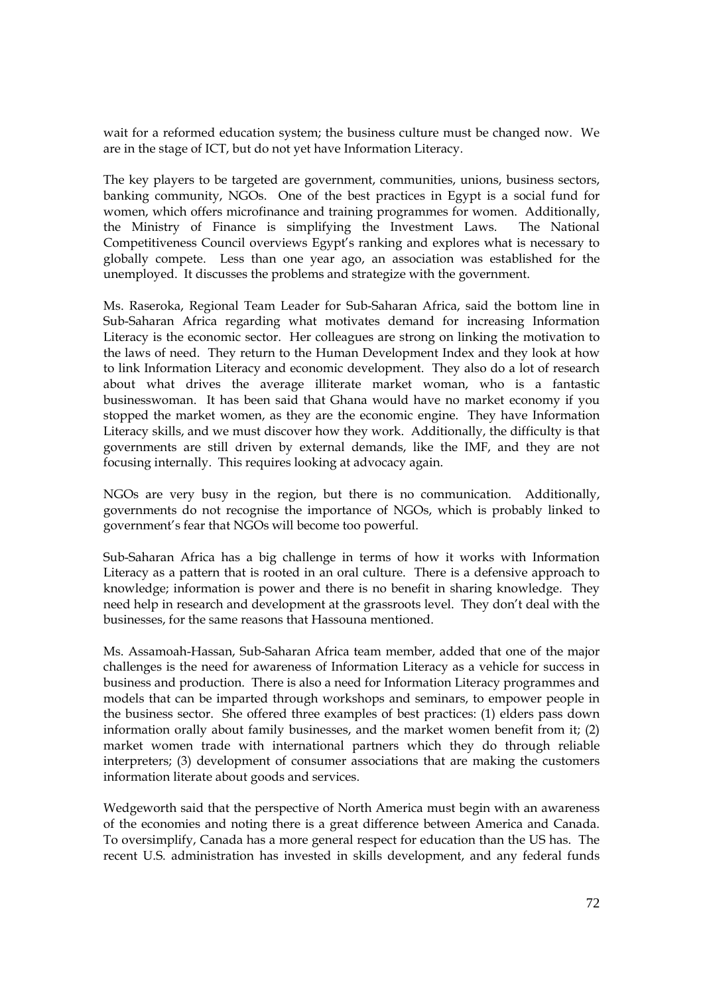wait for a reformed education system; the business culture must be changed now. We are in the stage of ICT, but do not yet have Information Literacy.

The key players to be targeted are government, communities, unions, business sectors, banking community, NGOs. One of the best practices in Egypt is a social fund for women, which offers microfinance and training programmes for women. Additionally, the Ministry of Finance is simplifying the Investment Laws. The National Competitiveness Council overviews Egypt's ranking and explores what is necessary to globally compete. Less than one year ago, an association was established for the unemployed. It discusses the problems and strategize with the government.

Ms. Raseroka, Regional Team Leader for Sub-Saharan Africa, said the bottom line in Sub-Saharan Africa regarding what motivates demand for increasing Information Literacy is the economic sector. Her colleagues are strong on linking the motivation to the laws of need. They return to the Human Development Index and they look at how to link Information Literacy and economic development. They also do a lot of research about what drives the average illiterate market woman, who is a fantastic businesswoman. It has been said that Ghana would have no market economy if you stopped the market women, as they are the economic engine. They have Information Literacy skills, and we must discover how they work. Additionally, the difficulty is that governments are still driven by external demands, like the IMF, and they are not focusing internally. This requires looking at advocacy again.

NGOs are very busy in the region, but there is no communication. Additionally, governments do not recognise the importance of NGOs, which is probably linked to government's fear that NGOs will become too powerful.

Sub-Saharan Africa has a big challenge in terms of how it works with Information Literacy as a pattern that is rooted in an oral culture. There is a defensive approach to knowledge; information is power and there is no benefit in sharing knowledge. They need help in research and development at the grassroots level. They don't deal with the businesses, for the same reasons that Hassouna mentioned.

Ms. Assamoah-Hassan, Sub-Saharan Africa team member, added that one of the major challenges is the need for awareness of Information Literacy as a vehicle for success in business and production. There is also a need for Information Literacy programmes and models that can be imparted through workshops and seminars, to empower people in the business sector. She offered three examples of best practices: (1) elders pass down information orally about family businesses, and the market women benefit from it; (2) market women trade with international partners which they do through reliable interpreters; (3) development of consumer associations that are making the customers information literate about goods and services.

Wedgeworth said that the perspective of North America must begin with an awareness of the economies and noting there is a great difference between America and Canada. To oversimplify, Canada has a more general respect for education than the US has. The recent U.S. administration has invested in skills development, and any federal funds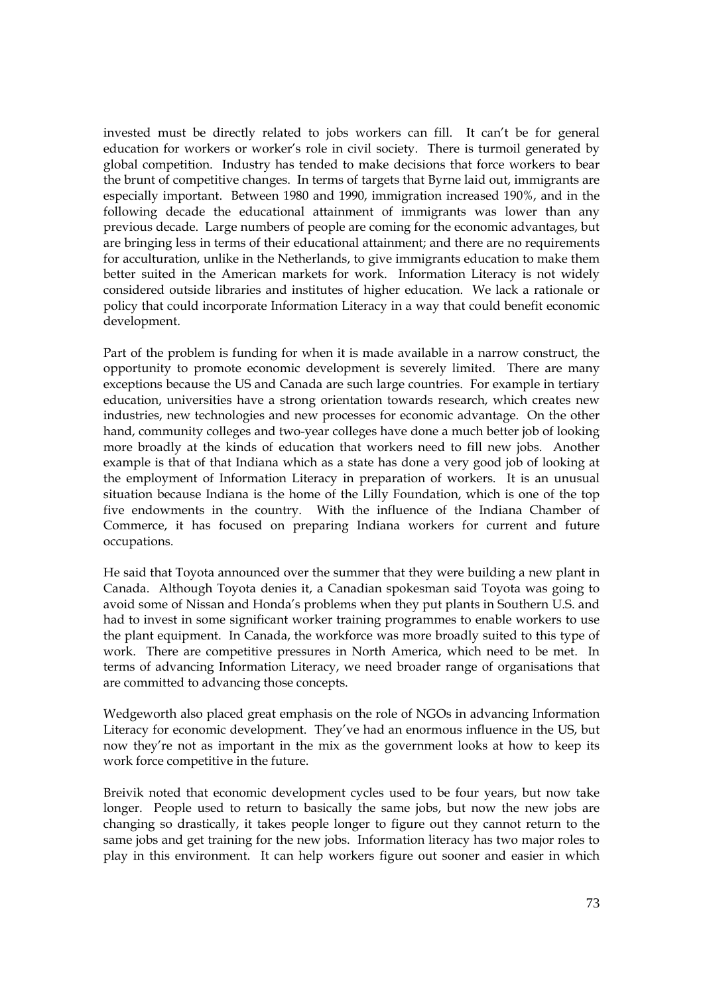invested must be directly related to jobs workers can fill. It can't be for general education for workers or worker's role in civil society. There is turmoil generated by global competition. Industry has tended to make decisions that force workers to bear the brunt of competitive changes. In terms of targets that Byrne laid out, immigrants are especially important. Between 1980 and 1990, immigration increased 190%, and in the following decade the educational attainment of immigrants was lower than any previous decade. Large numbers of people are coming for the economic advantages, but are bringing less in terms of their educational attainment; and there are no requirements for acculturation, unlike in the Netherlands, to give immigrants education to make them better suited in the American markets for work. Information Literacy is not widely considered outside libraries and institutes of higher education. We lack a rationale or policy that could incorporate Information Literacy in a way that could benefit economic development.

Part of the problem is funding for when it is made available in a narrow construct, the opportunity to promote economic development is severely limited. There are many exceptions because the US and Canada are such large countries. For example in tertiary education, universities have a strong orientation towards research, which creates new industries, new technologies and new processes for economic advantage. On the other hand, community colleges and two-year colleges have done a much better job of looking more broadly at the kinds of education that workers need to fill new jobs. Another example is that of that Indiana which as a state has done a very good job of looking at the employment of Information Literacy in preparation of workers. It is an unusual situation because Indiana is the home of the Lilly Foundation, which is one of the top five endowments in the country. With the influence of the Indiana Chamber of Commerce, it has focused on preparing Indiana workers for current and future occupations.

He said that Toyota announced over the summer that they were building a new plant in Canada. Although Toyota denies it, a Canadian spokesman said Toyota was going to avoid some of Nissan and Honda's problems when they put plants in Southern U.S. and had to invest in some significant worker training programmes to enable workers to use the plant equipment. In Canada, the workforce was more broadly suited to this type of work. There are competitive pressures in North America, which need to be met. In terms of advancing Information Literacy, we need broader range of organisations that are committed to advancing those concepts.

Wedgeworth also placed great emphasis on the role of NGOs in advancing Information Literacy for economic development. They've had an enormous influence in the US, but now they're not as important in the mix as the government looks at how to keep its work force competitive in the future.

Breivik noted that economic development cycles used to be four years, but now take longer. People used to return to basically the same jobs, but now the new jobs are changing so drastically, it takes people longer to figure out they cannot return to the same jobs and get training for the new jobs. Information literacy has two major roles to play in this environment. It can help workers figure out sooner and easier in which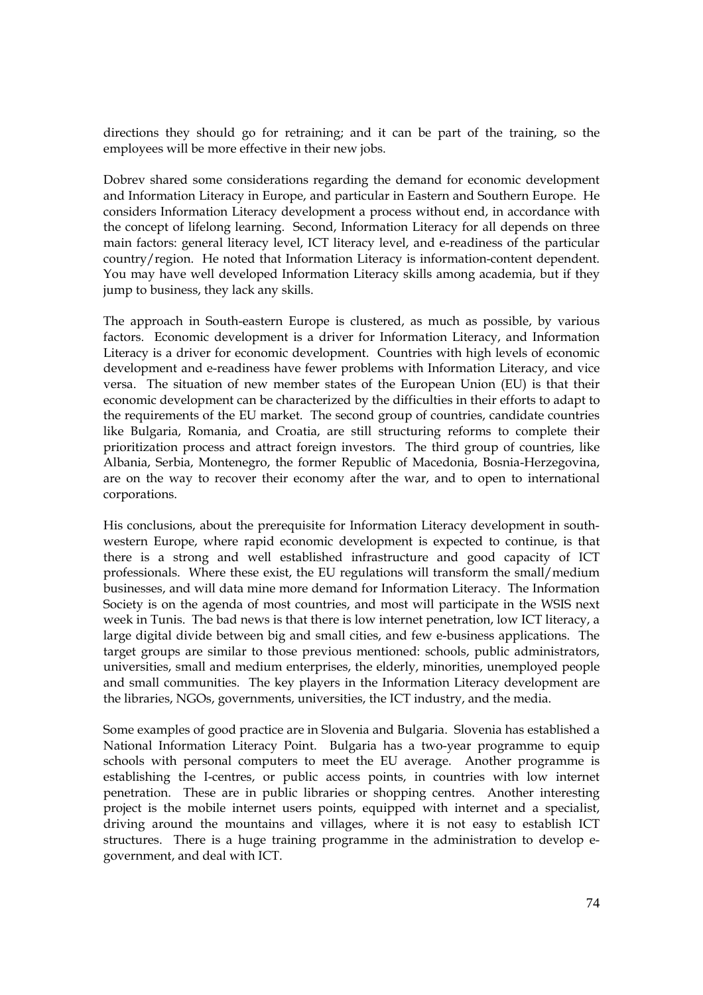directions they should go for retraining; and it can be part of the training, so the employees will be more effective in their new jobs.

Dobrev shared some considerations regarding the demand for economic development and Information Literacy in Europe, and particular in Eastern and Southern Europe. He considers Information Literacy development a process without end, in accordance with the concept of lifelong learning. Second, Information Literacy for all depends on three main factors: general literacy level, ICT literacy level, and e-readiness of the particular country/region. He noted that Information Literacy is information-content dependent. You may have well developed Information Literacy skills among academia, but if they jump to business, they lack any skills.

The approach in South-eastern Europe is clustered, as much as possible, by various factors. Economic development is a driver for Information Literacy, and Information Literacy is a driver for economic development. Countries with high levels of economic development and e-readiness have fewer problems with Information Literacy, and vice versa. The situation of new member states of the European Union (EU) is that their economic development can be characterized by the difficulties in their efforts to adapt to the requirements of the EU market. The second group of countries, candidate countries like Bulgaria, Romania, and Croatia, are still structuring reforms to complete their prioritization process and attract foreign investors. The third group of countries, like Albania, Serbia, Montenegro, the former Republic of Macedonia, Bosnia-Herzegovina, are on the way to recover their economy after the war, and to open to international corporations.

His conclusions, about the prerequisite for Information Literacy development in southwestern Europe, where rapid economic development is expected to continue, is that there is a strong and well established infrastructure and good capacity of ICT professionals. Where these exist, the EU regulations will transform the small/medium businesses, and will data mine more demand for Information Literacy. The Information Society is on the agenda of most countries, and most will participate in the WSIS next week in Tunis. The bad news is that there is low internet penetration, low ICT literacy, a large digital divide between big and small cities, and few e-business applications. The target groups are similar to those previous mentioned: schools, public administrators, universities, small and medium enterprises, the elderly, minorities, unemployed people and small communities. The key players in the Information Literacy development are the libraries, NGOs, governments, universities, the ICT industry, and the media.

Some examples of good practice are in Slovenia and Bulgaria. Slovenia has established a National Information Literacy Point. Bulgaria has a two-year programme to equip schools with personal computers to meet the EU average. Another programme is establishing the I-centres, or public access points, in countries with low internet penetration. These are in public libraries or shopping centres. Another interesting project is the mobile internet users points, equipped with internet and a specialist, driving around the mountains and villages, where it is not easy to establish ICT structures. There is a huge training programme in the administration to develop egovernment, and deal with ICT.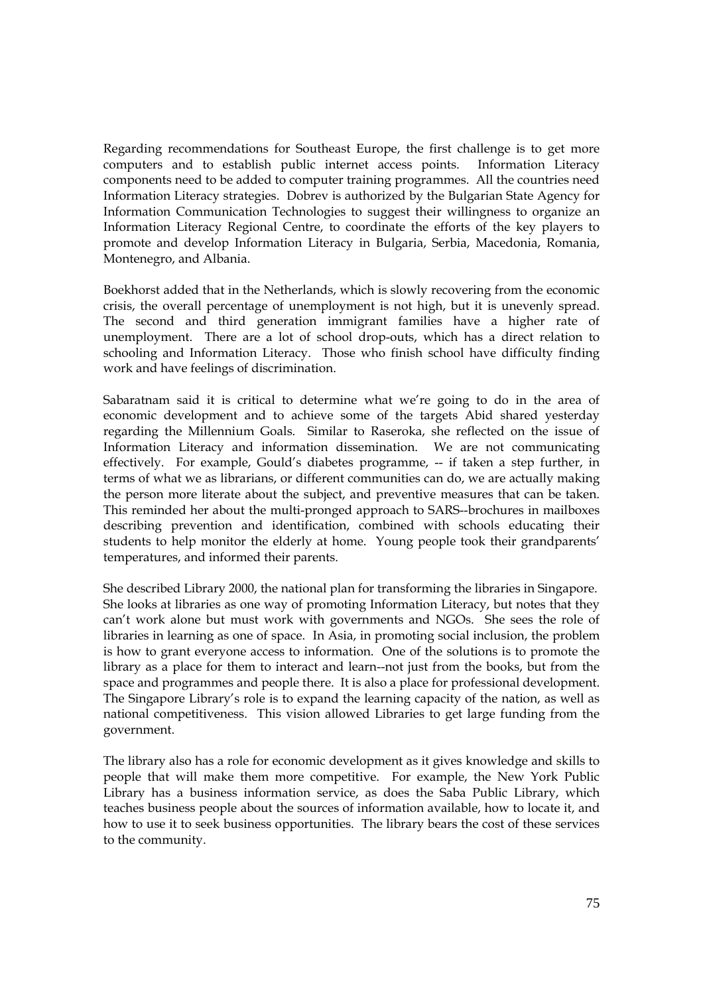Regarding recommendations for Southeast Europe, the first challenge is to get more computers and to establish public internet access points. Information Literacy components need to be added to computer training programmes. All the countries need Information Literacy strategies. Dobrev is authorized by the Bulgarian State Agency for Information Communication Technologies to suggest their willingness to organize an Information Literacy Regional Centre, to coordinate the efforts of the key players to promote and develop Information Literacy in Bulgaria, Serbia, Macedonia, Romania, Montenegro, and Albania.

Boekhorst added that in the Netherlands, which is slowly recovering from the economic crisis, the overall percentage of unemployment is not high, but it is unevenly spread. The second and third generation immigrant families have a higher rate of unemployment. There are a lot of school drop-outs, which has a direct relation to schooling and Information Literacy. Those who finish school have difficulty finding work and have feelings of discrimination.

Sabaratnam said it is critical to determine what we're going to do in the area of economic development and to achieve some of the targets Abid shared yesterday regarding the Millennium Goals. Similar to Raseroka, she reflected on the issue of Information Literacy and information dissemination. We are not communicating effectively. For example, Gould's diabetes programme, -- if taken a step further, in terms of what we as librarians, or different communities can do, we are actually making the person more literate about the subject, and preventive measures that can be taken. This reminded her about the multi-pronged approach to SARS--brochures in mailboxes describing prevention and identification, combined with schools educating their students to help monitor the elderly at home. Young people took their grandparents' temperatures, and informed their parents.

She described Library 2000, the national plan for transforming the libraries in Singapore. She looks at libraries as one way of promoting Information Literacy, but notes that they can't work alone but must work with governments and NGOs. She sees the role of libraries in learning as one of space. In Asia, in promoting social inclusion, the problem is how to grant everyone access to information. One of the solutions is to promote the library as a place for them to interact and learn--not just from the books, but from the space and programmes and people there. It is also a place for professional development. The Singapore Library's role is to expand the learning capacity of the nation, as well as national competitiveness. This vision allowed Libraries to get large funding from the government.

The library also has a role for economic development as it gives knowledge and skills to people that will make them more competitive. For example, the New York Public Library has a business information service, as does the Saba Public Library, which teaches business people about the sources of information available, how to locate it, and how to use it to seek business opportunities. The library bears the cost of these services to the community.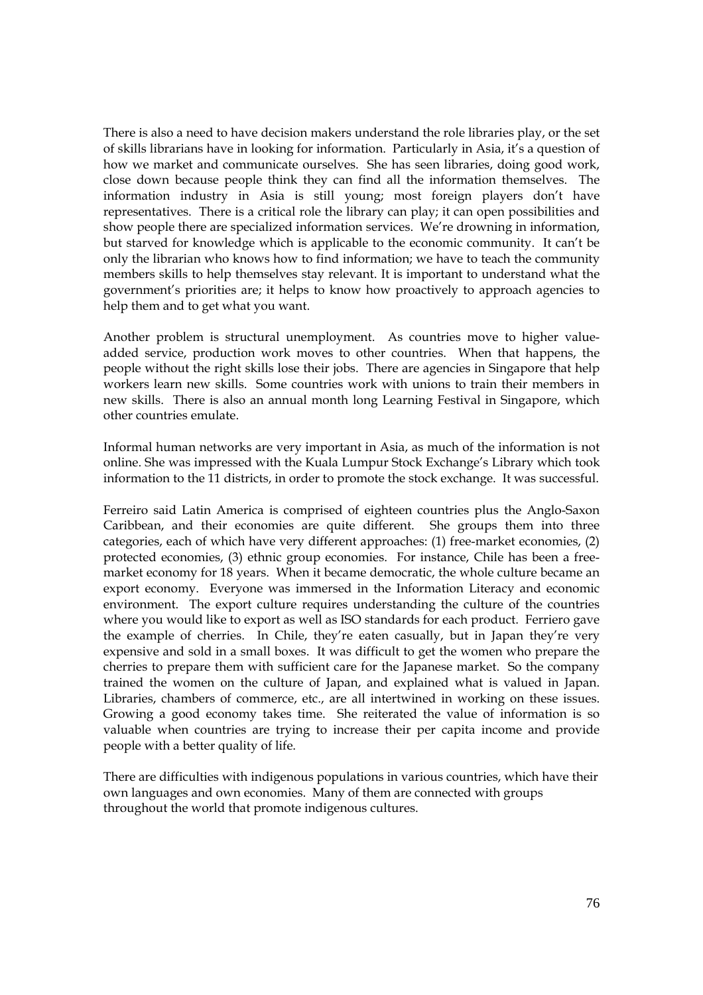There is also a need to have decision makers understand the role libraries play, or the set of skills librarians have in looking for information. Particularly in Asia, it's a question of how we market and communicate ourselves. She has seen libraries, doing good work, close down because people think they can find all the information themselves. The information industry in Asia is still young; most foreign players don't have representatives. There is a critical role the library can play; it can open possibilities and show people there are specialized information services. We're drowning in information, but starved for knowledge which is applicable to the economic community. It can't be only the librarian who knows how to find information; we have to teach the community members skills to help themselves stay relevant. It is important to understand what the government's priorities are; it helps to know how proactively to approach agencies to help them and to get what you want.

Another problem is structural unemployment. As countries move to higher valueadded service, production work moves to other countries. When that happens, the people without the right skills lose their jobs. There are agencies in Singapore that help workers learn new skills. Some countries work with unions to train their members in new skills. There is also an annual month long Learning Festival in Singapore, which other countries emulate.

Informal human networks are very important in Asia, as much of the information is not online. She was impressed with the Kuala Lumpur Stock Exchange's Library which took information to the 11 districts, in order to promote the stock exchange. It was successful.

Ferreiro said Latin America is comprised of eighteen countries plus the Anglo-Saxon Caribbean, and their economies are quite different. She groups them into three categories, each of which have very different approaches: (1) free-market economies, (2) protected economies, (3) ethnic group economies. For instance, Chile has been a freemarket economy for 18 years. When it became democratic, the whole culture became an export economy. Everyone was immersed in the Information Literacy and economic environment. The export culture requires understanding the culture of the countries where you would like to export as well as ISO standards for each product. Ferriero gave the example of cherries. In Chile, they're eaten casually, but in Japan they're very expensive and sold in a small boxes. It was difficult to get the women who prepare the cherries to prepare them with sufficient care for the Japanese market. So the company trained the women on the culture of Japan, and explained what is valued in Japan. Libraries, chambers of commerce, etc., are all intertwined in working on these issues. Growing a good economy takes time. She reiterated the value of information is so valuable when countries are trying to increase their per capita income and provide people with a better quality of life.

There are difficulties with indigenous populations in various countries, which have their own languages and own economies. Many of them are connected with groups throughout the world that promote indigenous cultures.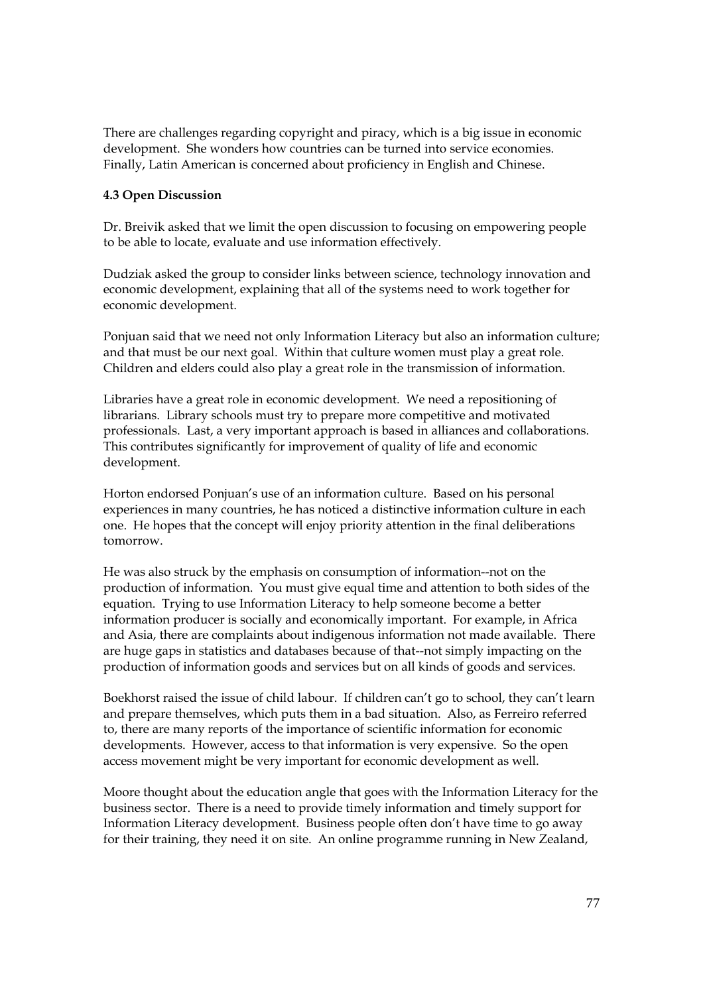There are challenges regarding copyright and piracy, which is a big issue in economic development. She wonders how countries can be turned into service economies. Finally, Latin American is concerned about proficiency in English and Chinese.

# **4.3 Open Discussion**

Dr. Breivik asked that we limit the open discussion to focusing on empowering people to be able to locate, evaluate and use information effectively.

Dudziak asked the group to consider links between science, technology innovation and economic development, explaining that all of the systems need to work together for economic development.

Ponjuan said that we need not only Information Literacy but also an information culture; and that must be our next goal. Within that culture women must play a great role. Children and elders could also play a great role in the transmission of information.

Libraries have a great role in economic development. We need a repositioning of librarians. Library schools must try to prepare more competitive and motivated professionals. Last, a very important approach is based in alliances and collaborations. This contributes significantly for improvement of quality of life and economic development.

Horton endorsed Ponjuan's use of an information culture. Based on his personal experiences in many countries, he has noticed a distinctive information culture in each one. He hopes that the concept will enjoy priority attention in the final deliberations tomorrow.

He was also struck by the emphasis on consumption of information--not on the production of information. You must give equal time and attention to both sides of the equation. Trying to use Information Literacy to help someone become a better information producer is socially and economically important. For example, in Africa and Asia, there are complaints about indigenous information not made available. There are huge gaps in statistics and databases because of that--not simply impacting on the production of information goods and services but on all kinds of goods and services.

Boekhorst raised the issue of child labour. If children can't go to school, they can't learn and prepare themselves, which puts them in a bad situation. Also, as Ferreiro referred to, there are many reports of the importance of scientific information for economic developments. However, access to that information is very expensive. So the open access movement might be very important for economic development as well.

Moore thought about the education angle that goes with the Information Literacy for the business sector. There is a need to provide timely information and timely support for Information Literacy development. Business people often don't have time to go away for their training, they need it on site. An online programme running in New Zealand,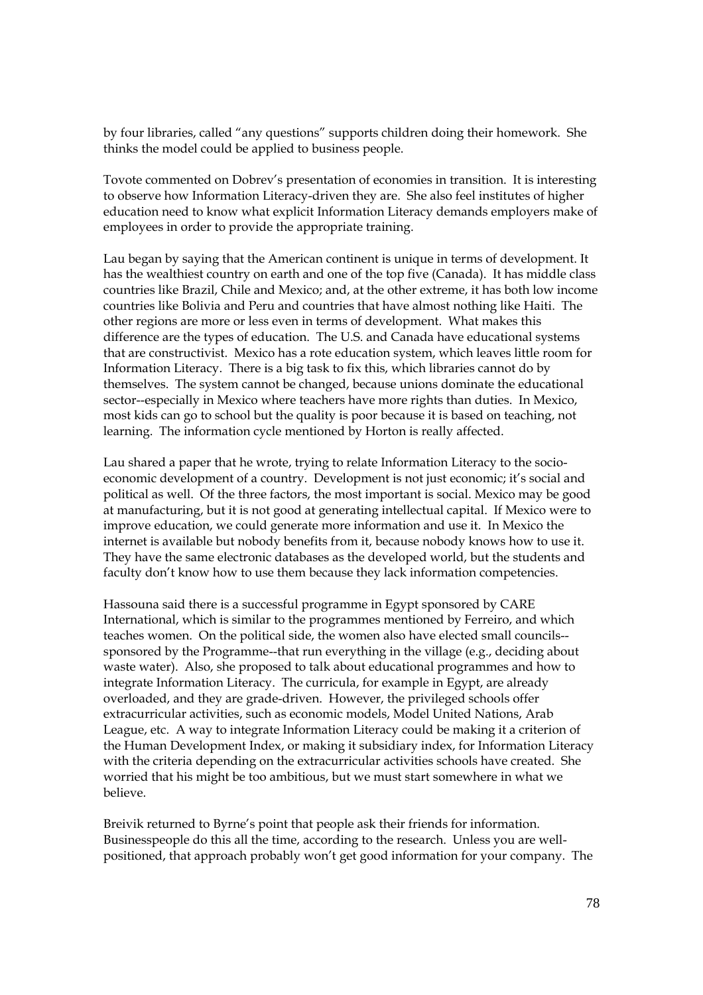by four libraries, called "any questions" supports children doing their homework. She thinks the model could be applied to business people.

Tovote commented on Dobrev's presentation of economies in transition. It is interesting to observe how Information Literacy-driven they are. She also feel institutes of higher education need to know what explicit Information Literacy demands employers make of employees in order to provide the appropriate training.

Lau began by saying that the American continent is unique in terms of development. It has the wealthiest country on earth and one of the top five (Canada). It has middle class countries like Brazil, Chile and Mexico; and, at the other extreme, it has both low income countries like Bolivia and Peru and countries that have almost nothing like Haiti. The other regions are more or less even in terms of development. What makes this difference are the types of education. The U.S. and Canada have educational systems that are constructivist. Mexico has a rote education system, which leaves little room for Information Literacy. There is a big task to fix this, which libraries cannot do by themselves. The system cannot be changed, because unions dominate the educational sector--especially in Mexico where teachers have more rights than duties. In Mexico, most kids can go to school but the quality is poor because it is based on teaching, not learning. The information cycle mentioned by Horton is really affected.

Lau shared a paper that he wrote, trying to relate Information Literacy to the socioeconomic development of a country. Development is not just economic; it's social and political as well. Of the three factors, the most important is social. Mexico may be good at manufacturing, but it is not good at generating intellectual capital. If Mexico were to improve education, we could generate more information and use it. In Mexico the internet is available but nobody benefits from it, because nobody knows how to use it. They have the same electronic databases as the developed world, but the students and faculty don't know how to use them because they lack information competencies.

Hassouna said there is a successful programme in Egypt sponsored by CARE International, which is similar to the programmes mentioned by Ferreiro, and which teaches women. On the political side, the women also have elected small councils- sponsored by the Programme--that run everything in the village (e.g., deciding about waste water). Also, she proposed to talk about educational programmes and how to integrate Information Literacy. The curricula, for example in Egypt, are already overloaded, and they are grade-driven. However, the privileged schools offer extracurricular activities, such as economic models, Model United Nations, Arab League, etc. A way to integrate Information Literacy could be making it a criterion of the Human Development Index, or making it subsidiary index, for Information Literacy with the criteria depending on the extracurricular activities schools have created. She worried that his might be too ambitious, but we must start somewhere in what we believe.

Breivik returned to Byrne's point that people ask their friends for information. Businesspeople do this all the time, according to the research. Unless you are wellpositioned, that approach probably won't get good information for your company. The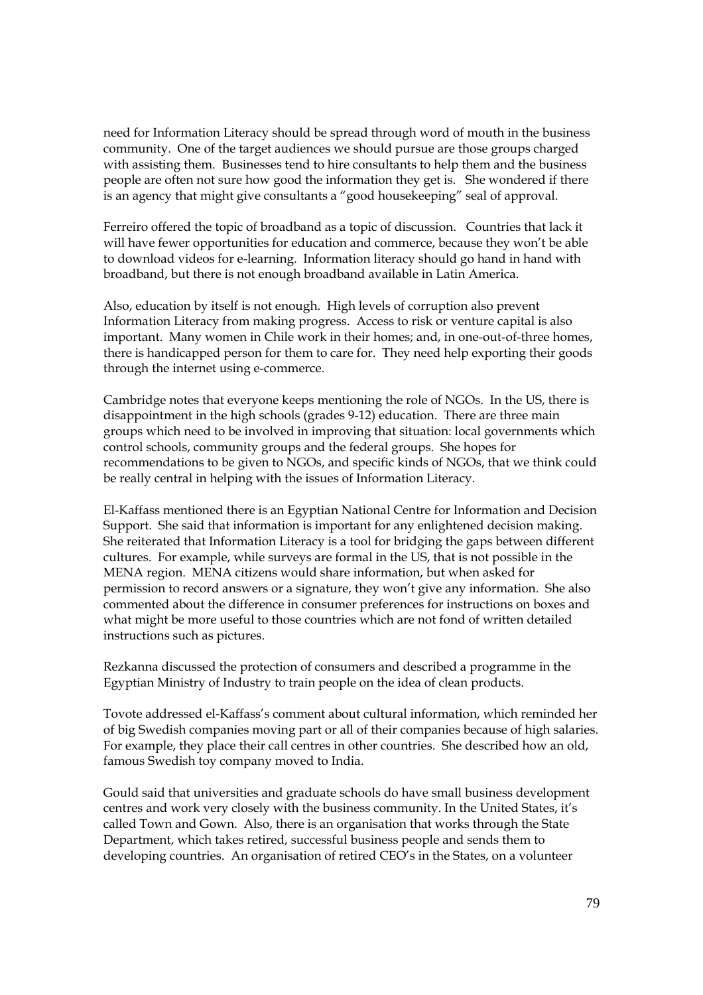need for Information Literacy should be spread through word of mouth in the business community. One of the target audiences we should pursue are those groups charged with assisting them. Businesses tend to hire consultants to help them and the business people are often not sure how good the information they get is. She wondered if there is an agency that might give consultants a "good housekeeping" seal of approval.

Ferreiro offered the topic of broadband as a topic of discussion. Countries that lack it will have fewer opportunities for education and commerce, because they won't be able to download videos for e-learning. Information literacy should go hand in hand with broadband, but there is not enough broadband available in Latin America.

Also, education by itself is not enough. High levels of corruption also prevent Information Literacy from making progress. Access to risk or venture capital is also important. Many women in Chile work in their homes; and, in one-out-of-three homes, there is handicapped person for them to care for. They need help exporting their goods through the internet using e-commerce.

Cambridge notes that everyone keeps mentioning the role of NGOs. In the US, there is disappointment in the high schools (grades 9-12) education. There are three main groups which need to be involved in improving that situation: local governments which control schools, community groups and the federal groups. She hopes for recommendations to be given to NGOs, and specific kinds of NGOs, that we think could be really central in helping with the issues of Information Literacy.

El-Kaffass mentioned there is an Egyptian National Centre for Information and Decision Support. She said that information is important for any enlightened decision making. She reiterated that Information Literacy is a tool for bridging the gaps between different cultures. For example, while surveys are formal in the US, that is not possible in the MENA region. MENA citizens would share information, but when asked for permission to record answers or a signature, they won't give any information. She also commented about the difference in consumer preferences for instructions on boxes and what might be more useful to those countries which are not fond of written detailed instructions such as pictures.

Rezkanna discussed the protection of consumers and described a programme in the Egyptian Ministry of Industry to train people on the idea of clean products.

Tovote addressed el-Kaffass's comment about cultural information, which reminded her of big Swedish companies moving part or all of their companies because of high salaries. For example, they place their call centres in other countries. She described how an old, famous Swedish toy company moved to India.

Gould said that universities and graduate schools do have small business development centres and work very closely with the business community. In the United States, it's called Town and Gown. Also, there is an organisation that works through the State Department, which takes retired, successful business people and sends them to developing countries. An organisation of retired CEO's in the States, on a volunteer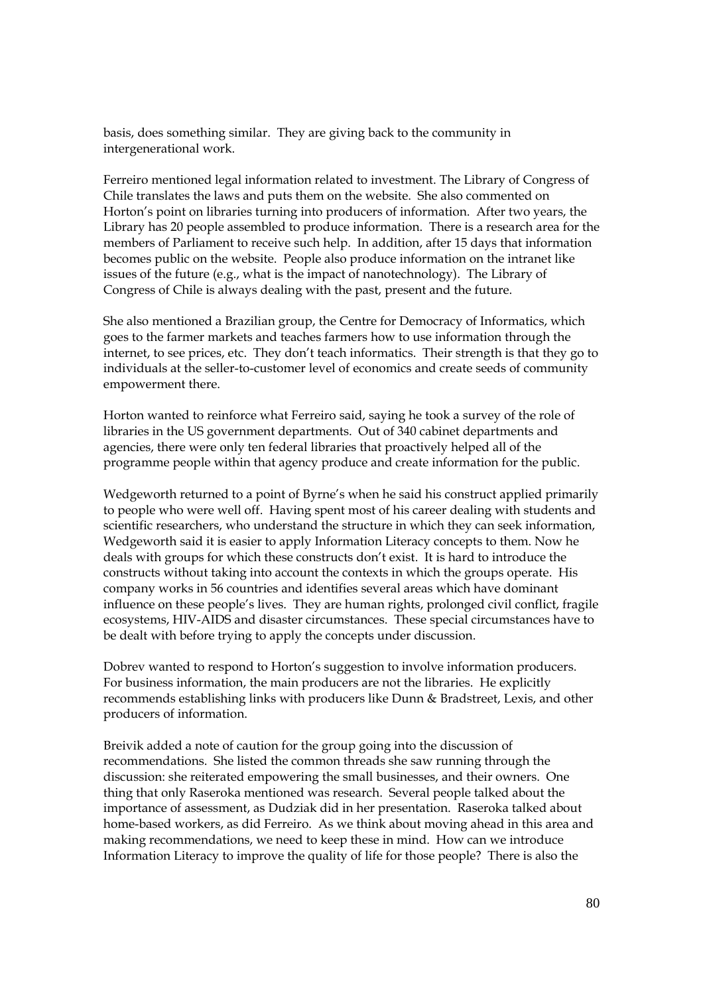basis, does something similar. They are giving back to the community in intergenerational work.

Ferreiro mentioned legal information related to investment. The Library of Congress of Chile translates the laws and puts them on the website. She also commented on Horton's point on libraries turning into producers of information. After two years, the Library has 20 people assembled to produce information. There is a research area for the members of Parliament to receive such help. In addition, after 15 days that information becomes public on the website. People also produce information on the intranet like issues of the future (e.g., what is the impact of nanotechnology). The Library of Congress of Chile is always dealing with the past, present and the future.

She also mentioned a Brazilian group, the Centre for Democracy of Informatics, which goes to the farmer markets and teaches farmers how to use information through the internet, to see prices, etc. They don't teach informatics. Their strength is that they go to individuals at the seller-to-customer level of economics and create seeds of community empowerment there.

Horton wanted to reinforce what Ferreiro said, saying he took a survey of the role of libraries in the US government departments. Out of 340 cabinet departments and agencies, there were only ten federal libraries that proactively helped all of the programme people within that agency produce and create information for the public.

Wedgeworth returned to a point of Byrne's when he said his construct applied primarily to people who were well off. Having spent most of his career dealing with students and scientific researchers, who understand the structure in which they can seek information, Wedgeworth said it is easier to apply Information Literacy concepts to them. Now he deals with groups for which these constructs don't exist. It is hard to introduce the constructs without taking into account the contexts in which the groups operate. His company works in 56 countries and identifies several areas which have dominant influence on these people's lives. They are human rights, prolonged civil conflict, fragile ecosystems, HIV-AIDS and disaster circumstances. These special circumstances have to be dealt with before trying to apply the concepts under discussion.

Dobrev wanted to respond to Horton's suggestion to involve information producers. For business information, the main producers are not the libraries. He explicitly recommends establishing links with producers like Dunn & Bradstreet, Lexis, and other producers of information.

Breivik added a note of caution for the group going into the discussion of recommendations. She listed the common threads she saw running through the discussion: she reiterated empowering the small businesses, and their owners. One thing that only Raseroka mentioned was research. Several people talked about the importance of assessment, as Dudziak did in her presentation. Raseroka talked about home-based workers, as did Ferreiro. As we think about moving ahead in this area and making recommendations, we need to keep these in mind. How can we introduce Information Literacy to improve the quality of life for those people? There is also the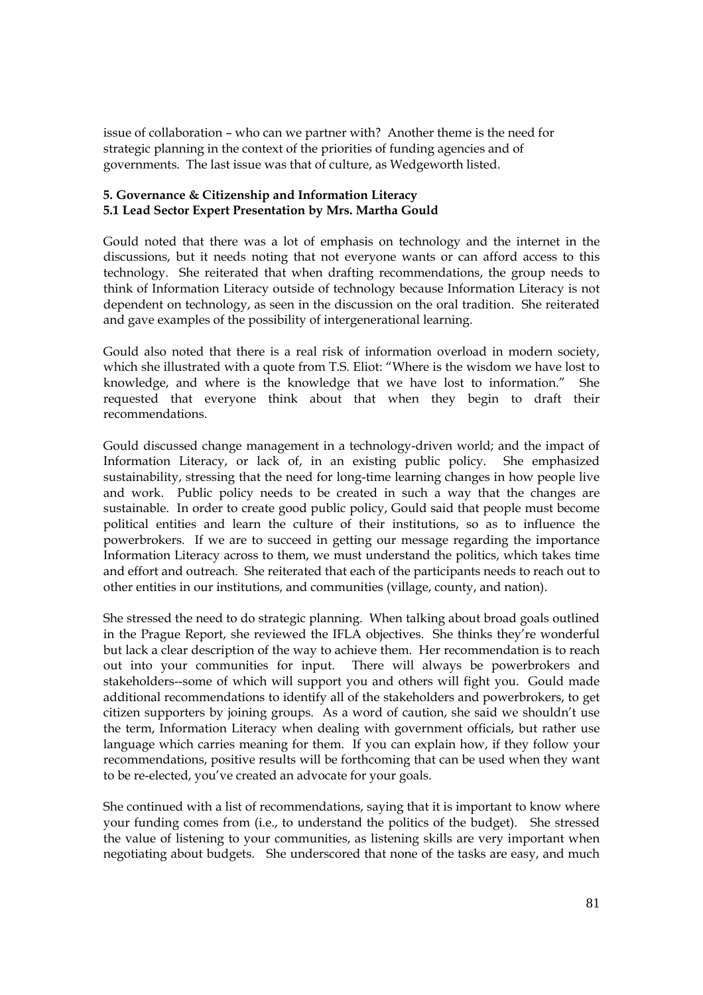issue of collaboration – who can we partner with? Another theme is the need for strategic planning in the context of the priorities of funding agencies and of governments. The last issue was that of culture, as Wedgeworth listed.

# **5. Governance & Citizenship and Information Literacy 5.1 Lead Sector Expert Presentation by Mrs. Martha Gould**

Gould noted that there was a lot of emphasis on technology and the internet in the discussions, but it needs noting that not everyone wants or can afford access to this technology. She reiterated that when drafting recommendations, the group needs to think of Information Literacy outside of technology because Information Literacy is not dependent on technology, as seen in the discussion on the oral tradition. She reiterated and gave examples of the possibility of intergenerational learning.

Gould also noted that there is a real risk of information overload in modern society, which she illustrated with a quote from T.S. Eliot: "Where is the wisdom we have lost to knowledge, and where is the knowledge that we have lost to information." She requested that everyone think about that when they begin to draft their recommendations.

Gould discussed change management in a technology-driven world; and the impact of Information Literacy, or lack of, in an existing public policy. She emphasized sustainability, stressing that the need for long-time learning changes in how people live and work. Public policy needs to be created in such a way that the changes are sustainable. In order to create good public policy, Gould said that people must become political entities and learn the culture of their institutions, so as to influence the powerbrokers. If we are to succeed in getting our message regarding the importance Information Literacy across to them, we must understand the politics, which takes time and effort and outreach. She reiterated that each of the participants needs to reach out to other entities in our institutions, and communities (village, county, and nation).

She stressed the need to do strategic planning. When talking about broad goals outlined in the Prague Report, she reviewed the IFLA objectives. She thinks they're wonderful but lack a clear description of the way to achieve them. Her recommendation is to reach out into your communities for input. There will always be powerbrokers and stakeholders--some of which will support you and others will fight you. Gould made additional recommendations to identify all of the stakeholders and powerbrokers, to get citizen supporters by joining groups. As a word of caution, she said we shouldn't use the term, Information Literacy when dealing with government officials, but rather use language which carries meaning for them. If you can explain how, if they follow your recommendations, positive results will be forthcoming that can be used when they want to be re-elected, you've created an advocate for your goals.

She continued with a list of recommendations, saying that it is important to know where your funding comes from (i.e., to understand the politics of the budget). She stressed the value of listening to your communities, as listening skills are very important when negotiating about budgets. She underscored that none of the tasks are easy, and much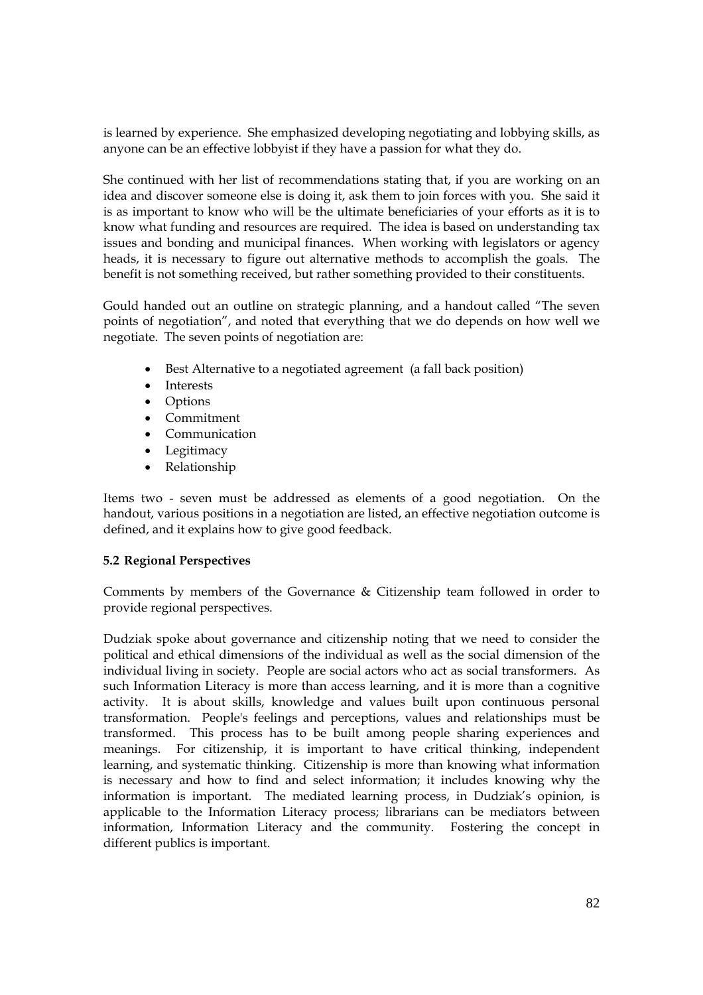is learned by experience. She emphasized developing negotiating and lobbying skills, as anyone can be an effective lobbyist if they have a passion for what they do.

She continued with her list of recommendations stating that, if you are working on an idea and discover someone else is doing it, ask them to join forces with you. She said it is as important to know who will be the ultimate beneficiaries of your efforts as it is to know what funding and resources are required. The idea is based on understanding tax issues and bonding and municipal finances. When working with legislators or agency heads, it is necessary to figure out alternative methods to accomplish the goals. The benefit is not something received, but rather something provided to their constituents.

Gould handed out an outline on strategic planning, and a handout called "The seven points of negotiation", and noted that everything that we do depends on how well we negotiate. The seven points of negotiation are:

- Best Alternative to a negotiated agreement (a fall back position)
- Interests
- Options
- Commitment
- Communication
- Legitimacy
- Relationship

Items two - seven must be addressed as elements of a good negotiation. On the handout, various positions in a negotiation are listed, an effective negotiation outcome is defined, and it explains how to give good feedback.

# **5.2 Regional Perspectives**

Comments by members of the Governance & Citizenship team followed in order to provide regional perspectives.

Dudziak spoke about governance and citizenship noting that we need to consider the political and ethical dimensions of the individual as well as the social dimension of the individual living in society. People are social actors who act as social transformers. As such Information Literacy is more than access learning, and it is more than a cognitive activity. It is about skills, knowledge and values built upon continuous personal transformation. People's feelings and perceptions, values and relationships must be transformed. This process has to be built among people sharing experiences and meanings. For citizenship, it is important to have critical thinking, independent learning, and systematic thinking. Citizenship is more than knowing what information is necessary and how to find and select information; it includes knowing why the information is important. The mediated learning process, in Dudziak's opinion, is applicable to the Information Literacy process; librarians can be mediators between information, Information Literacy and the community. Fostering the concept in different publics is important.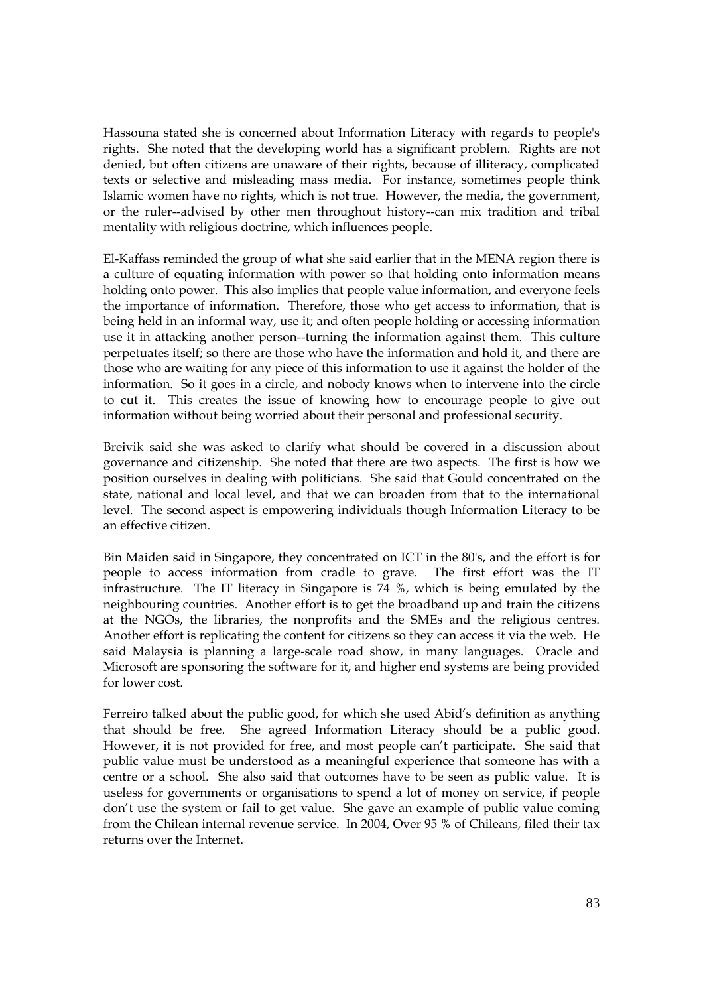Hassouna stated she is concerned about Information Literacy with regards to people's rights. She noted that the developing world has a significant problem. Rights are not denied, but often citizens are unaware of their rights, because of illiteracy, complicated texts or selective and misleading mass media. For instance, sometimes people think Islamic women have no rights, which is not true. However, the media, the government, or the ruler--advised by other men throughout history--can mix tradition and tribal mentality with religious doctrine, which influences people.

El-Kaffass reminded the group of what she said earlier that in the MENA region there is a culture of equating information with power so that holding onto information means holding onto power. This also implies that people value information, and everyone feels the importance of information. Therefore, those who get access to information, that is being held in an informal way, use it; and often people holding or accessing information use it in attacking another person--turning the information against them. This culture perpetuates itself; so there are those who have the information and hold it, and there are those who are waiting for any piece of this information to use it against the holder of the information. So it goes in a circle, and nobody knows when to intervene into the circle to cut it. This creates the issue of knowing how to encourage people to give out information without being worried about their personal and professional security.

Breivik said she was asked to clarify what should be covered in a discussion about governance and citizenship. She noted that there are two aspects. The first is how we position ourselves in dealing with politicians. She said that Gould concentrated on the state, national and local level, and that we can broaden from that to the international level. The second aspect is empowering individuals though Information Literacy to be an effective citizen.

Bin Maiden said in Singapore, they concentrated on ICT in the 80's, and the effort is for people to access information from cradle to grave. The first effort was the IT infrastructure. The IT literacy in Singapore is 74 %, which is being emulated by the neighbouring countries. Another effort is to get the broadband up and train the citizens at the NGOs, the libraries, the nonprofits and the SMEs and the religious centres. Another effort is replicating the content for citizens so they can access it via the web. He said Malaysia is planning a large-scale road show, in many languages. Oracle and Microsoft are sponsoring the software for it, and higher end systems are being provided for lower cost.

Ferreiro talked about the public good, for which she used Abid's definition as anything that should be free. She agreed Information Literacy should be a public good. However, it is not provided for free, and most people can't participate. She said that public value must be understood as a meaningful experience that someone has with a centre or a school. She also said that outcomes have to be seen as public value. It is useless for governments or organisations to spend a lot of money on service, if people don't use the system or fail to get value. She gave an example of public value coming from the Chilean internal revenue service. In 2004, Over 95 % of Chileans, filed their tax returns over the Internet.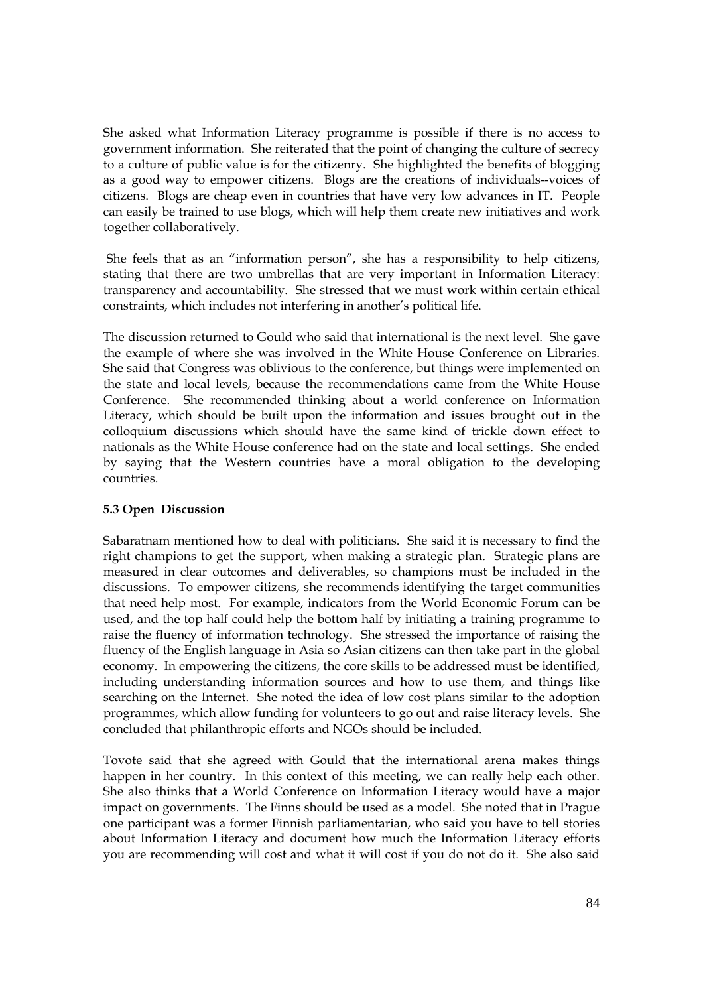She asked what Information Literacy programme is possible if there is no access to government information. She reiterated that the point of changing the culture of secrecy to a culture of public value is for the citizenry. She highlighted the benefits of blogging as a good way to empower citizens. Blogs are the creations of individuals--voices of citizens. Blogs are cheap even in countries that have very low advances in IT. People can easily be trained to use blogs, which will help them create new initiatives and work together collaboratively.

She feels that as an "information person", she has a responsibility to help citizens, stating that there are two umbrellas that are very important in Information Literacy: transparency and accountability. She stressed that we must work within certain ethical constraints, which includes not interfering in another's political life.

The discussion returned to Gould who said that international is the next level. She gave the example of where she was involved in the White House Conference on Libraries. She said that Congress was oblivious to the conference, but things were implemented on the state and local levels, because the recommendations came from the White House Conference. She recommended thinking about a world conference on Information Literacy, which should be built upon the information and issues brought out in the colloquium discussions which should have the same kind of trickle down effect to nationals as the White House conference had on the state and local settings. She ended by saying that the Western countries have a moral obligation to the developing countries.

# **5.3 Open Discussion**

Sabaratnam mentioned how to deal with politicians. She said it is necessary to find the right champions to get the support, when making a strategic plan. Strategic plans are measured in clear outcomes and deliverables, so champions must be included in the discussions. To empower citizens, she recommends identifying the target communities that need help most. For example, indicators from the World Economic Forum can be used, and the top half could help the bottom half by initiating a training programme to raise the fluency of information technology. She stressed the importance of raising the fluency of the English language in Asia so Asian citizens can then take part in the global economy. In empowering the citizens, the core skills to be addressed must be identified, including understanding information sources and how to use them, and things like searching on the Internet. She noted the idea of low cost plans similar to the adoption programmes, which allow funding for volunteers to go out and raise literacy levels. She concluded that philanthropic efforts and NGOs should be included.

Tovote said that she agreed with Gould that the international arena makes things happen in her country. In this context of this meeting, we can really help each other. She also thinks that a World Conference on Information Literacy would have a major impact on governments. The Finns should be used as a model. She noted that in Prague one participant was a former Finnish parliamentarian, who said you have to tell stories about Information Literacy and document how much the Information Literacy efforts you are recommending will cost and what it will cost if you do not do it. She also said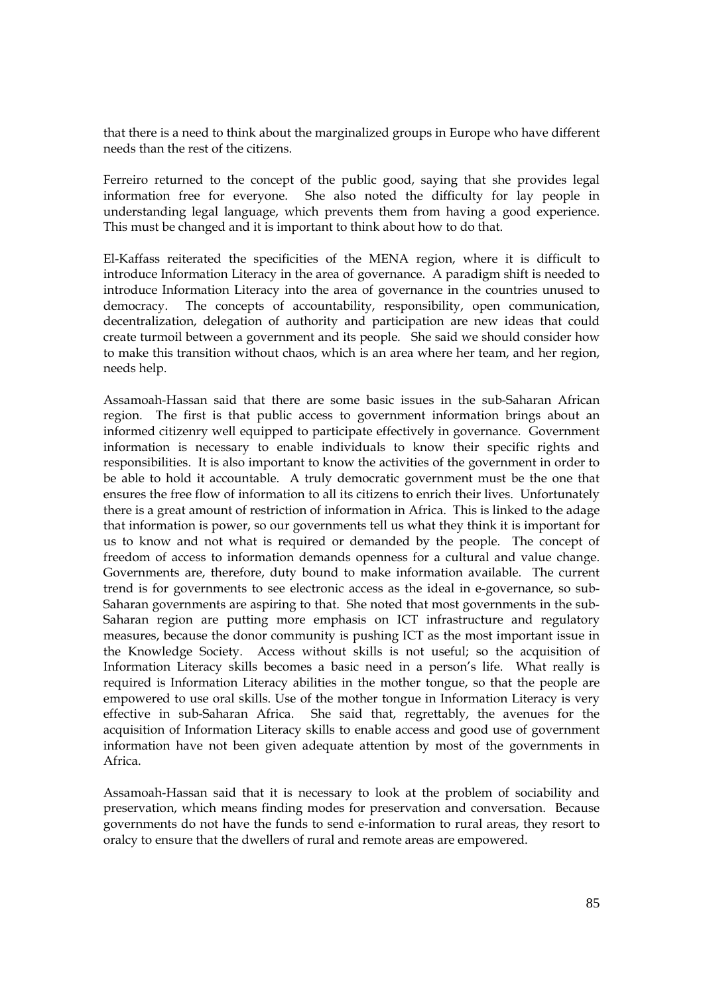that there is a need to think about the marginalized groups in Europe who have different needs than the rest of the citizens.

Ferreiro returned to the concept of the public good, saying that she provides legal information free for everyone. She also noted the difficulty for lay people in understanding legal language, which prevents them from having a good experience. This must be changed and it is important to think about how to do that.

El-Kaffass reiterated the specificities of the MENA region, where it is difficult to introduce Information Literacy in the area of governance. A paradigm shift is needed to introduce Information Literacy into the area of governance in the countries unused to democracy. The concepts of accountability, responsibility, open communication, decentralization, delegation of authority and participation are new ideas that could create turmoil between a government and its people. She said we should consider how to make this transition without chaos, which is an area where her team, and her region, needs help.

Assamoah-Hassan said that there are some basic issues in the sub-Saharan African region. The first is that public access to government information brings about an informed citizenry well equipped to participate effectively in governance. Government information is necessary to enable individuals to know their specific rights and responsibilities. It is also important to know the activities of the government in order to be able to hold it accountable. A truly democratic government must be the one that ensures the free flow of information to all its citizens to enrich their lives. Unfortunately there is a great amount of restriction of information in Africa. This is linked to the adage that information is power, so our governments tell us what they think it is important for us to know and not what is required or demanded by the people. The concept of freedom of access to information demands openness for a cultural and value change. Governments are, therefore, duty bound to make information available. The current trend is for governments to see electronic access as the ideal in e-governance, so sub-Saharan governments are aspiring to that. She noted that most governments in the sub-Saharan region are putting more emphasis on ICT infrastructure and regulatory measures, because the donor community is pushing ICT as the most important issue in the Knowledge Society. Access without skills is not useful; so the acquisition of Information Literacy skills becomes a basic need in a person's life. What really is required is Information Literacy abilities in the mother tongue, so that the people are empowered to use oral skills. Use of the mother tongue in Information Literacy is very effective in sub-Saharan Africa. She said that, regrettably, the avenues for the acquisition of Information Literacy skills to enable access and good use of government information have not been given adequate attention by most of the governments in Africa.

Assamoah-Hassan said that it is necessary to look at the problem of sociability and preservation, which means finding modes for preservation and conversation. Because governments do not have the funds to send e-information to rural areas, they resort to oralcy to ensure that the dwellers of rural and remote areas are empowered.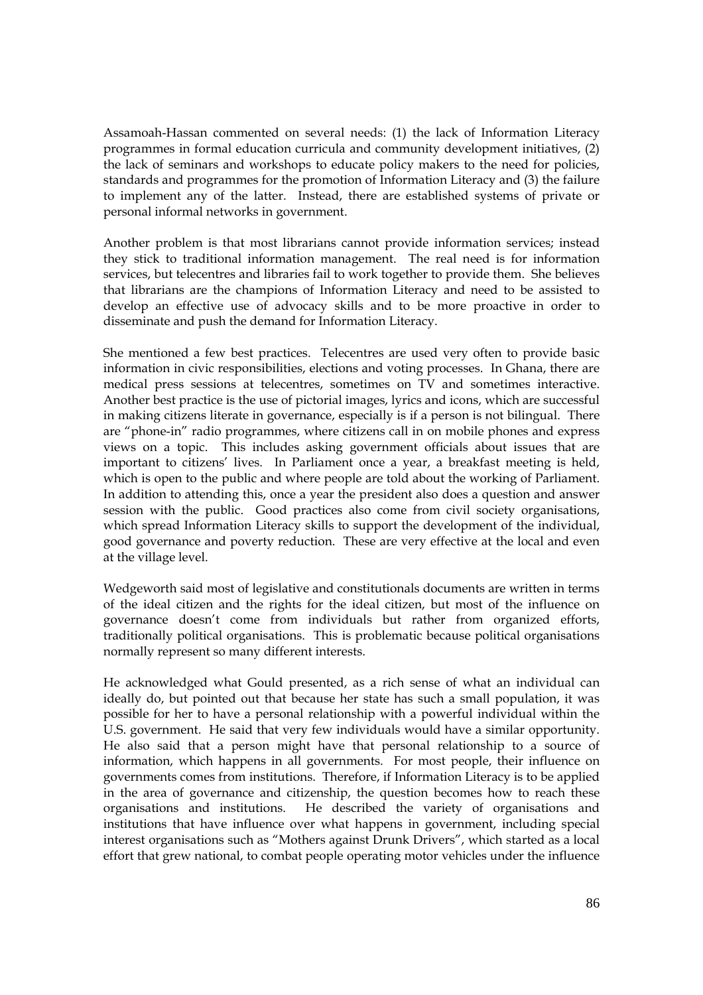Assamoah-Hassan commented on several needs: (1) the lack of Information Literacy programmes in formal education curricula and community development initiatives, (2) the lack of seminars and workshops to educate policy makers to the need for policies, standards and programmes for the promotion of Information Literacy and (3) the failure to implement any of the latter. Instead, there are established systems of private or personal informal networks in government.

Another problem is that most librarians cannot provide information services; instead they stick to traditional information management. The real need is for information services, but telecentres and libraries fail to work together to provide them. She believes that librarians are the champions of Information Literacy and need to be assisted to develop an effective use of advocacy skills and to be more proactive in order to disseminate and push the demand for Information Literacy.

She mentioned a few best practices. Telecentres are used very often to provide basic information in civic responsibilities, elections and voting processes. In Ghana, there are medical press sessions at telecentres, sometimes on TV and sometimes interactive. Another best practice is the use of pictorial images, lyrics and icons, which are successful in making citizens literate in governance, especially is if a person is not bilingual. There are "phone-in" radio programmes, where citizens call in on mobile phones and express views on a topic. This includes asking government officials about issues that are important to citizens' lives. In Parliament once a year, a breakfast meeting is held, which is open to the public and where people are told about the working of Parliament. In addition to attending this, once a year the president also does a question and answer session with the public. Good practices also come from civil society organisations, which spread Information Literacy skills to support the development of the individual, good governance and poverty reduction. These are very effective at the local and even at the village level.

Wedgeworth said most of legislative and constitutionals documents are written in terms of the ideal citizen and the rights for the ideal citizen, but most of the influence on governance doesn't come from individuals but rather from organized efforts, traditionally political organisations. This is problematic because political organisations normally represent so many different interests.

He acknowledged what Gould presented, as a rich sense of what an individual can ideally do, but pointed out that because her state has such a small population, it was possible for her to have a personal relationship with a powerful individual within the U.S. government. He said that very few individuals would have a similar opportunity. He also said that a person might have that personal relationship to a source of information, which happens in all governments. For most people, their influence on governments comes from institutions. Therefore, if Information Literacy is to be applied in the area of governance and citizenship, the question becomes how to reach these organisations and institutions. He described the variety of organisations and institutions that have influence over what happens in government, including special interest organisations such as "Mothers against Drunk Drivers", which started as a local effort that grew national, to combat people operating motor vehicles under the influence